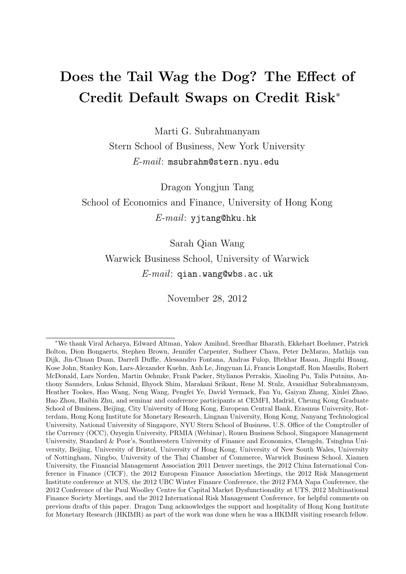# **Does the Tail Wag the Dog? The Effect of Credit Default Swaps on Credit Risk***<sup>∗</sup>*

Marti G. Subrahmanyam

Stern School of Business, New York University *E-mail*: msubrahm@stern.nyu.edu

Dragon Yongjun Tang School of Economics and Finance, University of Hong Kong *E-mail*: yjtang@hku.hk

Sarah Qian Wang Warwick Business School, University of Warwick *E-mail*: qian.wang@wbs.ac.uk

November 28, 2012

*<sup>∗</sup>*We thank Viral Acharya, Edward Altman, Yakov Amihud, Sreedhar Bharath, Ekkehart Boehmer, Patrick Bolton, Dion Bongaerts, Stephen Brown, Jennifer Carpenter, Sudheer Chava, Peter DeMarzo, Mathijs van Dijk, Jin-Chuan Duan, Darrell Duffie, Alessandro Fontana, Andras Fulop, Iftekhar Hasan, Jingzhi Huang, Kose John, Stanley Kon, Lars-Alexander Kuehn, Anh Le, Jingyuan Li, Francis Longstaff, Ron Masulis, Robert McDonald, Lars Norden, Martin Oehmke, Frank Packer, Stylianos Perrakis, Xiaoling Pu, Talis Putnins, Anthony Saunders, Lukas Schmid, Ilhyock Shim, Marakani Srikant, Rene M. Stulz, Avanidhar Subrahmanyam, Heather Tookes, Hao Wang, Neng Wang, Pengfei Ye, David Yermack, Fan Yu, Gaiyan Zhang, Xinlei Zhao, Hao Zhou, Haibin Zhu, and seminar and conference participants at CEMFI, Madrid, Cheung Kong Graduate School of Business, Beijing, City University of Hong Kong, European Central Bank, Erasmus University, Rotterdam, Hong Kong Institute for Monetary Research, Lingnan University, Hong Kong, Nanyang Technological University, National University of Singapore, NYU Stern School of Business, U.S. Office of the Comptroller of the Currency (OCC), Ozyegin University, PRMIA (Webinar), Rouen Business School, Singapore Management University, Standard & Poor's, Southwestern University of Finance and Economics, Chengdu, Tsinghua University, Beijing, University of Bristol, University of Hong Kong, University of New South Wales, University of Nottingham, Ningbo, University of the Thai Chamber of Commerce, Warwick Business School, Xiamen University, the Financial Management Association 2011 Denver meetings, the 2012 China International Conference in Finance (CICF), the 2012 European Finance Association Meetings, the 2012 Risk Management Institute conference at NUS, the 2012 UBC Winter Finance Conference, the 2012 FMA Napa Conference, the 2012 Conference of the Paul Woolley Centre for Capital Market Dysfunctionality at UTS, 2012 Multinational Finance Society Meetings, and the 2012 International Risk Management Conference, for helpful comments on previous drafts of this paper. Dragon Tang acknowledges the support and hospitality of Hong Kong Institute for Monetary Research (HKIMR) as part of the work was done when he was a HKIMR visiting research fellow.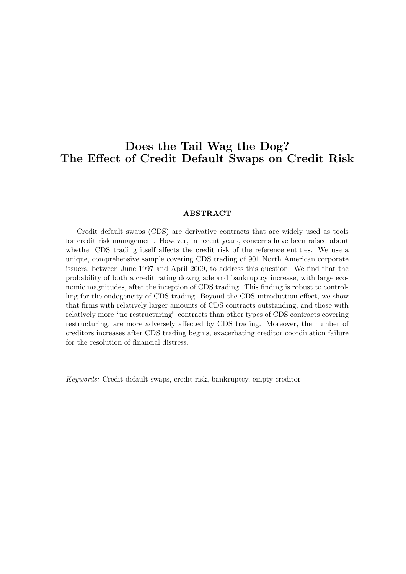## **Does the Tail Wag the Dog? The Effect of Credit Default Swaps on Credit Risk**

#### **ABSTRACT**

Credit default swaps (CDS) are derivative contracts that are widely used as tools for credit risk management. However, in recent years, concerns have been raised about whether CDS trading itself affects the credit risk of the reference entities. We use a unique, comprehensive sample covering CDS trading of 901 North American corporate issuers, between June 1997 and April 2009, to address this question. We find that the probability of both a credit rating downgrade and bankruptcy increase, with large economic magnitudes, after the inception of CDS trading. This finding is robust to controlling for the endogeneity of CDS trading. Beyond the CDS introduction effect, we show that firms with relatively larger amounts of CDS contracts outstanding, and those with relatively more "no restructuring" contracts than other types of CDS contracts covering restructuring, are more adversely affected by CDS trading. Moreover, the number of creditors increases after CDS trading begins, exacerbating creditor coordination failure for the resolution of financial distress.

*Keywords:* Credit default swaps, credit risk, bankruptcy, empty creditor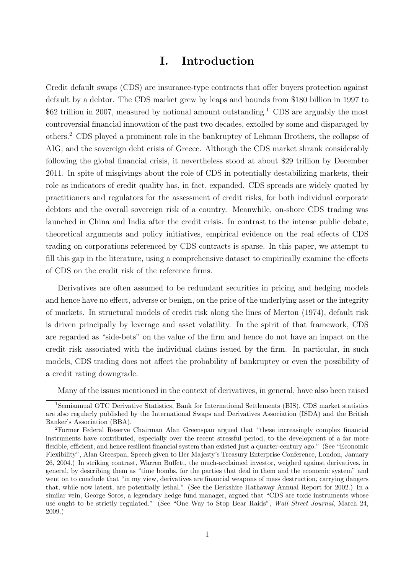## **I. Introduction**

Credit default swaps (CDS) are insurance-type contracts that offer buyers protection against default by a debtor. The CDS market grew by leaps and bounds from \$180 billion in 1997 to \$62 trillion in 2007, measured by notional amount outstanding.<sup>1</sup> CDS are arguably the most controversial financial innovation of the past two decades, extolled by some and disparaged by others.<sup>2</sup> CDS played a prominent role in the bankruptcy of Lehman Brothers, the collapse of AIG, and the sovereign debt crisis of Greece. Although the CDS market shrank considerably following the global financial crisis, it nevertheless stood at about \$29 trillion by December 2011. In spite of misgivings about the role of CDS in potentially destabilizing markets, their role as indicators of credit quality has, in fact, expanded. CDS spreads are widely quoted by practitioners and regulators for the assessment of credit risks, for both individual corporate debtors and the overall sovereign risk of a country. Meanwhile, on-shore CDS trading was launched in China and India after the credit crisis. In contrast to the intense public debate, theoretical arguments and policy initiatives, empirical evidence on the real effects of CDS trading on corporations referenced by CDS contracts is sparse. In this paper, we attempt to fill this gap in the literature, using a comprehensive dataset to empirically examine the effects of CDS on the credit risk of the reference firms.

Derivatives are often assumed to be redundant securities in pricing and hedging models and hence have no effect, adverse or benign, on the price of the underlying asset or the integrity of markets. In structural models of credit risk along the lines of Merton (1974), default risk is driven principally by leverage and asset volatility. In the spirit of that framework, CDS are regarded as "side-bets" on the value of the firm and hence do not have an impact on the credit risk associated with the individual claims issued by the firm. In particular, in such models, CDS trading does not affect the probability of bankruptcy or even the possibility of a credit rating downgrade.

Many of the issues mentioned in the context of derivatives, in general, have also been raised

<sup>1</sup>Semiannual OTC Derivative Statistics, Bank for International Settlements (BIS). CDS market statistics are also regularly published by the International Swaps and Derivatives Association (ISDA) and the British Banker's Association (BBA).

<sup>2</sup>Former Federal Reserve Chairman Alan Greenspan argued that "these increasingly complex financial instruments have contributed, especially over the recent stressful period, to the development of a far more flexible, efficient, and hence resilient financial system than existed just a quarter-century ago." (See "Economic Flexibility", Alan Greespan, Speech given to Her Majesty's Treasury Enterprise Conference, London, January 26, 2004.) In striking contrast, Warren Buffett, the much-acclaimed investor, weighed against derivatives, in general, by describing them as "time bombs, for the parties that deal in them and the economic system" and went on to conclude that "in my view, derivatives are financial weapons of mass destruction, carrying dangers that, while now latent, are potentially lethal." (See the Berkshire Hathaway Annual Report for 2002.) In a similar vein, George Soros, a legendary hedge fund manager, argued that "CDS are toxic instruments whose use ought to be strictly regulated." (See "One Way to Stop Bear Raids", *Wall Street Journal*, March 24, 2009.)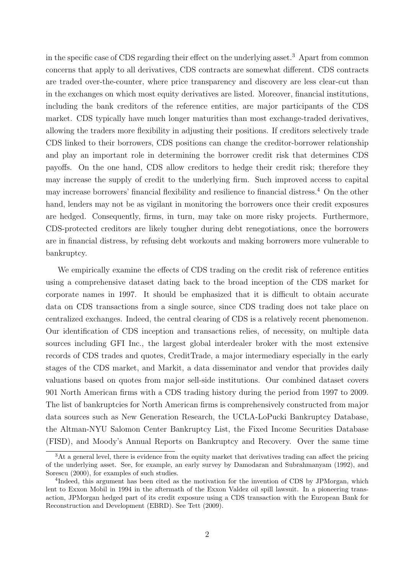in the specific case of CDS regarding their effect on the underlying asset.<sup>3</sup> Apart from common concerns that apply to all derivatives, CDS contracts are somewhat different. CDS contracts are traded over-the-counter, where price transparency and discovery are less clear-cut than in the exchanges on which most equity derivatives are listed. Moreover, financial institutions, including the bank creditors of the reference entities, are major participants of the CDS market. CDS typically have much longer maturities than most exchange-traded derivatives, allowing the traders more flexibility in adjusting their positions. If creditors selectively trade CDS linked to their borrowers, CDS positions can change the creditor-borrower relationship and play an important role in determining the borrower credit risk that determines CDS payoffs. On the one hand, CDS allow creditors to hedge their credit risk; therefore they may increase the supply of credit to the underlying firm. Such improved access to capital may increase borrowers' financial flexibility and resilience to financial distress.<sup>4</sup> On the other hand, lenders may not be as vigilant in monitoring the borrowers once their credit exposures are hedged. Consequently, firms, in turn, may take on more risky projects. Furthermore, CDS-protected creditors are likely tougher during debt renegotiations, once the borrowers are in financial distress, by refusing debt workouts and making borrowers more vulnerable to bankruptcy.

We empirically examine the effects of CDS trading on the credit risk of reference entities using a comprehensive dataset dating back to the broad inception of the CDS market for corporate names in 1997. It should be emphasized that it is difficult to obtain accurate data on CDS transactions from a single source, since CDS trading does not take place on centralized exchanges. Indeed, the central clearing of CDS is a relatively recent phenomenon. Our identification of CDS inception and transactions relies, of necessity, on multiple data sources including GFI Inc., the largest global interdealer broker with the most extensive records of CDS trades and quotes, CreditTrade, a major intermediary especially in the early stages of the CDS market, and Markit, a data disseminator and vendor that provides daily valuations based on quotes from major sell-side institutions. Our combined dataset covers 901 North American firms with a CDS trading history during the period from 1997 to 2009. The list of bankruptcies for North American firms is comprehensively constructed from major data sources such as New Generation Research, the UCLA-LoPucki Bankruptcy Database, the Altman-NYU Salomon Center Bankruptcy List, the Fixed Income Securities Database (FISD), and Moody's Annual Reports on Bankruptcy and Recovery. Over the same time

<sup>&</sup>lt;sup>3</sup>At a general level, there is evidence from the equity market that derivatives trading can affect the pricing of the underlying asset. See, for example, an early survey by Damodaran and Subrahmanyam (1992), and Sorescu (2000), for examples of such studies.

<sup>&</sup>lt;sup>4</sup>Indeed, this argument has been cited as the motivation for the invention of CDS by JPMorgan, which lent to Exxon Mobil in 1994 in the aftermath of the Exxon Valdez oil spill lawsuit. In a pioneering transaction, JPMorgan hedged part of its credit exposure using a CDS transaction with the European Bank for Reconstruction and Development (EBRD). See Tett (2009).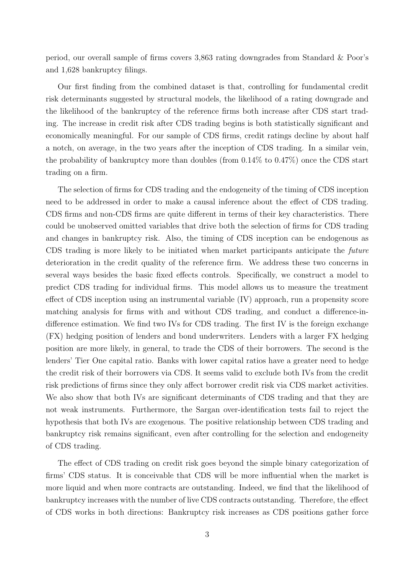period, our overall sample of firms covers 3,863 rating downgrades from Standard & Poor's and 1,628 bankruptcy filings.

Our first finding from the combined dataset is that, controlling for fundamental credit risk determinants suggested by structural models, the likelihood of a rating downgrade and the likelihood of the bankruptcy of the reference firms both increase after CDS start trading. The increase in credit risk after CDS trading begins is both statistically significant and economically meaningful. For our sample of CDS firms, credit ratings decline by about half a notch, on average, in the two years after the inception of CDS trading. In a similar vein, the probability of bankruptcy more than doubles (from 0.14% to 0.47%) once the CDS start trading on a firm.

The selection of firms for CDS trading and the endogeneity of the timing of CDS inception need to be addressed in order to make a causal inference about the effect of CDS trading. CDS firms and non-CDS firms are quite different in terms of their key characteristics. There could be unobserved omitted variables that drive both the selection of firms for CDS trading and changes in bankruptcy risk. Also, the timing of CDS inception can be endogenous as CDS trading is more likely to be initiated when market participants anticipate the *future* deterioration in the credit quality of the reference firm. We address these two concerns in several ways besides the basic fixed effects controls. Specifically, we construct a model to predict CDS trading for individual firms. This model allows us to measure the treatment effect of CDS inception using an instrumental variable (IV) approach, run a propensity score matching analysis for firms with and without CDS trading, and conduct a difference-indifference estimation. We find two IVs for CDS trading. The first IV is the foreign exchange (FX) hedging position of lenders and bond underwriters. Lenders with a larger FX hedging position are more likely, in general, to trade the CDS of their borrowers. The second is the lenders' Tier One capital ratio. Banks with lower capital ratios have a greater need to hedge the credit risk of their borrowers via CDS. It seems valid to exclude both IVs from the credit risk predictions of firms since they only affect borrower credit risk via CDS market activities. We also show that both IVs are significant determinants of CDS trading and that they are not weak instruments. Furthermore, the Sargan over-identification tests fail to reject the hypothesis that both IVs are exogenous. The positive relationship between CDS trading and bankruptcy risk remains significant, even after controlling for the selection and endogeneity of CDS trading.

The effect of CDS trading on credit risk goes beyond the simple binary categorization of firms' CDS status. It is conceivable that CDS will be more influential when the market is more liquid and when more contracts are outstanding. Indeed, we find that the likelihood of bankruptcy increases with the number of live CDS contracts outstanding. Therefore, the effect of CDS works in both directions: Bankruptcy risk increases as CDS positions gather force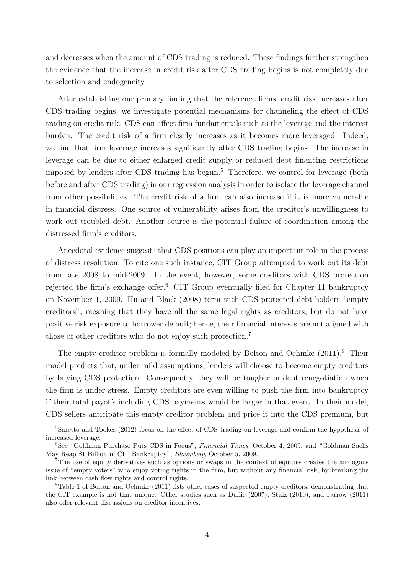and decreases when the amount of CDS trading is reduced. These findings further strengthen the evidence that the increase in credit risk after CDS trading begins is not completely due to selection and endogeneity.

After establishing our primary finding that the reference firms' credit risk increases after CDS trading begins, we investigate potential mechanisms for channeling the effect of CDS trading on credit risk. CDS can affect firm fundamentals such as the leverage and the interest burden. The credit risk of a firm clearly increases as it becomes more leveraged. Indeed, we find that firm leverage increases significantly after CDS trading begins. The increase in leverage can be due to either enlarged credit supply or reduced debt financing restrictions imposed by lenders after CDS trading has begun.<sup>5</sup> Therefore, we control for leverage (both before and after CDS trading) in our regression analysis in order to isolate the leverage channel from other possibilities. The credit risk of a firm can also increase if it is more vulnerable in financial distress. One source of vulnerability arises from the creditor's unwillingness to work out troubled debt. Another source is the potential failure of coordination among the distressed firm's creditors.

Anecdotal evidence suggests that CDS positions can play an important role in the process of distress resolution. To cite one such instance, CIT Group attempted to work out its debt from late 2008 to mid-2009. In the event, however, some creditors with CDS protection rejected the firm's exchange offer.<sup>6</sup> CIT Group eventually filed for Chapter 11 bankruptcy on November 1, 2009. Hu and Black (2008) term such CDS-protected debt-holders "empty creditors", meaning that they have all the same legal rights as creditors, but do not have positive risk exposure to borrower default; hence, their financial interests are not aligned with those of other creditors who do not enjoy such protection.<sup>7</sup>

The empty creditor problem is formally modeled by Bolton and Oehmke  $(2011)^8$ . Their model predicts that, under mild assumptions, lenders will choose to become empty creditors by buying CDS protection. Consequently, they will be tougher in debt renegotiation when the firm is under stress. Empty creditors are even willing to push the firm into bankruptcy if their total payoffs including CDS payments would be larger in that event. In their model, CDS sellers anticipate this empty creditor problem and price it into the CDS premium, but

<sup>5</sup>Saretto and Tookes (2012) focus on the effect of CDS trading on leverage and confirm the hypothesis of increased leverage.

<sup>6</sup>See "Goldman Purchase Puts CDS in Focus", *Financial Times*, October 4, 2009, and "Goldman Sachs May Reap \$1 Billion in CIT Bankruptcy", *Bloomberg*, October 5, 2009.

<sup>7</sup>The use of equity derivatives such as options or swaps in the context of equities creates the analogous issue of "empty voters" who enjoy voting rights in the firm, but without any financial risk, by breaking the link between cash flow rights and control rights.

<sup>8</sup>Table 1 of Bolton and Oehmke (2011) lists other cases of suspected empty creditors, demonstrating that the CIT example is not that unique. Other studies such as Duffie (2007), Stulz (2010), and Jarrow (2011) also offer relevant discussions on creditor incentives.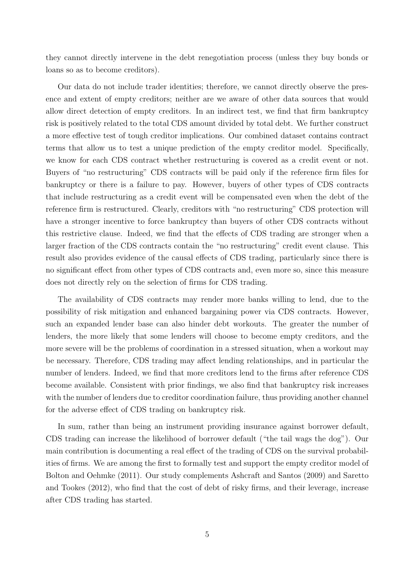they cannot directly intervene in the debt renegotiation process (unless they buy bonds or loans so as to become creditors).

Our data do not include trader identities; therefore, we cannot directly observe the presence and extent of empty creditors; neither are we aware of other data sources that would allow direct detection of empty creditors. In an indirect test, we find that firm bankruptcy risk is positively related to the total CDS amount divided by total debt. We further construct a more effective test of tough creditor implications. Our combined dataset contains contract terms that allow us to test a unique prediction of the empty creditor model. Specifically, we know for each CDS contract whether restructuring is covered as a credit event or not. Buyers of "no restructuring" CDS contracts will be paid only if the reference firm files for bankruptcy or there is a failure to pay. However, buyers of other types of CDS contracts that include restructuring as a credit event will be compensated even when the debt of the reference firm is restructured. Clearly, creditors with "no restructuring" CDS protection will have a stronger incentive to force bankruptcy than buyers of other CDS contracts without this restrictive clause. Indeed, we find that the effects of CDS trading are stronger when a larger fraction of the CDS contracts contain the "no restructuring" credit event clause. This result also provides evidence of the causal effects of CDS trading, particularly since there is no significant effect from other types of CDS contracts and, even more so, since this measure does not directly rely on the selection of firms for CDS trading.

The availability of CDS contracts may render more banks willing to lend, due to the possibility of risk mitigation and enhanced bargaining power via CDS contracts. However, such an expanded lender base can also hinder debt workouts. The greater the number of lenders, the more likely that some lenders will choose to become empty creditors, and the more severe will be the problems of coordination in a stressed situation, when a workout may be necessary. Therefore, CDS trading may affect lending relationships, and in particular the number of lenders. Indeed, we find that more creditors lend to the firms after reference CDS become available. Consistent with prior findings, we also find that bankruptcy risk increases with the number of lenders due to creditor coordination failure, thus providing another channel for the adverse effect of CDS trading on bankruptcy risk.

In sum, rather than being an instrument providing insurance against borrower default, CDS trading can increase the likelihood of borrower default ("the tail wags the dog"). Our main contribution is documenting a real effect of the trading of CDS on the survival probabilities of firms. We are among the first to formally test and support the empty creditor model of Bolton and Oehmke (2011). Our study complements Ashcraft and Santos (2009) and Saretto and Tookes (2012), who find that the cost of debt of risky firms, and their leverage, increase after CDS trading has started.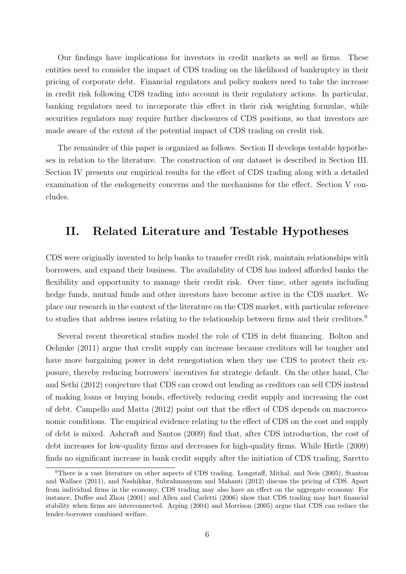Our findings have implications for investors in credit markets as well as firms. These entities need to consider the impact of CDS trading on the likelihood of bankruptcy in their pricing of corporate debt. Financial regulators and policy makers need to take the increase in credit risk following CDS trading into account in their regulatory actions. In particular, banking regulators need to incorporate this effect in their risk weighting formulae, while securities regulators may require further disclosures of CDS positions, so that investors are made aware of the extent of the potential impact of CDS trading on credit risk.

The remainder of this paper is organized as follows. Section II develops testable hypotheses in relation to the literature. The construction of our dataset is described in Section III. Section IV presents our empirical results for the effect of CDS trading along with a detailed examination of the endogeneity concerns and the mechanisms for the effect. Section V concludes.

## **II. Related Literature and Testable Hypotheses**

CDS were originally invented to help banks to transfer credit risk, maintain relationships with borrowers, and expand their business. The availability of CDS has indeed afforded banks the flexibility and opportunity to manage their credit risk. Over time, other agents including hedge funds, mutual funds and other investors have become active in the CDS market. We place our research in the context of the literature on the CDS market, with particular reference to studies that address issues relating to the relationship between firms and their creditors.<sup>9</sup>

Several recent theoretical studies model the role of CDS in debt financing. Bolton and Oehmke (2011) argue that credit supply can increase because creditors will be tougher and have more bargaining power in debt renegotiation when they use CDS to protect their exposure, thereby reducing borrowers' incentives for strategic default. On the other hand, Che and Sethi (2012) conjecture that CDS can crowd out lending as creditors can sell CDS instead of making loans or buying bonds, effectively reducing credit supply and increasing the cost of debt. Campello and Matta (2012) point out that the effect of CDS depends on macroeconomic conditions. The empirical evidence relating to the effect of CDS on the cost and supply of debt is mixed. Ashcraft and Santos (2009) find that, after CDS introduction, the cost of debt increases for low-quality firms and decreases for high-quality firms. While Hirtle (2009) finds no significant increase in bank credit supply after the initiation of CDS trading, Saretto

<sup>&</sup>lt;sup>9</sup>There is a vast literature on other aspects of CDS trading. Longstaff, Mithal, and Neis (2005), Stanton and Wallace (2011), and Nashikkar, Subrahmanyam and Mahanti (2012) discuss the pricing of CDS. Apart from individual firms in the economy, CDS trading may also have an effect on the aggregate economy. For instance, Duffee and Zhou (2001) and Allen and Carletti (2006) show that CDS trading may hurt financial stability when firms are interconnected. Arping (2004) and Morrison (2005) argue that CDS can reduce the lender-borrower combined welfare.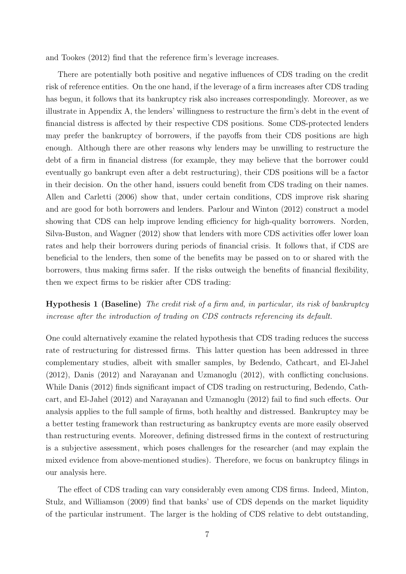and Tookes (2012) find that the reference firm's leverage increases.

There are potentially both positive and negative influences of CDS trading on the credit risk of reference entities. On the one hand, if the leverage of a firm increases after CDS trading has begun, it follows that its bankruptcy risk also increases correspondingly. Moreover, as we illustrate in Appendix A, the lenders' willingness to restructure the firm's debt in the event of financial distress is affected by their respective CDS positions. Some CDS-protected lenders may prefer the bankruptcy of borrowers, if the payoffs from their CDS positions are high enough. Although there are other reasons why lenders may be unwilling to restructure the debt of a firm in financial distress (for example, they may believe that the borrower could eventually go bankrupt even after a debt restructuring), their CDS positions will be a factor in their decision. On the other hand, issuers could benefit from CDS trading on their names. Allen and Carletti (2006) show that, under certain conditions, CDS improve risk sharing and are good for both borrowers and lenders. Parlour and Winton (2012) construct a model showing that CDS can help improve lending efficiency for high-quality borrowers. Norden, Silva-Buston, and Wagner (2012) show that lenders with more CDS activities offer lower loan rates and help their borrowers during periods of financial crisis. It follows that, if CDS are beneficial to the lenders, then some of the benefits may be passed on to or shared with the borrowers, thus making firms safer. If the risks outweigh the benefits of financial flexibility, then we expect firms to be riskier after CDS trading:

**Hypothesis 1 (Baseline)** *The credit risk of a firm and, in particular, its risk of bankruptcy increase after the introduction of trading on CDS contracts referencing its default.*

One could alternatively examine the related hypothesis that CDS trading reduces the success rate of restructuring for distressed firms. This latter question has been addressed in three complementary studies, albeit with smaller samples, by Bedendo, Cathcart, and El-Jahel (2012), Danis (2012) and Narayanan and Uzmanoglu (2012), with conflicting conclusions. While Danis (2012) finds significant impact of CDS trading on restructuring, Bedendo, Cathcart, and El-Jahel (2012) and Narayanan and Uzmanoglu (2012) fail to find such effects. Our analysis applies to the full sample of firms, both healthy and distressed. Bankruptcy may be a better testing framework than restructuring as bankruptcy events are more easily observed than restructuring events. Moreover, defining distressed firms in the context of restructuring is a subjective assessment, which poses challenges for the researcher (and may explain the mixed evidence from above-mentioned studies). Therefore, we focus on bankruptcy filings in our analysis here.

The effect of CDS trading can vary considerably even among CDS firms. Indeed, Minton, Stulz, and Williamson (2009) find that banks' use of CDS depends on the market liquidity of the particular instrument. The larger is the holding of CDS relative to debt outstanding,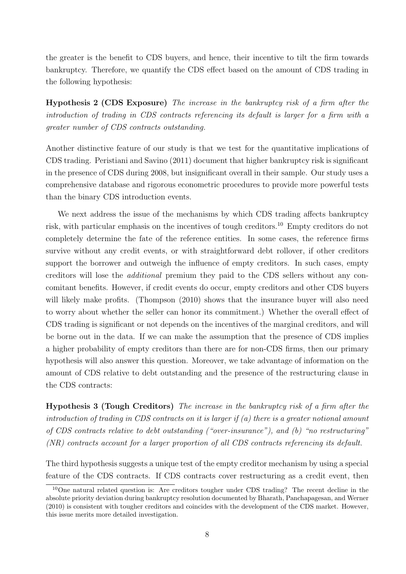the greater is the benefit to CDS buyers, and hence, their incentive to tilt the firm towards bankruptcy. Therefore, we quantify the CDS effect based on the amount of CDS trading in the following hypothesis:

**Hypothesis 2 (CDS Exposure)** *The increase in the bankruptcy risk of a firm after the introduction of trading in CDS contracts referencing its default is larger for a firm with a greater number of CDS contracts outstanding.*

Another distinctive feature of our study is that we test for the quantitative implications of CDS trading. Peristiani and Savino (2011) document that higher bankruptcy risk is significant in the presence of CDS during 2008, but insignificant overall in their sample. Our study uses a comprehensive database and rigorous econometric procedures to provide more powerful tests than the binary CDS introduction events.

We next address the issue of the mechanisms by which CDS trading affects bankruptcy risk, with particular emphasis on the incentives of tough creditors.<sup>10</sup> Empty creditors do not completely determine the fate of the reference entities. In some cases, the reference firms survive without any credit events, or with straightforward debt rollover, if other creditors support the borrower and outweigh the influence of empty creditors. In such cases, empty creditors will lose the *additional* premium they paid to the CDS sellers without any concomitant benefits. However, if credit events do occur, empty creditors and other CDS buyers will likely make profits. (Thompson (2010) shows that the insurance buyer will also need to worry about whether the seller can honor its commitment.) Whether the overall effect of CDS trading is significant or not depends on the incentives of the marginal creditors, and will be borne out in the data. If we can make the assumption that the presence of CDS implies a higher probability of empty creditors than there are for non-CDS firms, then our primary hypothesis will also answer this question. Moreover, we take advantage of information on the amount of CDS relative to debt outstanding and the presence of the restructuring clause in the CDS contracts:

**Hypothesis 3 (Tough Creditors)** *The increase in the bankruptcy risk of a firm after the introduction of trading in CDS contracts on it is larger if (a) there is a greater notional amount of CDS contracts relative to debt outstanding ("over-insurance"), and (b) "no restructuring" (NR) contracts account for a larger proportion of all CDS contracts referencing its default.*

The third hypothesis suggests a unique test of the empty creditor mechanism by using a special feature of the CDS contracts. If CDS contracts cover restructuring as a credit event, then

<sup>&</sup>lt;sup>10</sup>One natural related question is: Are creditors tougher under CDS trading? The recent decline in the absolute priority deviation during bankruptcy resolution documented by Bharath, Panchapagesan, and Werner (2010) is consistent with tougher creditors and coincides with the development of the CDS market. However, this issue merits more detailed investigation.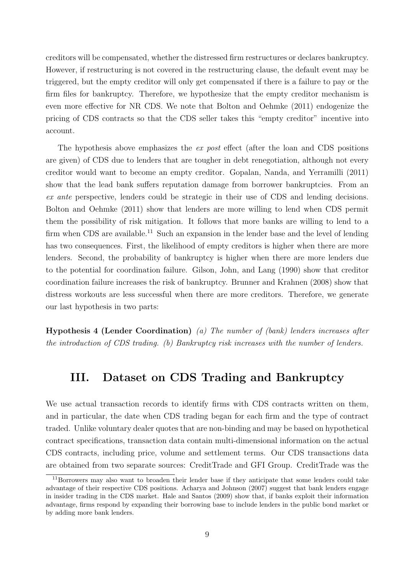creditors will be compensated, whether the distressed firm restructures or declares bankruptcy. However, if restructuring is not covered in the restructuring clause, the default event may be triggered, but the empty creditor will only get compensated if there is a failure to pay or the firm files for bankruptcy. Therefore, we hypothesize that the empty creditor mechanism is even more effective for NR CDS. We note that Bolton and Oehmke (2011) endogenize the pricing of CDS contracts so that the CDS seller takes this "empty creditor" incentive into account.

The hypothesis above emphasizes the *ex post* effect (after the loan and CDS positions are given) of CDS due to lenders that are tougher in debt renegotiation, although not every creditor would want to become an empty creditor. Gopalan, Nanda, and Yerramilli (2011) show that the lead bank suffers reputation damage from borrower bankruptcies. From an *ex ante* perspective, lenders could be strategic in their use of CDS and lending decisions. Bolton and Oehmke (2011) show that lenders are more willing to lend when CDS permit them the possibility of risk mitigation. It follows that more banks are willing to lend to a firm when CDS are available.<sup>11</sup> Such an expansion in the lender base and the level of lending has two consequences. First, the likelihood of empty creditors is higher when there are more lenders. Second, the probability of bankruptcy is higher when there are more lenders due to the potential for coordination failure. Gilson, John, and Lang (1990) show that creditor coordination failure increases the risk of bankruptcy. Brunner and Krahnen (2008) show that distress workouts are less successful when there are more creditors. Therefore, we generate our last hypothesis in two parts:

**Hypothesis 4 (Lender Coordination)** *(a) The number of (bank) lenders increases after the introduction of CDS trading. (b) Bankruptcy risk increases with the number of lenders.*

## **III. Dataset on CDS Trading and Bankruptcy**

We use actual transaction records to identify firms with CDS contracts written on them, and in particular, the date when CDS trading began for each firm and the type of contract traded. Unlike voluntary dealer quotes that are non-binding and may be based on hypothetical contract specifications, transaction data contain multi-dimensional information on the actual CDS contracts, including price, volume and settlement terms. Our CDS transactions data are obtained from two separate sources: CreditTrade and GFI Group. CreditTrade was the

<sup>&</sup>lt;sup>11</sup>Borrowers may also want to broaden their lender base if they anticipate that some lenders could take advantage of their respective CDS positions. Acharya and Johnson (2007) suggest that bank lenders engage in insider trading in the CDS market. Hale and Santos (2009) show that, if banks exploit their information advantage, firms respond by expanding their borrowing base to include lenders in the public bond market or by adding more bank lenders.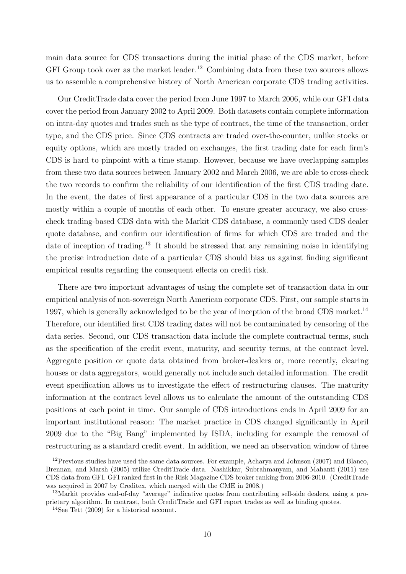main data source for CDS transactions during the initial phase of the CDS market, before GFI Group took over as the market leader.<sup>12</sup> Combining data from these two sources allows us to assemble a comprehensive history of North American corporate CDS trading activities.

Our CreditTrade data cover the period from June 1997 to March 2006, while our GFI data cover the period from January 2002 to April 2009. Both datasets contain complete information on intra-day quotes and trades such as the type of contract, the time of the transaction, order type, and the CDS price. Since CDS contracts are traded over-the-counter, unlike stocks or equity options, which are mostly traded on exchanges, the first trading date for each firm's CDS is hard to pinpoint with a time stamp. However, because we have overlapping samples from these two data sources between January 2002 and March 2006, we are able to cross-check the two records to confirm the reliability of our identification of the first CDS trading date. In the event, the dates of first appearance of a particular CDS in the two data sources are mostly within a couple of months of each other. To ensure greater accuracy, we also crosscheck trading-based CDS data with the Markit CDS database, a commonly used CDS dealer quote database, and confirm our identification of firms for which CDS are traded and the date of inception of trading.<sup>13</sup> It should be stressed that any remaining noise in identifying the precise introduction date of a particular CDS should bias us against finding significant empirical results regarding the consequent effects on credit risk.

There are two important advantages of using the complete set of transaction data in our empirical analysis of non-sovereign North American corporate CDS. First, our sample starts in 1997, which is generally acknowledged to be the year of inception of the broad CDS market.<sup>14</sup> Therefore, our identified first CDS trading dates will not be contaminated by censoring of the data series. Second, our CDS transaction data include the complete contractual terms, such as the specification of the credit event, maturity, and security terms, at the contract level. Aggregate position or quote data obtained from broker-dealers or, more recently, clearing houses or data aggregators, would generally not include such detailed information. The credit event specification allows us to investigate the effect of restructuring clauses. The maturity information at the contract level allows us to calculate the amount of the outstanding CDS positions at each point in time. Our sample of CDS introductions ends in April 2009 for an important institutional reason: The market practice in CDS changed significantly in April 2009 due to the "Big Bang" implemented by ISDA, including for example the removal of restructuring as a standard credit event. In addition, we need an observation window of three

<sup>&</sup>lt;sup>12</sup>Previous studies have used the same data sources. For example, Acharya and Johnson (2007) and Blanco, Brennan, and Marsh (2005) utilize CreditTrade data. Nashikkar, Subrahmanyam, and Mahanti (2011) use CDS data from GFI. GFI ranked first in the Risk Magazine CDS broker ranking from 2006-2010. (CreditTrade was acquired in 2007 by Creditex, which merged with the CME in 2008.)

<sup>&</sup>lt;sup>13</sup>Markit provides end-of-day "average" indicative quotes from contributing sell-side dealers, using a proprietary algorithm. In contrast, both CreditTrade and GFI report trades as well as binding quotes.

<sup>&</sup>lt;sup>14</sup>See Tett  $(2009)$  for a historical account.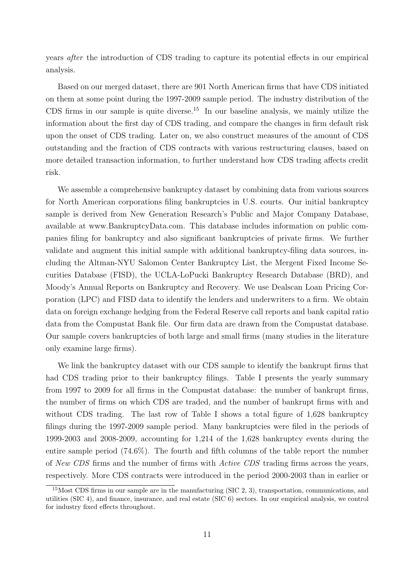years *after* the introduction of CDS trading to capture its potential effects in our empirical analysis.

Based on our merged dataset, there are 901 North American firms that have CDS initiated on them at some point during the 1997-2009 sample period. The industry distribution of the CDS firms in our sample is quite diverse.<sup>15</sup> In our baseline analysis, we mainly utilize the information about the first day of CDS trading, and compare the changes in firm default risk upon the onset of CDS trading. Later on, we also construct measures of the amount of CDS outstanding and the fraction of CDS contracts with various restructuring clauses, based on more detailed transaction information, to further understand how CDS trading affects credit risk.

We assemble a comprehensive bankruptcy dataset by combining data from various sources for North American corporations filing bankruptcies in U.S. courts. Our initial bankruptcy sample is derived from New Generation Research's Public and Major Company Database, available at www.BankruptcyData.com. This database includes information on public companies filing for bankruptcy and also significant bankruptcies of private firms. We further validate and augment this initial sample with additional bankruptcy-filing data sources, including the Altman-NYU Salomon Center Bankruptcy List, the Mergent Fixed Income Securities Database (FISD), the UCLA-LoPucki Bankruptcy Research Database (BRD), and Moody's Annual Reports on Bankruptcy and Recovery. We use Dealscan Loan Pricing Corporation (LPC) and FISD data to identify the lenders and underwriters to a firm. We obtain data on foreign exchange hedging from the Federal Reserve call reports and bank capital ratio data from the Compustat Bank file. Our firm data are drawn from the Compustat database. Our sample covers bankruptcies of both large and small firms (many studies in the literature only examine large firms).

We link the bankruptcy dataset with our CDS sample to identify the bankrupt firms that had CDS trading prior to their bankruptcy filings. Table I presents the yearly summary from 1997 to 2009 for all firms in the Compustat database: the number of bankrupt firms, the number of firms on which CDS are traded, and the number of bankrupt firms with and without CDS trading. The last row of Table I shows a total figure of 1,628 bankruptcy filings during the 1997-2009 sample period. Many bankruptcies were filed in the periods of 1999-2003 and 2008-2009, accounting for 1,214 of the 1,628 bankruptcy events during the entire sample period (74.6%). The fourth and fifth columns of the table report the number of *New CDS* firms and the number of firms with *Active CDS* trading firms across the years, respectively. More CDS contracts were introduced in the period 2000-2003 than in earlier or

<sup>15</sup>Most CDS firms in our sample are in the manufacturing (SIC 2, 3), transportation, communications, and utilities (SIC 4), and finance, insurance, and real estate (SIC 6) sectors. In our empirical analysis, we control for industry fixed effects throughout.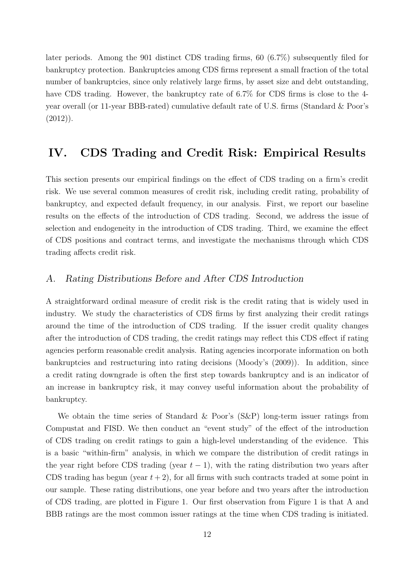later periods. Among the 901 distinct CDS trading firms, 60 (6.7%) subsequently filed for bankruptcy protection. Bankruptcies among CDS firms represent a small fraction of the total number of bankruptcies, since only relatively large firms, by asset size and debt outstanding, have CDS trading. However, the bankruptcy rate of 6.7% for CDS firms is close to the 4year overall (or 11-year BBB-rated) cumulative default rate of U.S. firms (Standard & Poor's  $(2012)$ ).

## **IV. CDS Trading and Credit Risk: Empirical Results**

This section presents our empirical findings on the effect of CDS trading on a firm's credit risk. We use several common measures of credit risk, including credit rating, probability of bankruptcy, and expected default frequency, in our analysis. First, we report our baseline results on the effects of the introduction of CDS trading. Second, we address the issue of selection and endogeneity in the introduction of CDS trading. Third, we examine the effect of CDS positions and contract terms, and investigate the mechanisms through which CDS trading affects credit risk.

## *A. Rating Distributions Before and After CDS Introduction*

A straightforward ordinal measure of credit risk is the credit rating that is widely used in industry. We study the characteristics of CDS firms by first analyzing their credit ratings around the time of the introduction of CDS trading. If the issuer credit quality changes after the introduction of CDS trading, the credit ratings may reflect this CDS effect if rating agencies perform reasonable credit analysis. Rating agencies incorporate information on both bankruptcies and restructuring into rating decisions (Moody's (2009)). In addition, since a credit rating downgrade is often the first step towards bankruptcy and is an indicator of an increase in bankruptcy risk, it may convey useful information about the probability of bankruptcy.

We obtain the time series of Standard & Poor's  $(S\&P)$  long-term issuer ratings from Compustat and FISD. We then conduct an "event study" of the effect of the introduction of CDS trading on credit ratings to gain a high-level understanding of the evidence. This is a basic "within-firm" analysis, in which we compare the distribution of credit ratings in the year right before CDS trading (year  $t-1$ ), with the rating distribution two years after CDS trading has begun (year  $t + 2$ ), for all firms with such contracts traded at some point in our sample. These rating distributions, one year before and two years after the introduction of CDS trading, are plotted in Figure 1. Our first observation from Figure 1 is that A and BBB ratings are the most common issuer ratings at the time when CDS trading is initiated.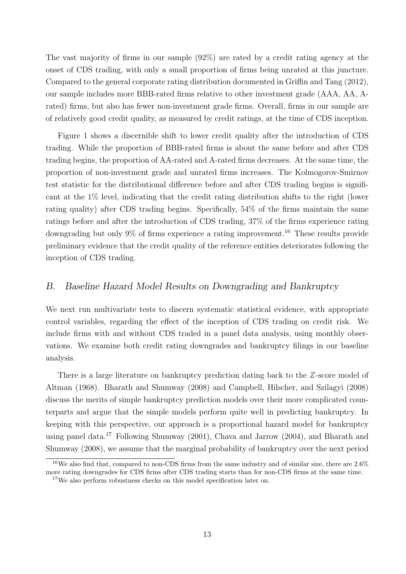The vast majority of firms in our sample (92%) are rated by a credit rating agency at the onset of CDS trading, with only a small proportion of firms being unrated at this juncture. Compared to the general corporate rating distribution documented in Griffin and Tang (2012), our sample includes more BBB-rated firms relative to other investment grade (AAA, AA, Arated) firms, but also has fewer non-investment grade firms. Overall, firms in our sample are of relatively good credit quality, as measured by credit ratings, at the time of CDS inception.

Figure 1 shows a discernible shift to lower credit quality after the introduction of CDS trading. While the proportion of BBB-rated firms is about the same before and after CDS trading begins, the proportion of AA-rated and A-rated firms decreases. At the same time, the proportion of non-investment grade and unrated firms increases. The Kolmogorov-Smirnov test statistic for the distributional difference before and after CDS trading begins is significant at the 1% level, indicating that the credit rating distribution shifts to the right (lower rating quality) after CDS trading begins. Specifically, 54% of the firms maintain the same ratings before and after the introduction of CDS trading, 37% of the firms experience rating downgrading but only  $9\%$  of firms experience a rating improvement.<sup>16</sup> These results provide preliminary evidence that the credit quality of the reference entities deteriorates following the inception of CDS trading.

### *B. Baseline Hazard Model Results on Downgrading and Bankruptcy*

We next run multivariate tests to discern systematic statistical evidence, with appropriate control variables, regarding the effect of the inception of CDS trading on credit risk. We include firms with and without CDS traded in a panel data analysis, using monthly observations. We examine both credit rating downgrades and bankruptcy filings in our baseline analysis.

There is a large literature on bankruptcy prediction dating back to the *Z*-score model of Altman (1968). Bharath and Shumway (2008) and Campbell, Hilscher, and Szilagyi (2008) discuss the merits of simple bankruptcy prediction models over their more complicated counterparts and argue that the simple models perform quite well in predicting bankruptcy. In keeping with this perspective, our approach is a proportional hazard model for bankruptcy using panel data.<sup>17</sup> Following Shumway (2001), Chava and Jarrow (2004), and Bharath and Shumway (2008), we assume that the marginal probability of bankruptcy over the next period

<sup>&</sup>lt;sup>16</sup>We also find that, compared to non-CDS firms from the same industry and of similar size, there are 2.6% more rating downgrades for CDS firms after CDS trading starts than for non-CDS firms at the same time.

<sup>&</sup>lt;sup>17</sup>We also perform robustness checks on this model specification later on.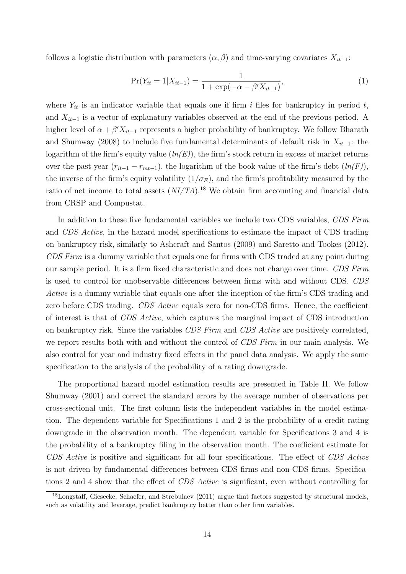follows a logistic distribution with parameters  $(\alpha, \beta)$  and time-varying covariates  $X_{it-1}$ :

$$
Pr(Y_{it} = 1 | X_{it-1}) = \frac{1}{1 + \exp(-\alpha - \beta' X_{it-1})},
$$
\n(1)

where  $Y_{it}$  is an indicator variable that equals one if firm *i* files for bankruptcy in period  $t$ , and *Xit−*<sup>1</sup> is a vector of explanatory variables observed at the end of the previous period. A higher level of  $\alpha + \beta' X_{it-1}$  represents a higher probability of bankruptcy. We follow Bharath and Shumway (2008) to include five fundamental determinants of default risk in *Xit−*<sup>1</sup>: the logarithm of the firm's equity value (*ln(E)*), the firm's stock return in excess of market returns over the past year  $(r_{it-1} - r_{mt-1})$ , the logarithm of the book value of the firm's debt  $(ln(F))$ , the inverse of the firm's equity volatility  $(1/\sigma_E)$ , and the firm's profitability measured by the ratio of net income to total assets (*NI/TA*).<sup>18</sup> We obtain firm accounting and financial data from CRSP and Compustat.

In addition to these five fundamental variables we include two CDS variables, *CDS Firm* and *CDS Active*, in the hazard model specifications to estimate the impact of CDS trading on bankruptcy risk, similarly to Ashcraft and Santos (2009) and Saretto and Tookes (2012). *CDS Firm* is a dummy variable that equals one for firms with CDS traded at any point during our sample period. It is a firm fixed characteristic and does not change over time. *CDS Firm* is used to control for unobservable differences between firms with and without CDS. *CDS Active* is a dummy variable that equals one after the inception of the firm's CDS trading and zero before CDS trading. *CDS Active* equals zero for non-CDS firms. Hence, the coefficient of interest is that of *CDS Active*, which captures the marginal impact of CDS introduction on bankruptcy risk. Since the variables *CDS Firm* and *CDS Active* are positively correlated, we report results both with and without the control of *CDS Firm* in our main analysis. We also control for year and industry fixed effects in the panel data analysis. We apply the same specification to the analysis of the probability of a rating downgrade.

The proportional hazard model estimation results are presented in Table II. We follow Shumway (2001) and correct the standard errors by the average number of observations per cross-sectional unit. The first column lists the independent variables in the model estimation. The dependent variable for Specifications 1 and 2 is the probability of a credit rating downgrade in the observation month. The dependent variable for Specifications 3 and 4 is the probability of a bankruptcy filing in the observation month. The coefficient estimate for *CDS Active* is positive and significant for all four specifications. The effect of *CDS Active* is not driven by fundamental differences between CDS firms and non-CDS firms. Specifications 2 and 4 show that the effect of *CDS Active* is significant, even without controlling for

<sup>&</sup>lt;sup>18</sup>Longstaff, Giesecke, Schaefer, and Strebulaev (2011) argue that factors suggested by structural models, such as volatility and leverage, predict bankruptcy better than other firm variables.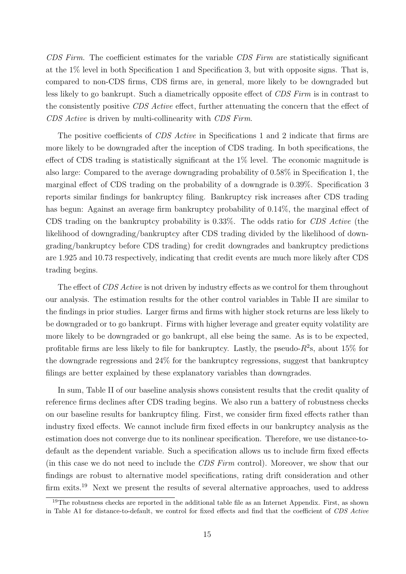*CDS Firm*. The coefficient estimates for the variable *CDS Firm* are statistically significant at the 1% level in both Specification 1 and Specification 3, but with opposite signs. That is, compared to non-CDS firms, CDS firms are, in general, more likely to be downgraded but less likely to go bankrupt. Such a diametrically opposite effect of *CDS Firm* is in contrast to the consistently positive *CDS Active* effect, further attenuating the concern that the effect of *CDS Active* is driven by multi-collinearity with *CDS Firm*.

The positive coefficients of *CDS Active* in Specifications 1 and 2 indicate that firms are more likely to be downgraded after the inception of CDS trading. In both specifications, the effect of CDS trading is statistically significant at the  $1\%$  level. The economic magnitude is also large: Compared to the average downgrading probability of 0.58% in Specification 1, the marginal effect of CDS trading on the probability of a downgrade is 0.39%. Specification 3 reports similar findings for bankruptcy filing. Bankruptcy risk increases after CDS trading has begun: Against an average firm bankruptcy probability of 0.14%, the marginal effect of CDS trading on the bankruptcy probability is 0.33%. The odds ratio for *CDS Active* (the likelihood of downgrading/bankruptcy after CDS trading divided by the likelihood of downgrading/bankruptcy before CDS trading) for credit downgrades and bankruptcy predictions are 1.925 and 10.73 respectively, indicating that credit events are much more likely after CDS trading begins.

The effect of *CDS Active* is not driven by industry effects as we control for them throughout our analysis. The estimation results for the other control variables in Table II are similar to the findings in prior studies. Larger firms and firms with higher stock returns are less likely to be downgraded or to go bankrupt. Firms with higher leverage and greater equity volatility are more likely to be downgraded or go bankrupt, all else being the same. As is to be expected, profitable firms are less likely to file for bankruptcy. Lastly, the pseudo- $R^2$ s, about 15% for the downgrade regressions and 24% for the bankruptcy regressions, suggest that bankruptcy filings are better explained by these explanatory variables than downgrades.

In sum, Table II of our baseline analysis shows consistent results that the credit quality of reference firms declines after CDS trading begins. We also run a battery of robustness checks on our baseline results for bankruptcy filing. First, we consider firm fixed effects rather than industry fixed effects. We cannot include firm fixed effects in our bankruptcy analysis as the estimation does not converge due to its nonlinear specification. Therefore, we use distance-todefault as the dependent variable. Such a specification allows us to include firm fixed effects (in this case we do not need to include the *CDS Firm* control). Moreover, we show that our findings are robust to alternative model specifications, rating drift consideration and other firm exits.<sup>19</sup> Next we present the results of several alternative approaches, used to address

<sup>&</sup>lt;sup>19</sup>The robustness checks are reported in the additional table file as an Internet Appendix. First, as shown in Table A1 for distance-to-default, we control for fixed effects and find that the coefficient of *CDS Active*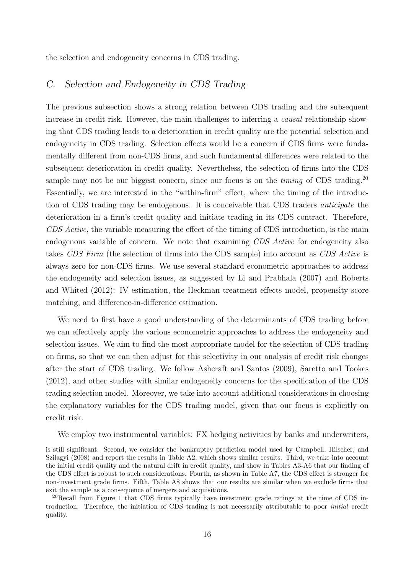the selection and endogeneity concerns in CDS trading.

## *C. Selection and Endogeneity in CDS Trading*

The previous subsection shows a strong relation between CDS trading and the subsequent increase in credit risk. However, the main challenges to inferring a *causal* relationship showing that CDS trading leads to a deterioration in credit quality are the potential selection and endogeneity in CDS trading. Selection effects would be a concern if CDS firms were fundamentally different from non-CDS firms, and such fundamental differences were related to the subsequent deterioration in credit quality. Nevertheless, the selection of firms into the CDS sample may not be our biggest concern, since our focus is on the *timing* of CDS trading.<sup>20</sup> Essentially, we are interested in the "within-firm" effect, where the timing of the introduction of CDS trading may be endogenous. It is conceivable that CDS traders *anticipate* the deterioration in a firm's credit quality and initiate trading in its CDS contract. Therefore, *CDS Active*, the variable measuring the effect of the timing of CDS introduction, is the main endogenous variable of concern. We note that examining *CDS Active* for endogeneity also takes *CDS Firm* (the selection of firms into the CDS sample) into account as *CDS Active* is always zero for non-CDS firms. We use several standard econometric approaches to address the endogeneity and selection issues, as suggested by Li and Prabhala (2007) and Roberts and Whited (2012): IV estimation, the Heckman treatment effects model, propensity score matching, and difference-in-difference estimation.

We need to first have a good understanding of the determinants of CDS trading before we can effectively apply the various econometric approaches to address the endogeneity and selection issues. We aim to find the most appropriate model for the selection of CDS trading on firms, so that we can then adjust for this selectivity in our analysis of credit risk changes after the start of CDS trading. We follow Ashcraft and Santos (2009), Saretto and Tookes (2012), and other studies with similar endogeneity concerns for the specification of the CDS trading selection model. Moreover, we take into account additional considerations in choosing the explanatory variables for the CDS trading model, given that our focus is explicitly on credit risk.

We employ two instrumental variables: FX hedging activities by banks and underwriters,

is still significant. Second, we consider the bankruptcy prediction model used by Campbell, Hilscher, and Szilagyi (2008) and report the results in Table A2, which shows similar results. Third, we take into account the initial credit quality and the natural drift in credit quality, and show in Tables A3-A6 that our finding of the CDS effect is robust to such considerations. Fourth, as shown in Table A7, the CDS effect is stronger for non-investment grade firms. Fifth, Table A8 shows that our results are similar when we exclude firms that exit the sample as a consequence of mergers and acquisitions.

<sup>20</sup>Recall from Figure 1 that CDS firms typically have investment grade ratings at the time of CDS introduction. Therefore, the initiation of CDS trading is not necessarily attributable to poor *initial* credit quality.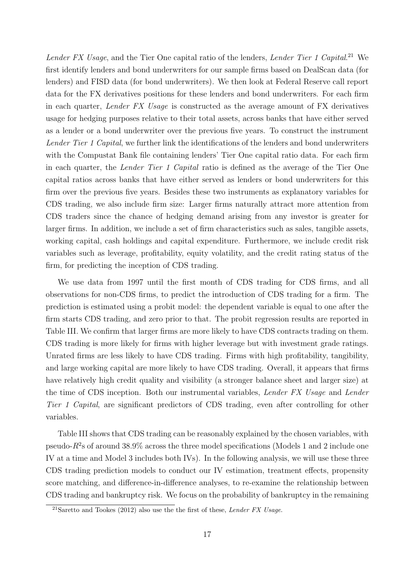*Lender FX Usage*, and the Tier One capital ratio of the lenders, *Lender Tier 1 Capital*. <sup>21</sup> We first identify lenders and bond underwriters for our sample firms based on DealScan data (for lenders) and FISD data (for bond underwriters). We then look at Federal Reserve call report data for the FX derivatives positions for these lenders and bond underwriters. For each firm in each quarter, *Lender FX Usage* is constructed as the average amount of FX derivatives usage for hedging purposes relative to their total assets, across banks that have either served as a lender or a bond underwriter over the previous five years. To construct the instrument *Lender Tier 1 Capital*, we further link the identifications of the lenders and bond underwriters with the Compustat Bank file containing lenders' Tier One capital ratio data. For each firm in each quarter, the *Lender Tier 1 Capital* ratio is defined as the average of the Tier One capital ratios across banks that have either served as lenders or bond underwriters for this firm over the previous five years. Besides these two instruments as explanatory variables for CDS trading, we also include firm size: Larger firms naturally attract more attention from CDS traders since the chance of hedging demand arising from any investor is greater for larger firms. In addition, we include a set of firm characteristics such as sales, tangible assets, working capital, cash holdings and capital expenditure. Furthermore, we include credit risk variables such as leverage, profitability, equity volatility, and the credit rating status of the firm, for predicting the inception of CDS trading.

We use data from 1997 until the first month of CDS trading for CDS firms, and all observations for non-CDS firms, to predict the introduction of CDS trading for a firm. The prediction is estimated using a probit model: the dependent variable is equal to one after the firm starts CDS trading, and zero prior to that. The probit regression results are reported in Table III. We confirm that larger firms are more likely to have CDS contracts trading on them. CDS trading is more likely for firms with higher leverage but with investment grade ratings. Unrated firms are less likely to have CDS trading. Firms with high profitability, tangibility, and large working capital are more likely to have CDS trading. Overall, it appears that firms have relatively high credit quality and visibility (a stronger balance sheet and larger size) at the time of CDS inception. Both our instrumental variables, *Lender FX Usage* and *Lender Tier 1 Capital*, are significant predictors of CDS trading, even after controlling for other variables.

Table III shows that CDS trading can be reasonably explained by the chosen variables, with pseudo-*R*<sup>2</sup> s of around 38.9% across the three model specifications (Models 1 and 2 include one IV at a time and Model 3 includes both IVs). In the following analysis, we will use these three CDS trading prediction models to conduct our IV estimation, treatment effects, propensity score matching, and difference-in-difference analyses, to re-examine the relationship between CDS trading and bankruptcy risk. We focus on the probability of bankruptcy in the remaining

<sup>21</sup>Saretto and Tookes (2012) also use the the first of these, *Lender FX Usage*.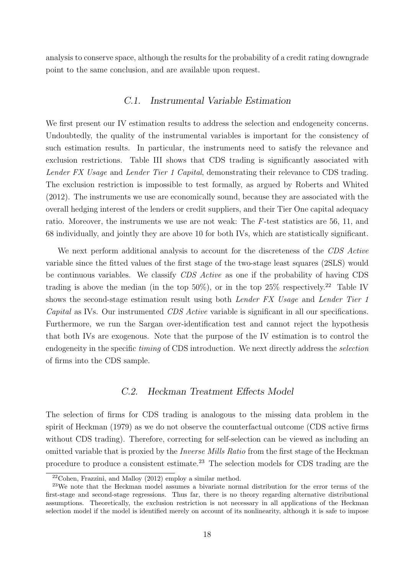analysis to conserve space, although the results for the probability of a credit rating downgrade point to the same conclusion, and are available upon request.

## *C.1. Instrumental Variable Estimation*

We first present our IV estimation results to address the selection and endogeneity concerns. Undoubtedly, the quality of the instrumental variables is important for the consistency of such estimation results. In particular, the instruments need to satisfy the relevance and exclusion restrictions. Table III shows that CDS trading is significantly associated with *Lender FX Usage* and *Lender Tier 1 Capital*, demonstrating their relevance to CDS trading. The exclusion restriction is impossible to test formally, as argued by Roberts and Whited (2012). The instruments we use are economically sound, because they are associated with the overall hedging interest of the lenders or credit suppliers, and their Tier One capital adequacy ratio. Moreover, the instruments we use are not weak: The *F*-test statistics are 56, 11, and 68 individually, and jointly they are above 10 for both IVs, which are statistically significant.

We next perform additional analysis to account for the discreteness of the *CDS Active* variable since the fitted values of the first stage of the two-stage least squares (2SLS) would be continuous variables. We classify *CDS Active* as one if the probability of having CDS trading is above the median (in the top  $50\%$ ), or in the top  $25\%$  respectively.<sup>22</sup> Table IV shows the second-stage estimation result using both *Lender FX Usage* and *Lender Tier 1 Capital* as IVs. Our instrumented *CDS Active* variable is significant in all our specifications. Furthermore, we run the Sargan over-identification test and cannot reject the hypothesis that both IVs are exogenous. Note that the purpose of the IV estimation is to control the endogeneity in the specific *timing* of CDS introduction. We next directly address the *selection* of firms into the CDS sample.

### *C.2. Heckman Treatment Effects Model*

The selection of firms for CDS trading is analogous to the missing data problem in the spirit of Heckman (1979) as we do not observe the counterfactual outcome (CDS active firms without CDS trading). Therefore, correcting for self-selection can be viewed as including an omitted variable that is proxied by the *Inverse Mills Ratio* from the first stage of the Heckman procedure to produce a consistent estimate.<sup>23</sup> The selection models for CDS trading are the

<sup>22</sup>Cohen, Frazzini, and Malloy (2012) employ a similar method.

<sup>&</sup>lt;sup>23</sup>We note that the Heckman model assumes a bivariate normal distribution for the error terms of the first-stage and second-stage regressions. Thus far, there is no theory regarding alternative distributional assumptions. Theoretically, the exclusion restriction is not necessary in all applications of the Heckman selection model if the model is identified merely on account of its nonlinearity, although it is safe to impose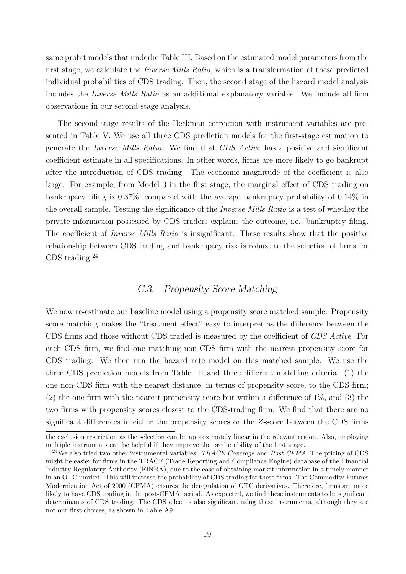same probit models that underlie Table III. Based on the estimated model parameters from the first stage, we calculate the *Inverse Mills Ratio*, which is a transformation of these predicted individual probabilities of CDS trading. Then, the second stage of the hazard model analysis includes the *Inverse Mills Ratio* as an additional explanatory variable. We include all firm observations in our second-stage analysis.

The second-stage results of the Heckman correction with instrument variables are presented in Table V. We use all three CDS prediction models for the first-stage estimation to generate the *Inverse Mills Ratio*. We find that *CDS Active* has a positive and significant coefficient estimate in all specifications. In other words, firms are more likely to go bankrupt after the introduction of CDS trading. The economic magnitude of the coefficient is also large. For example, from Model 3 in the first stage, the marginal effect of CDS trading on bankruptcy filing is 0.37%, compared with the average bankruptcy probability of 0.14% in the overall sample. Testing the significance of the *Inverse Mills Ratio* is a test of whether the private information possessed by CDS traders explains the outcome, i.e., bankruptcy filing. The coefficient of *Inverse Mills Ratio* is insignificant. These results show that the positive relationship between CDS trading and bankruptcy risk is robust to the selection of firms for CDS trading. $24$ 

## *C.3. Propensity Score Matching*

We now re-estimate our baseline model using a propensity score matched sample. Propensity score matching makes the "treatment effect" easy to interpret as the difference between the CDS firms and those without CDS traded is measured by the coefficient of *CDS Active*. For each CDS firm, we find one matching non-CDS firm with the nearest propensity score for CDS trading. We then run the hazard rate model on this matched sample. We use the three CDS prediction models from Table III and three different matching criteria: (1) the one non-CDS firm with the nearest distance, in terms of propensity score, to the CDS firm;  $(2)$  the one firm with the nearest propensity score but within a difference of  $1\%$ , and  $(3)$  the two firms with propensity scores closest to the CDS-trading firm. We find that there are no significant differences in either the propensity scores or the *Z*-score between the CDS firms

the exclusion restriction as the selection can be approximately linear in the relevant region. Also, employing multiple instruments can be helpful if they improve the predictability of the first stage.

<sup>24</sup>We also tried two other instrumental variables: *TRACE Coverage* and *Post CFMA*. The pricing of CDS might be easier for firms in the TRACE (Trade Reporting and Compliance Engine) database of the Financial Industry Regulatory Authority (FINRA), due to the ease of obtaining market information in a timely manner in an OTC market. This will increase the probability of CDS trading for these firms. The Commodity Futures Modernization Act of 2000 (CFMA) ensures the deregulation of OTC derivatives. Therefore, firms are more likely to have CDS trading in the post-CFMA period. As expected, we find these instruments to be significant determinants of CDS trading. The CDS effect is also significant using these instruments, although they are not our first choices, as shown in Table A9.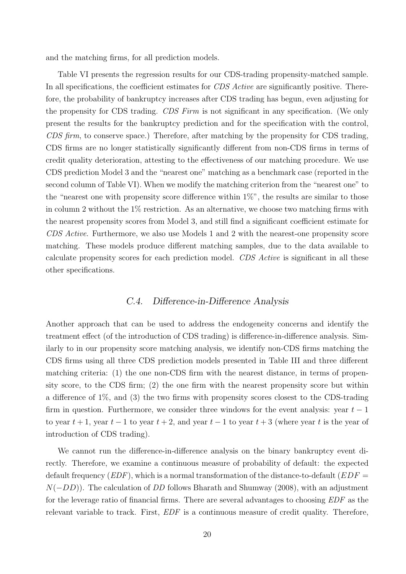and the matching firms, for all prediction models.

Table VI presents the regression results for our CDS-trading propensity-matched sample. In all specifications, the coefficient estimates for *CDS Active* are significantly positive. Therefore, the probability of bankruptcy increases after CDS trading has begun, even adjusting for the propensity for CDS trading. *CDS Firm* is not significant in any specification. (We only present the results for the bankruptcy prediction and for the specification with the control, *CDS firm*, to conserve space.) Therefore, after matching by the propensity for CDS trading, CDS firms are no longer statistically significantly different from non-CDS firms in terms of credit quality deterioration, attesting to the effectiveness of our matching procedure. We use CDS prediction Model 3 and the "nearest one" matching as a benchmark case (reported in the second column of Table VI). When we modify the matching criterion from the "nearest one" to the "nearest one with propensity score difference within  $1\%$ ", the results are similar to those in column 2 without the  $1\%$  restriction. As an alternative, we choose two matching firms with the nearest propensity scores from Model 3, and still find a significant coefficient estimate for *CDS Active*. Furthermore, we also use Models 1 and 2 with the nearest-one propensity score matching. These models produce different matching samples, due to the data available to calculate propensity scores for each prediction model. *CDS Active* is significant in all these other specifications.

### *C.4. Difference-in-Difference Analysis*

Another approach that can be used to address the endogeneity concerns and identify the treatment effect (of the introduction of CDS trading) is difference-in-difference analysis. Similarly to in our propensity score matching analysis, we identify non-CDS firms matching the CDS firms using all three CDS prediction models presented in Table III and three different matching criteria: (1) the one non-CDS firm with the nearest distance, in terms of propensity score, to the CDS firm; (2) the one firm with the nearest propensity score but within a difference of 1%, and (3) the two firms with propensity scores closest to the CDS-trading firm in question. Furthermore, we consider three windows for the event analysis: year *t −* 1 to year  $t + 1$ , year  $t - 1$  to year  $t + 2$ , and year  $t - 1$  to year  $t + 3$  (where year  $t$  is the year of introduction of CDS trading).

We cannot run the difference-in-difference analysis on the binary bankruptcy event directly. Therefore, we examine a continuous measure of probability of default: the expected default frequency (*EDF*), which is a normal transformation of the distance-to-default (*EDF* = *N*(*−DD*)). The calculation of *DD* follows Bharath and Shumway (2008), with an adjustment for the leverage ratio of financial firms. There are several advantages to choosing *EDF* as the relevant variable to track. First, *EDF* is a continuous measure of credit quality. Therefore,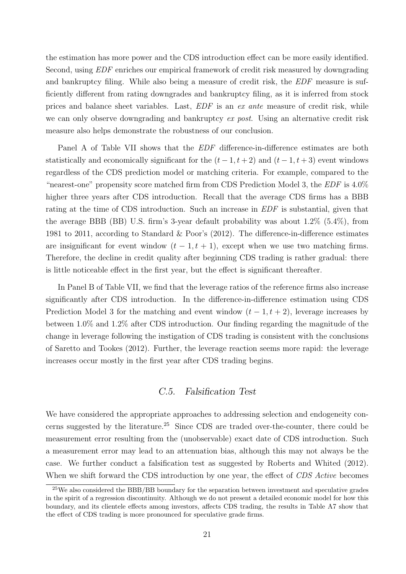the estimation has more power and the CDS introduction effect can be more easily identified. Second, using *EDF* enriches our empirical framework of credit risk measured by downgrading and bankruptcy filing. While also being a measure of credit risk, the *EDF* measure is sufficiently different from rating downgrades and bankruptcy filing, as it is inferred from stock prices and balance sheet variables. Last, *EDF* is an *ex ante* measure of credit risk, while we can only observe downgrading and bankruptcy *ex post*. Using an alternative credit risk measure also helps demonstrate the robustness of our conclusion.

Panel A of Table VII shows that the *EDF* difference-in-difference estimates are both statistically and economically significant for the  $(t-1, t+2)$  and  $(t-1, t+3)$  event windows regardless of the CDS prediction model or matching criteria. For example, compared to the "nearest-one" propensity score matched firm from CDS Prediction Model 3, the *EDF* is 4.0% higher three years after CDS introduction. Recall that the average CDS firms has a BBB rating at the time of CDS introduction. Such an increase in *EDF* is substantial, given that the average BBB (BB) U.S. firm's 3-year default probability was about 1.2% (5.4%), from 1981 to 2011, according to Standard & Poor's (2012). The difference-in-difference estimates are insignificant for event window  $(t-1, t+1)$ , except when we use two matching firms. Therefore, the decline in credit quality after beginning CDS trading is rather gradual: there is little noticeable effect in the first year, but the effect is significant thereafter.

In Panel B of Table VII, we find that the leverage ratios of the reference firms also increase significantly after CDS introduction. In the difference-in-difference estimation using CDS Prediction Model 3 for the matching and event window (*t −* 1*, t* + 2), leverage increases by between 1.0% and 1.2% after CDS introduction. Our finding regarding the magnitude of the change in leverage following the instigation of CDS trading is consistent with the conclusions of Saretto and Tookes (2012). Further, the leverage reaction seems more rapid: the leverage increases occur mostly in the first year after CDS trading begins.

## *C.5. Falsification Test*

We have considered the appropriate approaches to addressing selection and endogeneity concerns suggested by the literature.<sup>25</sup> Since CDS are traded over-the-counter, there could be measurement error resulting from the (unobservable) exact date of CDS introduction. Such a measurement error may lead to an attenuation bias, although this may not always be the case. We further conduct a falsification test as suggested by Roberts and Whited (2012). When we shift forward the CDS introduction by one year, the effect of *CDS Active* becomes

<sup>&</sup>lt;sup>25</sup>We also considered the BBB/BB boundary for the separation between investment and speculative grades in the spirit of a regression discontinuity. Although we do not present a detailed economic model for how this boundary, and its clientele effects among investors, affects CDS trading, the results in Table A7 show that the effect of CDS trading is more pronounced for speculative grade firms.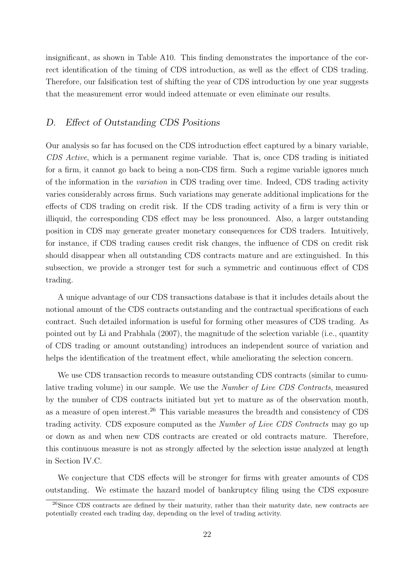insignificant, as shown in Table A10. This finding demonstrates the importance of the correct identification of the timing of CDS introduction, as well as the effect of CDS trading. Therefore, our falsification test of shifting the year of CDS introduction by one year suggests that the measurement error would indeed attenuate or even eliminate our results.

## *D. Effect of Outstanding CDS Positions*

Our analysis so far has focused on the CDS introduction effect captured by a binary variable, *CDS Active*, which is a permanent regime variable. That is, once CDS trading is initiated for a firm, it cannot go back to being a non-CDS firm. Such a regime variable ignores much of the information in the *variation* in CDS trading over time. Indeed, CDS trading activity varies considerably across firms. Such variations may generate additional implications for the effects of CDS trading on credit risk. If the CDS trading activity of a firm is very thin or illiquid, the corresponding CDS effect may be less pronounced. Also, a larger outstanding position in CDS may generate greater monetary consequences for CDS traders. Intuitively, for instance, if CDS trading causes credit risk changes, the influence of CDS on credit risk should disappear when all outstanding CDS contracts mature and are extinguished. In this subsection, we provide a stronger test for such a symmetric and continuous effect of CDS trading.

A unique advantage of our CDS transactions database is that it includes details about the notional amount of the CDS contracts outstanding and the contractual specifications of each contract. Such detailed information is useful for forming other measures of CDS trading. As pointed out by Li and Prabhala (2007), the magnitude of the selection variable (i.e., quantity of CDS trading or amount outstanding) introduces an independent source of variation and helps the identification of the treatment effect, while ameliorating the selection concern.

We use CDS transaction records to measure outstanding CDS contracts (similar to cumulative trading volume) in our sample. We use the *Number of Live CDS Contracts*, measured by the number of CDS contracts initiated but yet to mature as of the observation month, as a measure of open interest. $26$  This variable measures the breadth and consistency of CDS trading activity. CDS exposure computed as the *Number of Live CDS Contracts* may go up or down as and when new CDS contracts are created or old contracts mature. Therefore, this continuous measure is not as strongly affected by the selection issue analyzed at length in Section IV.C.

We conjecture that CDS effects will be stronger for firms with greater amounts of CDS outstanding. We estimate the hazard model of bankruptcy filing using the CDS exposure

<sup>&</sup>lt;sup>26</sup>Since CDS contracts are defined by their maturity, rather than their maturity date, new contracts are potentially created each trading day, depending on the level of trading activity.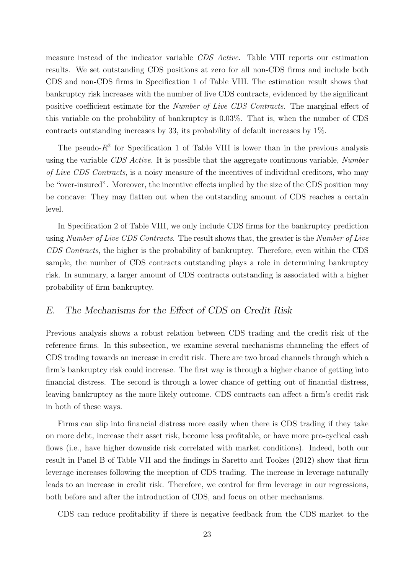measure instead of the indicator variable *CDS Active*. Table VIII reports our estimation results. We set outstanding CDS positions at zero for all non-CDS firms and include both CDS and non-CDS firms in Specification 1 of Table VIII. The estimation result shows that bankruptcy risk increases with the number of live CDS contracts, evidenced by the significant positive coefficient estimate for the *Number of Live CDS Contracts*. The marginal effect of this variable on the probability of bankruptcy is 0.03%. That is, when the number of CDS contracts outstanding increases by 33, its probability of default increases by 1%.

The pseudo- $R<sup>2</sup>$  for Specification 1 of Table VIII is lower than in the previous analysis using the variable *CDS Active*. It is possible that the aggregate continuous variable, *Number of Live CDS Contracts*, is a noisy measure of the incentives of individual creditors, who may be "over-insured". Moreover, the incentive effects implied by the size of the CDS position may be concave: They may flatten out when the outstanding amount of CDS reaches a certain level.

In Specification 2 of Table VIII, we only include CDS firms for the bankruptcy prediction using *Number of Live CDS Contracts*. The result shows that, the greater is the *Number of Live CDS Contracts*, the higher is the probability of bankruptcy. Therefore, even within the CDS sample, the number of CDS contracts outstanding plays a role in determining bankruptcy risk. In summary, a larger amount of CDS contracts outstanding is associated with a higher probability of firm bankruptcy.

## *E. The Mechanisms for the Effect of CDS on Credit Risk*

Previous analysis shows a robust relation between CDS trading and the credit risk of the reference firms. In this subsection, we examine several mechanisms channeling the effect of CDS trading towards an increase in credit risk. There are two broad channels through which a firm's bankruptcy risk could increase. The first way is through a higher chance of getting into financial distress. The second is through a lower chance of getting out of financial distress, leaving bankruptcy as the more likely outcome. CDS contracts can affect a firm's credit risk in both of these ways.

Firms can slip into financial distress more easily when there is CDS trading if they take on more debt, increase their asset risk, become less profitable, or have more pro-cyclical cash flows (i.e., have higher downside risk correlated with market conditions). Indeed, both our result in Panel B of Table VII and the findings in Saretto and Tookes (2012) show that firm leverage increases following the inception of CDS trading. The increase in leverage naturally leads to an increase in credit risk. Therefore, we control for firm leverage in our regressions, both before and after the introduction of CDS, and focus on other mechanisms.

CDS can reduce profitability if there is negative feedback from the CDS market to the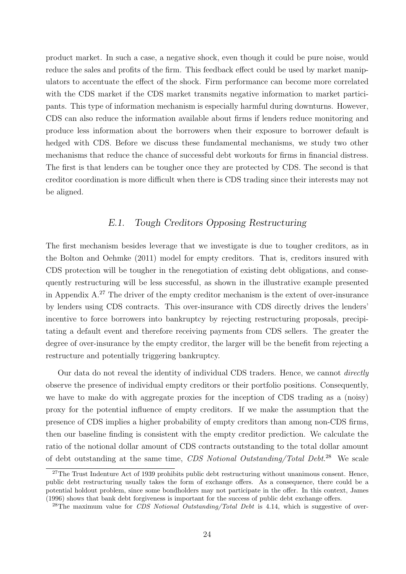product market. In such a case, a negative shock, even though it could be pure noise, would reduce the sales and profits of the firm. This feedback effect could be used by market manipulators to accentuate the effect of the shock. Firm performance can become more correlated with the CDS market if the CDS market transmits negative information to market participants. This type of information mechanism is especially harmful during downturns. However, CDS can also reduce the information available about firms if lenders reduce monitoring and produce less information about the borrowers when their exposure to borrower default is hedged with CDS. Before we discuss these fundamental mechanisms, we study two other mechanisms that reduce the chance of successful debt workouts for firms in financial distress. The first is that lenders can be tougher once they are protected by CDS. The second is that creditor coordination is more difficult when there is CDS trading since their interests may not be aligned.

## *E.1. Tough Creditors Opposing Restructuring*

The first mechanism besides leverage that we investigate is due to tougher creditors, as in the Bolton and Oehmke (2011) model for empty creditors. That is, creditors insured with CDS protection will be tougher in the renegotiation of existing debt obligations, and consequently restructuring will be less successful, as shown in the illustrative example presented in Appendix A.<sup>27</sup> The driver of the empty creditor mechanism is the extent of over-insurance by lenders using CDS contracts. This over-insurance with CDS directly drives the lenders' incentive to force borrowers into bankruptcy by rejecting restructuring proposals, precipitating a default event and therefore receiving payments from CDS sellers. The greater the degree of over-insurance by the empty creditor, the larger will be the benefit from rejecting a restructure and potentially triggering bankruptcy.

Our data do not reveal the identity of individual CDS traders. Hence, we cannot *directly* observe the presence of individual empty creditors or their portfolio positions. Consequently, we have to make do with aggregate proxies for the inception of CDS trading as a (noisy) proxy for the potential influence of empty creditors. If we make the assumption that the presence of CDS implies a higher probability of empty creditors than among non-CDS firms, then our baseline finding is consistent with the empty creditor prediction. We calculate the ratio of the notional dollar amount of CDS contracts outstanding to the total dollar amount of debt outstanding at the same time, *CDS Notional Outstanding/Total Debt*. <sup>28</sup> We scale

 $27$ The Trust Indenture Act of 1939 prohibits public debt restructuring without unanimous consent. Hence, public debt restructuring usually takes the form of exchange offers. As a consequence, there could be a potential holdout problem, since some bondholders may not participate in the offer. In this context, James (1996) shows that bank debt forgiveness is important for the success of public debt exchange offers.

<sup>28</sup>The maximum value for *CDS Notional Outstanding/Total Debt* is 4.14, which is suggestive of over-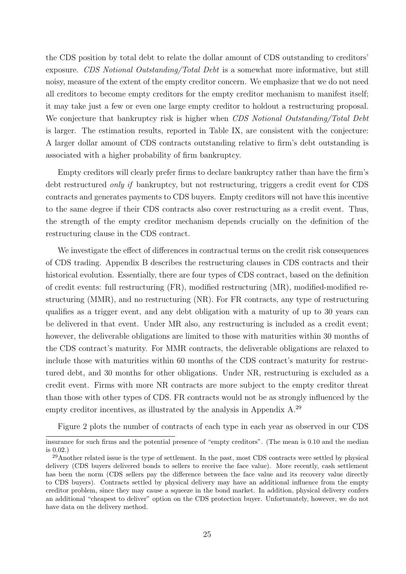the CDS position by total debt to relate the dollar amount of CDS outstanding to creditors' exposure. *CDS Notional Outstanding/Total Debt* is a somewhat more informative, but still noisy, measure of the extent of the empty creditor concern. We emphasize that we do not need all creditors to become empty creditors for the empty creditor mechanism to manifest itself; it may take just a few or even one large empty creditor to holdout a restructuring proposal. We conjecture that bankruptcy risk is higher when *CDS Notional Outstanding/Total Debt* is larger. The estimation results, reported in Table IX, are consistent with the conjecture: A larger dollar amount of CDS contracts outstanding relative to firm's debt outstanding is associated with a higher probability of firm bankruptcy.

Empty creditors will clearly prefer firms to declare bankruptcy rather than have the firm's debt restructured *only if* bankruptcy, but not restructuring, triggers a credit event for CDS contracts and generates payments to CDS buyers. Empty creditors will not have this incentive to the same degree if their CDS contracts also cover restructuring as a credit event. Thus, the strength of the empty creditor mechanism depends crucially on the definition of the restructuring clause in the CDS contract.

We investigate the effect of differences in contractual terms on the credit risk consequences of CDS trading. Appendix B describes the restructuring clauses in CDS contracts and their historical evolution. Essentially, there are four types of CDS contract, based on the definition of credit events: full restructuring (FR), modified restructuring (MR), modified-modified restructuring (MMR), and no restructuring (NR). For FR contracts, any type of restructuring qualifies as a trigger event, and any debt obligation with a maturity of up to 30 years can be delivered in that event. Under MR also, any restructuring is included as a credit event; however, the deliverable obligations are limited to those with maturities within 30 months of the CDS contract's maturity. For MMR contracts, the deliverable obligations are relaxed to include those with maturities within 60 months of the CDS contract's maturity for restructured debt, and 30 months for other obligations. Under NR, restructuring is excluded as a credit event. Firms with more NR contracts are more subject to the empty creditor threat than those with other types of CDS. FR contracts would not be as strongly influenced by the empty creditor incentives, as illustrated by the analysis in Appendix  $A^{29}$ 

Figure 2 plots the number of contracts of each type in each year as observed in our CDS

insurance for such firms and the potential presence of "empty creditors". (The mean is 0.10 and the median is 0.02.)

<sup>&</sup>lt;sup>29</sup>Another related issue is the type of settlement. In the past, most CDS contracts were settled by physical delivery (CDS buyers delivered bonds to sellers to receive the face value). More recently, cash settlement has been the norm (CDS sellers pay the difference between the face value and its recovery value directly to CDS buyers). Contracts settled by physical delivery may have an additional influence from the empty creditor problem, since they may cause a squeeze in the bond market. In addition, physical delivery confers an additional "cheapest to deliver" option on the CDS protection buyer. Unfortunately, however, we do not have data on the delivery method.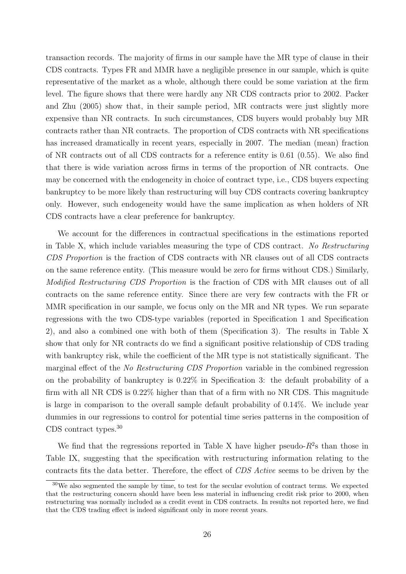transaction records. The majority of firms in our sample have the MR type of clause in their CDS contracts. Types FR and MMR have a negligible presence in our sample, which is quite representative of the market as a whole, although there could be some variation at the firm level. The figure shows that there were hardly any NR CDS contracts prior to 2002. Packer and Zhu (2005) show that, in their sample period, MR contracts were just slightly more expensive than NR contracts. In such circumstances, CDS buyers would probably buy MR contracts rather than NR contracts. The proportion of CDS contracts with NR specifications has increased dramatically in recent years, especially in 2007. The median (mean) fraction of NR contracts out of all CDS contracts for a reference entity is 0.61 (0.55). We also find that there is wide variation across firms in terms of the proportion of NR contracts. One may be concerned with the endogeneity in choice of contract type, i.e., CDS buyers expecting bankruptcy to be more likely than restructuring will buy CDS contracts covering bankruptcy only. However, such endogeneity would have the same implication as when holders of NR CDS contracts have a clear preference for bankruptcy.

We account for the differences in contractual specifications in the estimations reported in Table X, which include variables measuring the type of CDS contract. *No Restructuring CDS Proportion* is the fraction of CDS contracts with NR clauses out of all CDS contracts on the same reference entity. (This measure would be zero for firms without CDS.) Similarly, *Modified Restructuring CDS Proportion* is the fraction of CDS with MR clauses out of all contracts on the same reference entity. Since there are very few contracts with the FR or MMR specification in our sample, we focus only on the MR and NR types. We run separate regressions with the two CDS-type variables (reported in Specification 1 and Specification 2), and also a combined one with both of them (Specification 3). The results in Table X show that only for NR contracts do we find a significant positive relationship of CDS trading with bankruptcy risk, while the coefficient of the MR type is not statistically significant. The marginal effect of the *No Restructuring CDS Proportion* variable in the combined regression on the probability of bankruptcy is 0.22% in Specification 3: the default probability of a firm with all NR CDS is 0.22% higher than that of a firm with no NR CDS. This magnitude is large in comparison to the overall sample default probability of 0.14%. We include year dummies in our regressions to control for potential time series patterns in the composition of CDS contract types.<sup>30</sup>

We find that the regressions reported in Table  $X$  have higher pseudo- $R^2$ s than those in Table IX, suggesting that the specification with restructuring information relating to the contracts fits the data better. Therefore, the effect of *CDS Active* seems to be driven by the

<sup>30</sup>We also segmented the sample by time, to test for the secular evolution of contract terms. We expected that the restructuring concern should have been less material in influencing credit risk prior to 2000, when restructuring was normally included as a credit event in CDS contracts. In results not reported here, we find that the CDS trading effect is indeed significant only in more recent years.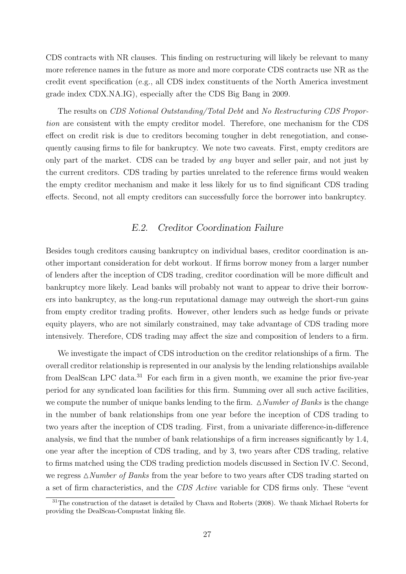CDS contracts with NR clauses. This finding on restructuring will likely be relevant to many more reference names in the future as more and more corporate CDS contracts use NR as the credit event specification (e.g., all CDS index constituents of the North America investment grade index CDX.NA.IG), especially after the CDS Big Bang in 2009.

The results on *CDS Notional Outstanding/Total Debt* and *No Restructuring CDS Proportion* are consistent with the empty creditor model. Therefore, one mechanism for the CDS effect on credit risk is due to creditors becoming tougher in debt renegotiation, and consequently causing firms to file for bankruptcy. We note two caveats. First, empty creditors are only part of the market. CDS can be traded by *any* buyer and seller pair, and not just by the current creditors. CDS trading by parties unrelated to the reference firms would weaken the empty creditor mechanism and make it less likely for us to find significant CDS trading effects. Second, not all empty creditors can successfully force the borrower into bankruptcy.

## *E.2. Creditor Coordination Failure*

Besides tough creditors causing bankruptcy on individual bases, creditor coordination is another important consideration for debt workout. If firms borrow money from a larger number of lenders after the inception of CDS trading, creditor coordination will be more difficult and bankruptcy more likely. Lead banks will probably not want to appear to drive their borrowers into bankruptcy, as the long-run reputational damage may outweigh the short-run gains from empty creditor trading profits. However, other lenders such as hedge funds or private equity players, who are not similarly constrained, may take advantage of CDS trading more intensively. Therefore, CDS trading may affect the size and composition of lenders to a firm.

We investigate the impact of CDS introduction on the creditor relationships of a firm. The overall creditor relationship is represented in our analysis by the lending relationships available from DealScan LPC data.<sup>31</sup> For each firm in a given month, we examine the prior five-year period for any syndicated loan facilities for this firm. Summing over all such active facilities, we compute the number of unique banks lending to the firm. △*Number of Banks* is the change in the number of bank relationships from one year before the inception of CDS trading to two years after the inception of CDS trading. First, from a univariate difference-in-difference analysis, we find that the number of bank relationships of a firm increases significantly by 1.4, one year after the inception of CDS trading, and by 3, two years after CDS trading, relative to firms matched using the CDS trading prediction models discussed in Section IV.C. Second, we regress △*Number of Banks* from the year before to two years after CDS trading started on a set of firm characteristics, and the *CDS Active* variable for CDS firms only. These "event

<sup>&</sup>lt;sup>31</sup>The construction of the dataset is detailed by Chava and Roberts (2008). We thank Michael Roberts for providing the DealScan-Compustat linking file.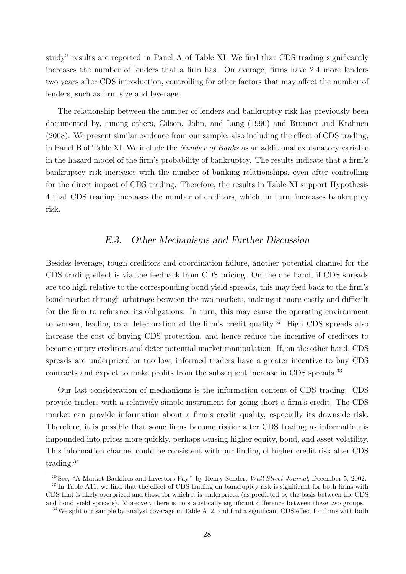study" results are reported in Panel A of Table XI. We find that CDS trading significantly increases the number of lenders that a firm has. On average, firms have 2.4 more lenders two years after CDS introduction, controlling for other factors that may affect the number of lenders, such as firm size and leverage.

The relationship between the number of lenders and bankruptcy risk has previously been documented by, among others, Gilson, John, and Lang (1990) and Brunner and Krahnen (2008). We present similar evidence from our sample, also including the effect of CDS trading, in Panel B of Table XI. We include the *Number of Banks* as an additional explanatory variable in the hazard model of the firm's probability of bankruptcy. The results indicate that a firm's bankruptcy risk increases with the number of banking relationships, even after controlling for the direct impact of CDS trading. Therefore, the results in Table XI support Hypothesis 4 that CDS trading increases the number of creditors, which, in turn, increases bankruptcy risk.

### *E.3. Other Mechanisms and Further Discussion*

Besides leverage, tough creditors and coordination failure, another potential channel for the CDS trading effect is via the feedback from CDS pricing. On the one hand, if CDS spreads are too high relative to the corresponding bond yield spreads, this may feed back to the firm's bond market through arbitrage between the two markets, making it more costly and difficult for the firm to refinance its obligations. In turn, this may cause the operating environment to worsen, leading to a deterioration of the firm's credit quality.<sup>32</sup> High CDS spreads also increase the cost of buying CDS protection, and hence reduce the incentive of creditors to become empty creditors and deter potential market manipulation. If, on the other hand, CDS spreads are underpriced or too low, informed traders have a greater incentive to buy CDS contracts and expect to make profits from the subsequent increase in CDS spreads.<sup>33</sup>

Our last consideration of mechanisms is the information content of CDS trading. CDS provide traders with a relatively simple instrument for going short a firm's credit. The CDS market can provide information about a firm's credit quality, especially its downside risk. Therefore, it is possible that some firms become riskier after CDS trading as information is impounded into prices more quickly, perhaps causing higher equity, bond, and asset volatility. This information channel could be consistent with our finding of higher credit risk after CDS trading.<sup>34</sup>

<sup>32</sup>See, "A Market Backfires and Investors Pay," by Henry Sender, *Wall Street Journal*, December 5, 2002. <sup>33</sup>In Table A11, we find that the effect of CDS trading on bankruptcy risk is significant for both firms with CDS that is likely overpriced and those for which it is underpriced (as predicted by the basis between the CDS and bond yield spreads). Moreover, there is no statistically significant difference between these two groups.

<sup>34</sup>We split our sample by analyst coverage in Table A12, and find a significant CDS effect for firms with both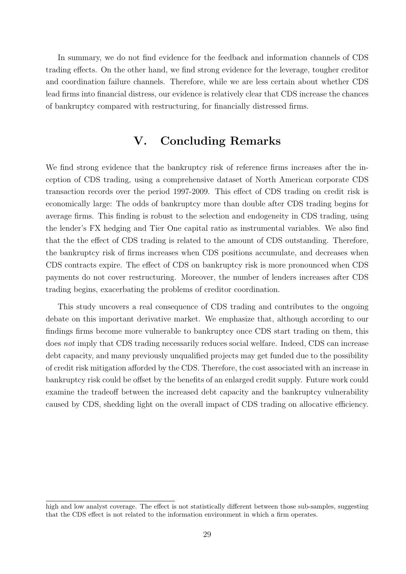In summary, we do not find evidence for the feedback and information channels of CDS trading effects. On the other hand, we find strong evidence for the leverage, tougher creditor and coordination failure channels. Therefore, while we are less certain about whether CDS lead firms into financial distress, our evidence is relatively clear that CDS increase the chances of bankruptcy compared with restructuring, for financially distressed firms.

## **V. Concluding Remarks**

We find strong evidence that the bankruptcy risk of reference firms increases after the inception of CDS trading, using a comprehensive dataset of North American corporate CDS transaction records over the period 1997-2009. This effect of CDS trading on credit risk is economically large: The odds of bankruptcy more than double after CDS trading begins for average firms. This finding is robust to the selection and endogeneity in CDS trading, using the lender's FX hedging and Tier One capital ratio as instrumental variables. We also find that the the effect of CDS trading is related to the amount of CDS outstanding. Therefore, the bankruptcy risk of firms increases when CDS positions accumulate, and decreases when CDS contracts expire. The effect of CDS on bankruptcy risk is more pronounced when CDS payments do not cover restructuring. Moreover, the number of lenders increases after CDS trading begins, exacerbating the problems of creditor coordination.

This study uncovers a real consequence of CDS trading and contributes to the ongoing debate on this important derivative market. We emphasize that, although according to our findings firms become more vulnerable to bankruptcy once CDS start trading on them, this does *not* imply that CDS trading necessarily reduces social welfare. Indeed, CDS can increase debt capacity, and many previously unqualified projects may get funded due to the possibility of credit risk mitigation afforded by the CDS. Therefore, the cost associated with an increase in bankruptcy risk could be offset by the benefits of an enlarged credit supply. Future work could examine the tradeoff between the increased debt capacity and the bankruptcy vulnerability caused by CDS, shedding light on the overall impact of CDS trading on allocative efficiency.

high and low analyst coverage. The effect is not statistically different between those sub-samples, suggesting that the CDS effect is not related to the information environment in which a firm operates.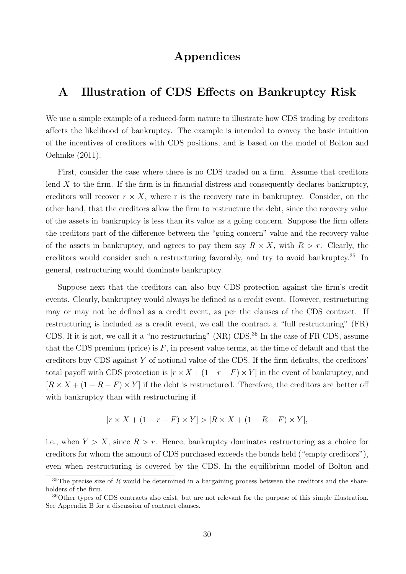## **Appendices**

## **A Illustration of CDS Effects on Bankruptcy Risk**

We use a simple example of a reduced-form nature to illustrate how CDS trading by creditors affects the likelihood of bankruptcy. The example is intended to convey the basic intuition of the incentives of creditors with CDS positions, and is based on the model of Bolton and Oehmke (2011).

First, consider the case where there is no CDS traded on a firm. Assume that creditors lend *X* to the firm. If the firm is in financial distress and consequently declares bankruptcy, creditors will recover  $r \times X$ , where r is the recovery rate in bankruptcy. Consider, on the other hand, that the creditors allow the firm to restructure the debt, since the recovery value of the assets in bankruptcy is less than its value as a going concern. Suppose the firm offers the creditors part of the difference between the "going concern" value and the recovery value of the assets in bankruptcy, and agrees to pay them say  $R \times X$ , with  $R > r$ . Clearly, the creditors would consider such a restructuring favorably, and try to avoid bankruptcy.<sup>35</sup> In general, restructuring would dominate bankruptcy.

Suppose next that the creditors can also buy CDS protection against the firm's credit events. Clearly, bankruptcy would always be defined as a credit event. However, restructuring may or may not be defined as a credit event, as per the clauses of the CDS contract. If restructuring is included as a credit event, we call the contract a "full restructuring" (FR) CDS. If it is not, we call it a "no restructuring" (NR) CDS.<sup>36</sup> In the case of FR CDS, assume that the CDS premium (price) is  $F$ , in present value terms, at the time of default and that the creditors buy CDS against *Y* of notional value of the CDS. If the firm defaults, the creditors' total payoff with CDS protection is  $[r \times X + (1 - r - F) \times Y]$  in the event of bankruptcy, and  $[R \times X + (1 - R - F) \times Y]$  if the debt is restructured. Therefore, the creditors are better off with bankruptcy than with restructuring if

$$
[r \times X + (1 - r - F) \times Y] > [R \times X + (1 - R - F) \times Y],
$$

i.e., when  $Y > X$ , since  $R > r$ . Hence, bankruptcy dominates restructuring as a choice for creditors for whom the amount of CDS purchased exceeds the bonds held ("empty creditors"), even when restructuring is covered by the CDS. In the equilibrium model of Bolton and

 $35$ The precise size of  $R$  would be determined in a bargaining process between the creditors and the shareholders of the firm.

<sup>36</sup>Other types of CDS contracts also exist, but are not relevant for the purpose of this simple illustration. See Appendix B for a discussion of contract clauses.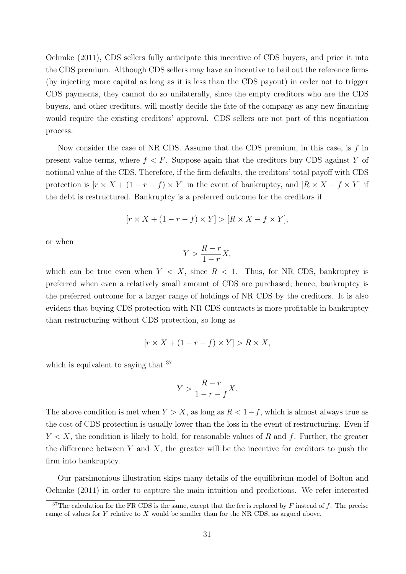Oehmke (2011), CDS sellers fully anticipate this incentive of CDS buyers, and price it into the CDS premium. Although CDS sellers may have an incentive to bail out the reference firms (by injecting more capital as long as it is less than the CDS payout) in order not to trigger CDS payments, they cannot do so unilaterally, since the empty creditors who are the CDS buyers, and other creditors, will mostly decide the fate of the company as any new financing would require the existing creditors' approval. CDS sellers are not part of this negotiation process.

Now consider the case of NR CDS. Assume that the CDS premium, in this case, is *f* in present value terms, where  $f < F$ . Suppose again that the creditors buy CDS against Y of notional value of the CDS. Therefore, if the firm defaults, the creditors' total payoff with CDS protection is  $[r \times X + (1 - r - f) \times Y]$  in the event of bankruptcy, and  $[R \times X - f \times Y]$  if the debt is restructured. Bankruptcy is a preferred outcome for the creditors if

$$
[r \times X + (1 - r - f) \times Y] > [R \times X - f \times Y],
$$

or when

$$
Y > \frac{R-r}{1-r}X,
$$

which can be true even when  $Y < X$ , since  $R < 1$ . Thus, for NR CDS, bankruptcy is preferred when even a relatively small amount of CDS are purchased; hence, bankruptcy is the preferred outcome for a larger range of holdings of NR CDS by the creditors. It is also evident that buying CDS protection with NR CDS contracts is more profitable in bankruptcy than restructuring without CDS protection, so long as

$$
[r \times X + (1 - r - f) \times Y] > R \times X,
$$

which is equivalent to saying that  $37$ 

$$
Y > \frac{R-r}{1-r-f}X.
$$

The above condition is met when  $Y > X$ , as long as  $R < 1-f$ , which is almost always true as the cost of CDS protection is usually lower than the loss in the event of restructuring. Even if *Y < X*, the condition is likely to hold, for reasonable values of *R* and *f*. Further, the greater the difference between *Y* and *X*, the greater will be the incentive for creditors to push the firm into bankruptcy.

Our parsimonious illustration skips many details of the equilibrium model of Bolton and Oehmke (2011) in order to capture the main intuition and predictions. We refer interested

<sup>37</sup>The calculation for the FR CDS is the same, except that the fee is replaced by *F* instead of *f*. The precise range of values for *Y* relative to *X* would be smaller than for the NR CDS, as argued above.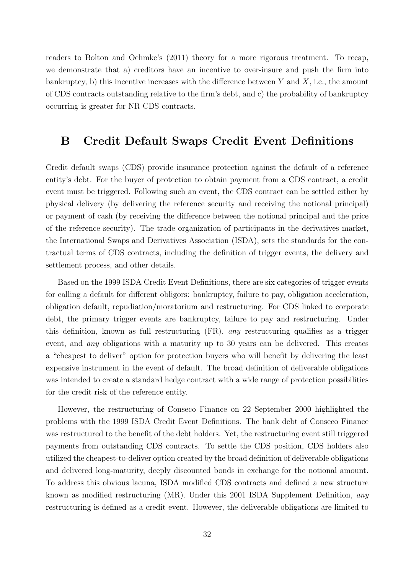readers to Bolton and Oehmke's (2011) theory for a more rigorous treatment. To recap, we demonstrate that a) creditors have an incentive to over-insure and push the firm into bankruptcy, b) this incentive increases with the difference between *Y* and *X*, i.e., the amount of CDS contracts outstanding relative to the firm's debt, and c) the probability of bankruptcy occurring is greater for NR CDS contracts.

## **B Credit Default Swaps Credit Event Definitions**

Credit default swaps (CDS) provide insurance protection against the default of a reference entity's debt. For the buyer of protection to obtain payment from a CDS contract, a credit event must be triggered. Following such an event, the CDS contract can be settled either by physical delivery (by delivering the reference security and receiving the notional principal) or payment of cash (by receiving the difference between the notional principal and the price of the reference security). The trade organization of participants in the derivatives market, the International Swaps and Derivatives Association (ISDA), sets the standards for the contractual terms of CDS contracts, including the definition of trigger events, the delivery and settlement process, and other details.

Based on the 1999 ISDA Credit Event Definitions, there are six categories of trigger events for calling a default for different obligors: bankruptcy, failure to pay, obligation acceleration, obligation default, repudiation/moratorium and restructuring. For CDS linked to corporate debt, the primary trigger events are bankruptcy, failure to pay and restructuring. Under this definition, known as full restructuring (FR), *any* restructuring qualifies as a trigger event, and *any* obligations with a maturity up to 30 years can be delivered. This creates a "cheapest to deliver" option for protection buyers who will benefit by delivering the least expensive instrument in the event of default. The broad definition of deliverable obligations was intended to create a standard hedge contract with a wide range of protection possibilities for the credit risk of the reference entity.

However, the restructuring of Conseco Finance on 22 September 2000 highlighted the problems with the 1999 ISDA Credit Event Definitions. The bank debt of Conseco Finance was restructured to the benefit of the debt holders. Yet, the restructuring event still triggered payments from outstanding CDS contracts. To settle the CDS position, CDS holders also utilized the cheapest-to-deliver option created by the broad definition of deliverable obligations and delivered long-maturity, deeply discounted bonds in exchange for the notional amount. To address this obvious lacuna, ISDA modified CDS contracts and defined a new structure known as modified restructuring (MR). Under this 2001 ISDA Supplement Definition, *any* restructuring is defined as a credit event. However, the deliverable obligations are limited to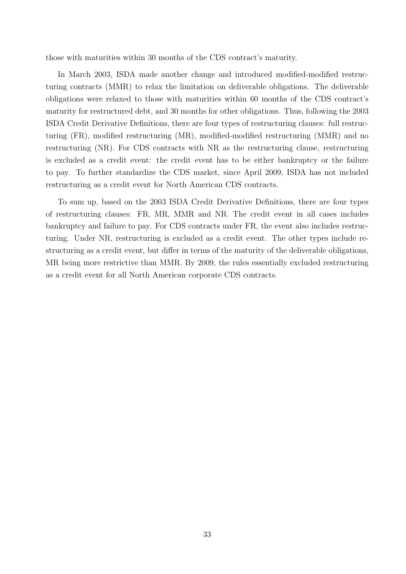those with maturities within 30 months of the CDS contract's maturity.

In March 2003, ISDA made another change and introduced modified-modified restructuring contracts (MMR) to relax the limitation on deliverable obligations. The deliverable obligations were relaxed to those with maturities within 60 months of the CDS contract's maturity for restructured debt, and 30 months for other obligations. Thus, following the 2003 ISDA Credit Derivative Definitions, there are four types of restructuring clauses: full restructuring (FR), modified restructuring (MR), modified-modified restructuring (MMR) and no restructuring (NR). For CDS contracts with NR as the restructuring clause, restructuring is excluded as a credit event: the credit event has to be either bankruptcy or the failure to pay. To further standardize the CDS market, since April 2009, ISDA has not included restructuring as a credit event for North American CDS contracts.

To sum up, based on the 2003 ISDA Credit Derivative Definitions, there are four types of restructuring clauses: FR, MR, MMR and NR. The credit event in all cases includes bankruptcy and failure to pay. For CDS contracts under FR, the event also includes restructuring. Under NR, restructuring is excluded as a credit event. The other types include restructuring as a credit event, but differ in terms of the maturity of the deliverable obligations, MR being more restrictive than MMR. By 2009, the rules essentially excluded restructuring as a credit event for all North American corporate CDS contracts.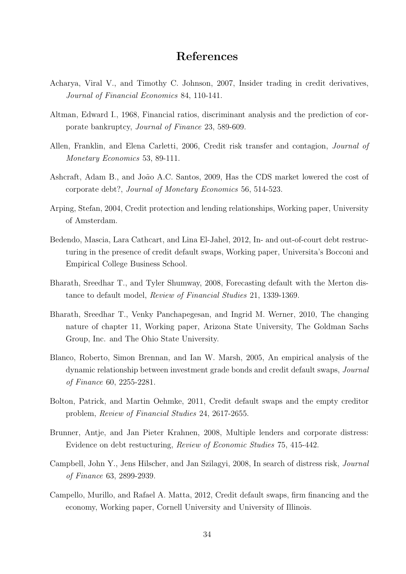## **References**

- Acharya, Viral V., and Timothy C. Johnson, 2007, Insider trading in credit derivatives, *Journal of Financial Economics* 84, 110-141.
- Altman, Edward I., 1968, Financial ratios, discriminant analysis and the prediction of corporate bankruptcy, *Journal of Finance* 23, 589-609.
- Allen, Franklin, and Elena Carletti, 2006, Credit risk transfer and contagion, *Journal of Monetary Economics* 53, 89-111.
- Ashcraft, Adam B., and João A.C. Santos, 2009, Has the CDS market lowered the cost of corporate debt?, *Journal of Monetary Economics* 56, 514-523.
- Arping, Stefan, 2004, Credit protection and lending relationships, Working paper, University of Amsterdam.
- Bedendo, Mascia, Lara Cathcart, and Lina El-Jahel, 2012, In- and out-of-court debt restructuring in the presence of credit default swaps, Working paper, Universita's Bocconi and Empirical College Business School.
- Bharath, Sreedhar T., and Tyler Shumway, 2008, Forecasting default with the Merton distance to default model, *Review of Financial Studies* 21, 1339-1369.
- Bharath, Sreedhar T., Venky Panchapegesan, and Ingrid M. Werner, 2010, The changing nature of chapter 11, Working paper, Arizona State University, The Goldman Sachs Group, Inc. and The Ohio State University.
- Blanco, Roberto, Simon Brennan, and Ian W. Marsh, 2005, An empirical analysis of the dynamic relationship between investment grade bonds and credit default swaps, *Journal of Finance* 60, 2255-2281.
- Bolton, Patrick, and Martin Oehmke, 2011, Credit default swaps and the empty creditor problem, *Review of Financial Studies* 24, 2617-2655.
- Brunner, Antje, and Jan Pieter Krahnen, 2008, Multiple lenders and corporate distress: Evidence on debt restucturing, *Review of Economic Studies* 75, 415-442.
- Campbell, John Y., Jens Hilscher, and Jan Szilagyi, 2008, In search of distress risk, *Journal of Finance* 63, 2899-2939.
- Campello, Murillo, and Rafael A. Matta, 2012, Credit default swaps, firm financing and the economy, Working paper, Cornell University and University of Illinois.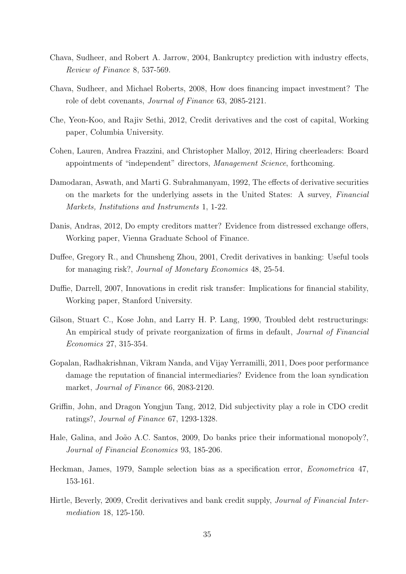- Chava, Sudheer, and Robert A. Jarrow, 2004, Bankruptcy prediction with industry effects, *Review of Finance* 8, 537-569.
- Chava, Sudheer, and Michael Roberts, 2008, How does financing impact investment? The role of debt covenants, *Journal of Finance* 63, 2085-2121.
- Che, Yeon-Koo, and Rajiv Sethi, 2012, Credit derivatives and the cost of capital, Working paper, Columbia University.
- Cohen, Lauren, Andrea Frazzini, and Christopher Malloy, 2012, Hiring cheerleaders: Board appointments of "independent" directors, *Management Science*, forthcoming.
- Damodaran, Aswath, and Marti G. Subrahmanyam, 1992, The effects of derivative securities on the markets for the underlying assets in the United States: A survey, *Financial Markets, Institutions and Instruments* 1, 1-22.
- Danis, Andras, 2012, Do empty creditors matter? Evidence from distressed exchange offers, Working paper, Vienna Graduate School of Finance.
- Duffee, Gregory R., and Chunsheng Zhou, 2001, Credit derivatives in banking: Useful tools for managing risk?, *Journal of Monetary Economics* 48, 25-54.
- Duffie, Darrell, 2007, Innovations in credit risk transfer: Implications for financial stability, Working paper, Stanford University.
- Gilson, Stuart C., Kose John, and Larry H. P. Lang, 1990, Troubled debt restructurings: An empirical study of private reorganization of firms in default, *Journal of Financial Economics* 27, 315-354.
- Gopalan, Radhakrishnan, Vikram Nanda, and Vijay Yerramilli, 2011, Does poor performance damage the reputation of financial intermediaries? Evidence from the loan syndication market, *Journal of Finance* 66, 2083-2120.
- Griffin, John, and Dragon Yongjun Tang, 2012, Did subjectivity play a role in CDO credit ratings?, *Journal of Finance* 67, 1293-1328.
- Hale, Galina, and João A.C. Santos, 2009, Do banks price their informational monopoly?, *Journal of Financial Economics* 93, 185-206.
- Heckman, James, 1979, Sample selection bias as a specification error, *Econometrica* 47, 153-161.
- Hirtle, Beverly, 2009, Credit derivatives and bank credit supply, *Journal of Financial Intermediation* 18, 125-150.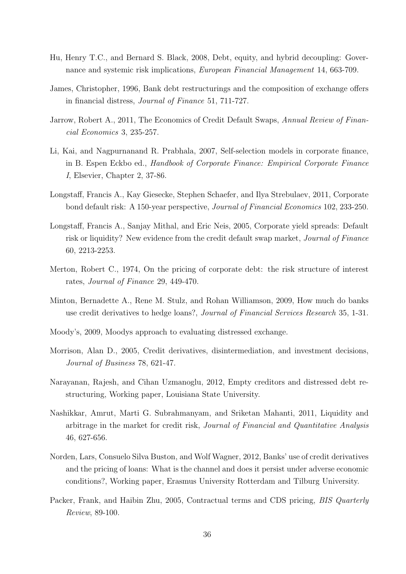- Hu, Henry T.C., and Bernard S. Black, 2008, Debt, equity, and hybrid decoupling: Governance and systemic risk implications, *European Financial Management* 14, 663-709.
- James, Christopher, 1996, Bank debt restructurings and the composition of exchange offers in financial distress, *Journal of Finance* 51, 711-727.
- Jarrow, Robert A., 2011, The Economics of Credit Default Swaps, *Annual Review of Financial Economics* 3, 235-257.
- Li, Kai, and Nagpurnanand R. Prabhala, 2007, Self-selection models in corporate finance, in B. Espen Eckbo ed., *Handbook of Corporate Finance: Empirical Corporate Finance I*, Elsevier, Chapter 2, 37-86.
- Longstaff, Francis A., Kay Giesecke, Stephen Schaefer, and Ilya Strebulaev, 2011, Corporate bond default risk: A 150-year perspective, *Journal of Financial Economics* 102, 233-250.
- Longstaff, Francis A., Sanjay Mithal, and Eric Neis, 2005, Corporate yield spreads: Default risk or liquidity? New evidence from the credit default swap market, *Journal of Finance* 60, 2213-2253.
- Merton, Robert C., 1974, On the pricing of corporate debt: the risk structure of interest rates, *Journal of Finance* 29, 449-470.
- Minton, Bernadette A., Rene M. Stulz, and Rohan Williamson, 2009, How much do banks use credit derivatives to hedge loans?, *Journal of Financial Services Research* 35, 1-31.
- Moody's, 2009, Moodys approach to evaluating distressed exchange.
- Morrison, Alan D., 2005, Credit derivatives, disintermediation, and investment decisions, *Journal of Business* 78, 621-47.
- Narayanan, Rajesh, and Cihan Uzmanoglu, 2012, Empty creditors and distressed debt restructuring, Working paper, Louisiana State University.
- Nashikkar, Amrut, Marti G. Subrahmanyam, and Sriketan Mahanti, 2011, Liquidity and arbitrage in the market for credit risk, *Journal of Financial and Quantitative Analysis* 46, 627-656.
- Norden, Lars, Consuelo Silva Buston, and Wolf Wagner, 2012, Banks' use of credit derivatives and the pricing of loans: What is the channel and does it persist under adverse economic conditions?, Working paper, Erasmus University Rotterdam and Tilburg University.
- Packer, Frank, and Haibin Zhu, 2005, Contractual terms and CDS pricing, *BIS Quarterly Review*, 89-100.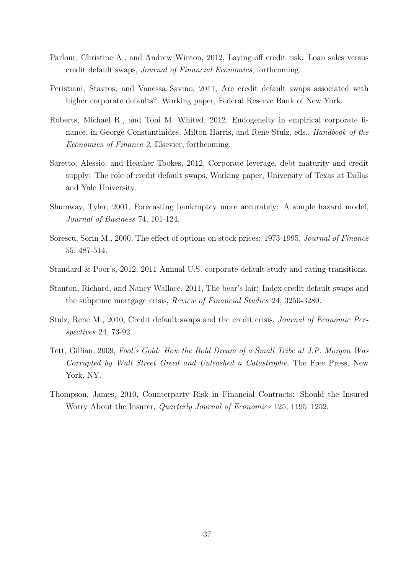- Parlour, Christine A., and Andrew Winton, 2012, Laying off credit risk: Loan sales versus credit default swaps, *Journal of Financial Economics*, forthcoming.
- Peristiani, Stavros, and Vanessa Savino, 2011, Are credit default swaps associated with higher corporate defaults?, Working paper, Federal Reserve Bank of New York.
- Roberts, Michael R., and Toni M. Whited, 2012, Endogeneity in empirical corporate finance, in George Constantinides, Milton Harris, and Rene Stulz, eds., *Handbook of the Economics of Finance 2*, Elsevier, forthcoming.
- Saretto, Alessio, and Heather Tookes, 2012, Corporate leverage, debt maturity and credit supply: The role of credit default swaps, Working paper, University of Texas at Dallas and Yale University.
- Shumway, Tyler, 2001, Forecasting bankruptcy more accurately: A simple hazard model, *Journal of Business* 74, 101-124.
- Sorescu, Sorin M., 2000, The effect of options on stock prices: 1973-1995, *Journal of Finance* 55, 487-514.
- Standard & Poor's, 2012, 2011 Annual U.S. corporate default study and rating transitions.
- Stanton, Richard, and Nancy Wallace, 2011, The bear's lair: Index credit default swaps and the subprime mortgage crisis, *Review of Financial Studies* 24, 3250-3280.
- Stulz, Rene M., 2010, Credit default swaps and the credit crisis, *Journal of Economic Perspectives* 24, 73-92.
- Tett, Gillian, 2009, *Fool's Gold: How the Bold Dream of a Small Tribe at J.P. Morgan Was Corrupted by Wall Street Greed and Unleashed a Catastrophe*, The Free Press, New York, NY.
- Thompson, James, 2010, Counterparty Risk in Financial Contracts: Should the Insured Worry About the Insurer, *Quarterly Journal of Economics* 125, 1195–1252.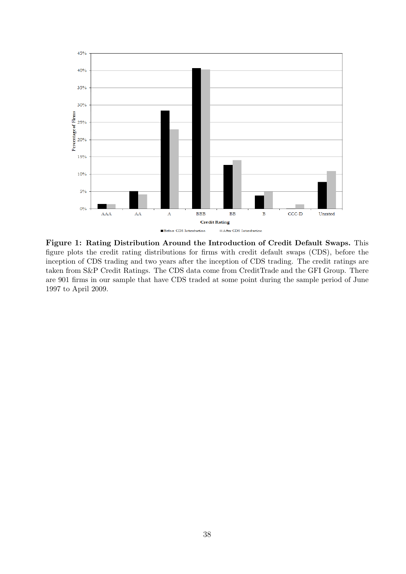

**Figure 1: Rating Distribution Around the Introduction of Credit Default Swaps.** This figure plots the credit rating distributions for firms with credit default swaps (CDS), before the inception of CDS trading and two years after the inception of CDS trading. The credit ratings are taken from S&P Credit Ratings. The CDS data come from CreditTrade and the GFI Group. There are 901 firms in our sample that have CDS traded at some point during the sample period of June 1997 to April 2009.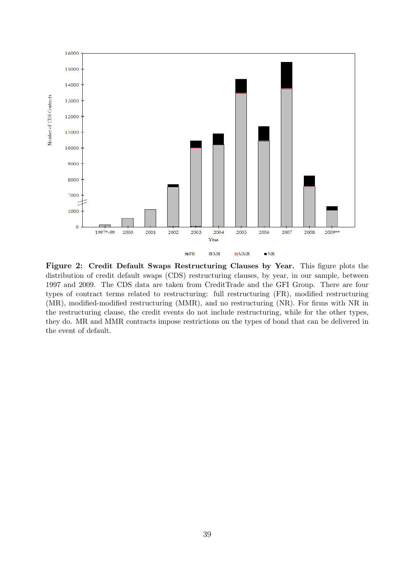

**Figure 2: Credit Default Swaps Restructuring Clauses by Year.** This figure plots the distribution of credit default swaps (CDS) restructuring clauses, by year, in our sample, between 1997 and 2009. The CDS data are taken from CreditTrade and the GFI Group. There are four types of contract terms related to restructuring: full restructuring (FR), modified restructuring (MR), modified-modified restructuring (MMR), and no restructuring (NR). For firms with NR in the restructuring clause, the credit events do not include restructuring, while for the other types, they do. MR and MMR contracts impose restrictions on the types of bond that can be delivered in the event of default.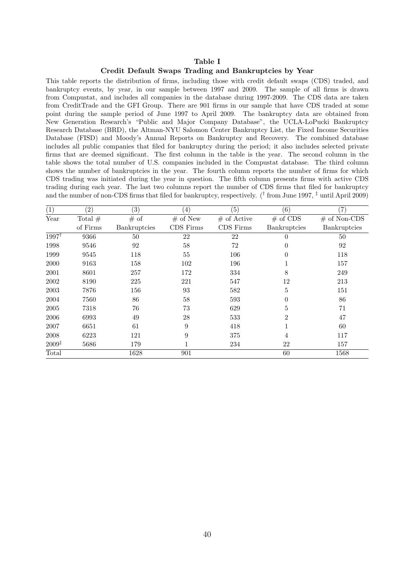#### **Table I**

#### **Credit Default Swaps Trading and Bankruptcies by Year**

This table reports the distribution of firms, including those with credit default swaps (CDS) traded, and bankruptcy events, by year, in our sample between 1997 and 2009. The sample of all firms is drawn from Compustat, and includes all companies in the database during 1997-2009. The CDS data are taken from CreditTrade and the GFI Group. There are 901 firms in our sample that have CDS traded at some point during the sample period of June 1997 to April 2009. The bankruptcy data are obtained from New Generation Research's "Public and Major Company Database", the UCLA-LoPucki Bankruptcy Research Database (BRD), the Altman-NYU Salomon Center Bankruptcy List, the Fixed Income Securities Database (FISD) and Moody's Annual Reports on Bankruptcy and Recovery. The combined database includes all public companies that filed for bankruptcy during the period; it also includes selected private firms that are deemed significant. The first column in the table is the year. The second column in the table shows the total number of U.S. companies included in the Compustat database. The third column shows the number of bankruptcies in the year. The fourth column reports the number of firms for which CDS trading was initiated during the year in question. The fifth column presents firms with active CDS trading during each year. The last two columns report the number of CDS firms that filed for bankruptcy and the number of non-CDS firms that filed for bankruptcy, respectively. (*†* from June 1997, *‡* until April 2009)

| (1)               | $\left( 2\right)$ | (3)          | (4)        | (5)           | (6)            | $\left( 7\right)$ |
|-------------------|-------------------|--------------|------------|---------------|----------------|-------------------|
| Year              | Total $#$         | # of         | $#$ of New | $#$ of Active | $#$ of CDS     | $#$ of Non-CDS    |
|                   | of Firms          | Bankruptcies | CDS Firms  | CDS Firms     | Bankruptcies   | Bankruptcies      |
| $1997^{\dagger}$  | 9366              | 50           | 22         | 22            | 0              | 50                |
| 1998              | 9546              | 92           | 58         | 72            | $\overline{0}$ | 92                |
| 1999              | 9545              | 118          | 55         | 106           | $\Omega$       | 118               |
| 2000              | 9163              | 158          | 102        | 196           |                | 157               |
| 2001              | 8601              | 257          | 172        | 334           | 8              | 249               |
| 2002              | 8190              | 225          | 221        | 547           | 12             | 213               |
| 2003              | 7876              | 156          | 93         | 582           | 5              | 151               |
| 2004              | 7560              | 86           | 58         | 593           | 0              | 86                |
| 2005              | 7318              | 76           | 73         | 629           | 5              | 71                |
| 2006              | 6993              | 49           | 28         | 533           | $\overline{2}$ | 47                |
| 2007              | 6651              | 61           | 9          | 418           |                | 60                |
| 2008              | 6223              | 121          | 9          | 375           | 4              | 117               |
| $2009^{\ddagger}$ | 5686              | 179          | 1          | 234           | 22             | 157               |
| Total             |                   | 1628         | 901        |               | 60             | 1568              |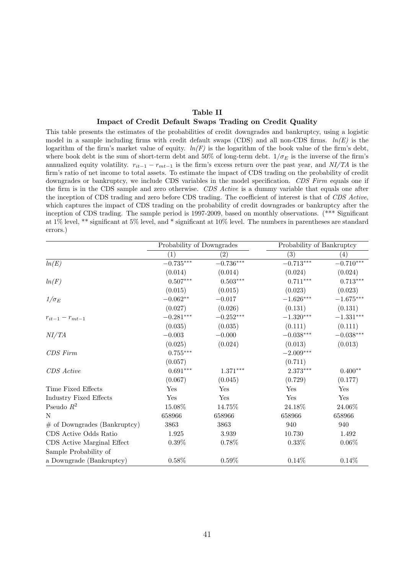### **Table II Impact of Credit Default Swaps Trading on Credit Quality**

This table presents the estimates of the probabilities of credit downgrades and bankruptcy, using a logistic model in a sample including firms with credit default swaps (CDS) and all non-CDS firms. *ln(E)* is the logarithm of the firm's market value of equity.  $ln(F)$  is the logarithm of the book value of the firm's debt, where book debt is the sum of short-term debt and  $50\%$  of long-term debt.  $1/\sigma_E$  is the inverse of the firm's annualized equity volatility.  $r_{it-1} - r_{mt-1}$  is the firm's excess return over the past year, and *NI/TA* is the firm's ratio of net income to total assets. To estimate the impact of CDS trading on the probability of credit downgrades or bankruptcy, we include CDS variables in the model specification. *CDS Firm* equals one if the firm is in the CDS sample and zero otherwise. *CDS Active* is a dummy variable that equals one after the inception of CDS trading and zero before CDS trading. The coefficient of interest is that of *CDS Active*, which captures the impact of CDS trading on the probability of credit downgrades or bankruptcy after the inception of CDS trading. The sample period is 1997-2009, based on monthly observations. (\*\*\* Significant at 1% level, \*\* significant at 5% level, and \* significant at 10% level. The numbers in parentheses are standard errors.)

|                                | Probability of Downgrades |                   | Probability of Bankruptcy |                         |
|--------------------------------|---------------------------|-------------------|---------------------------|-------------------------|
|                                | $\left(1\right)$          | $\left( 2\right)$ | (3)                       | $\left( 4\right)$       |
| ln(E)                          | $-0.735***$               | $-0.736***$       | $-0.713***$               | $-0.710***$             |
|                                | (0.014)                   | (0.014)           | (0.024)                   | (0.024)                 |
| ln(F)                          | $0.507***$                | $0.503***$        | $0.711***$                | $0.713***$              |
|                                | (0.015)                   | (0.015)           | (0.023)                   | (0.023)                 |
| $1/\sigma_E$                   | $-0.062**$                | $-0.017$          | $-1.626^{\ast\ast\ast}$   | $-1.675^{\ast\ast\ast}$ |
|                                | (0.027)                   | (0.026)           | (0.131)                   | (0.131)                 |
| $r_{it-1} - r_{mt-1}$          | $-0.281***$               | $-0.252***$       | $-1.320^{***}\,$          | $-1.331***$             |
|                                | (0.035)                   | (0.035)           | (0.111)                   | (0.111)                 |
| NI/TA                          | $-0.003$                  | $-0.000$          | $-0.038***$               | $-0.038***$             |
|                                | (0.025)                   | (0.024)           | (0.013)                   | (0.013)                 |
| CDS Firm                       | $0.755***$                |                   | $-2.009***$               |                         |
|                                | (0.057)                   |                   | (0.711)                   |                         |
| CDS Active                     | $0.691***$                | $1.371***$        | $2.373***$                | $0.400**$               |
|                                | (0.067)                   | (0.045)           | (0.729)                   | (0.177)                 |
| Time Fixed Effects             | Yes                       | Yes               | Yes                       | Yes                     |
| Industry Fixed Effects         | Yes                       | Yes               | Yes                       | Yes                     |
| Pseudo $R^2$                   | 15.08%                    | 14.75%            | 24.18%                    | 24.06%                  |
| N                              | 658966                    | 658966            | 658966                    | 658966                  |
| $#$ of Downgrades (Bankruptcy) | 3863                      | 3863              | 940                       | 940                     |
| CDS Active Odds Ratio          | 1.925                     | 3.939             | 10.730                    | 1.492                   |
| CDS Active Marginal Effect     | $0.39\%$                  | 0.78%             | $0.33\%$                  | $0.06\%$                |
| Sample Probability of          |                           |                   |                           |                         |
| a Downgrade (Bankruptcy)       | 0.58%                     | $0.59\%$          | 0.14%                     | 0.14%                   |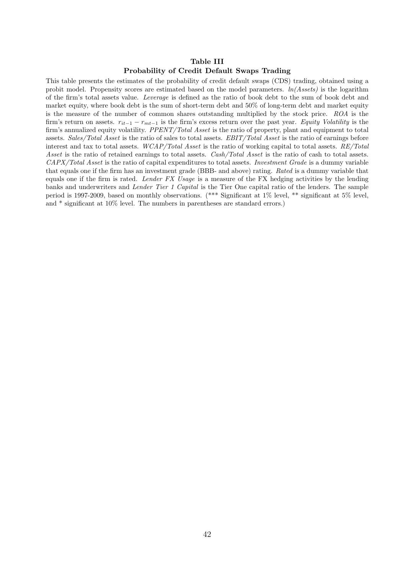### **Table III Probability of Credit Default Swaps Trading**

This table presents the estimates of the probability of credit default swaps (CDS) trading, obtained using a probit model. Propensity scores are estimated based on the model parameters. *ln(Assets)* is the logarithm of the firm's total assets value. *Leverage* is defined as the ratio of book debt to the sum of book debt and market equity, where book debt is the sum of short-term debt and 50% of long-term debt and market equity is the measure of the number of common shares outstanding multiplied by the stock price. *ROA* is the firm's return on assets.  $r_{it-1} - r_{mt-1}$  is the firm's excess return over the past year. *Equity Volatility* is the firm's annualized equity volatility. *PPENT/Total Asset* is the ratio of property, plant and equipment to total assets. *Sales/Total Asset* is the ratio of sales to total assets. *EBIT/Total Asset* is the ratio of earnings before interest and tax to total assets. *WCAP/Total Asset* is the ratio of working capital to total assets. *RE/Total Asset* is the ratio of retained earnings to total assets. *Cash/Total Asset* is the ratio of cash to total assets. *CAPX/Total Asset* is the ratio of capital expenditures to total assets. *Investment Grade* is a dummy variable that equals one if the firm has an investment grade (BBB- and above) rating. *Rated* is a dummy variable that equals one if the firm is rated. *Lender FX Usage* is a measure of the FX hedging activities by the lending banks and underwriters and *Lender Tier 1 Capital* is the Tier One capital ratio of the lenders. The sample period is 1997-2009, based on monthly observations. (\*\*\* Significant at 1% level, \*\* significant at 5% level, and \* significant at 10% level. The numbers in parentheses are standard errors.)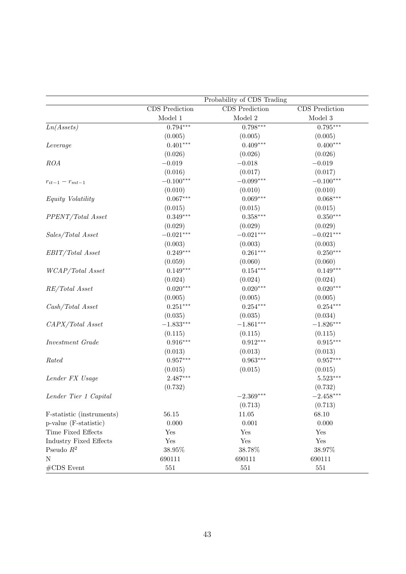|                                                         |                | Probability of CDS Trading |                |
|---------------------------------------------------------|----------------|----------------------------|----------------|
|                                                         | CDS Prediction | CDS Prediction             | CDS Prediction |
|                                                         | Model 1        | $\textbf{Model}\ 2$        | $\,$ Model $3$ |
| $Ln(A \, \text{s} \, \text{s} \, \text{c} \, \text{s})$ | $0.794***$     | $0.798***$                 | $0.795***$     |
|                                                         | (0.005)        | (0.005)                    | (0.005)        |
| Leverage                                                | $0.401***$     | $0.409***$                 | $0.400***$     |
|                                                         | (0.026)        | (0.026)                    | (0.026)        |
| ROA                                                     | $-0.019$       | $-0.018$                   | $-0.019$       |
|                                                         | (0.016)        | (0.017)                    | (0.017)        |
| $r_{it-1} - r_{mt-1}$                                   | $-0.100***$    | $-0.099***$                | $-0.100***$    |
|                                                         | (0.010)        | (0.010)                    | (0.010)        |
| Equity Volatility                                       | $0.067***$     | $0.069***$                 | $0.068***$     |
|                                                         | (0.015)        | (0.015)                    | (0.015)        |
| PPENT/Total Asset                                       | $0.349***$     | $0.358***$                 | $0.350***$     |
|                                                         | (0.029)        | (0.029)                    | (0.029)        |
| Sales/Total Asset                                       | $-0.021***$    | $-0.021***$                | $-0.021***$    |
|                                                         | (0.003)        | (0.003)                    | (0.003)        |
| EBIT/Total Asset                                        | $0.249***$     | $0.261***$                 | $0.250***$     |
|                                                         | (0.059)        | (0.060)                    | (0.060)        |
| WCAP/Total Asset                                        | $0.149***$     | $0.154***$                 | $0.149***$     |
|                                                         | (0.024)        | (0.024)                    | (0.024)        |
| RE/Total Asset                                          | $0.020***$     | $0.020***$                 | $0.020***$     |
|                                                         | (0.005)        | (0.005)                    | (0.005)        |
| Cash/Total Asset                                        | $0.251***$     | $0.254***$                 | $0.254***$     |
|                                                         | (0.035)        | (0.035)                    | (0.034)        |
| CAPX/Total Asset                                        | $-1.833***$    | $-1.861***$                | $-1.826***$    |
|                                                         | (0.115)        | (0.115)                    | (0.115)        |
| Investment Grade                                        | $0.916***$     | $0.912***$                 | $0.915***$     |
|                                                         | (0.013)        | (0.013)                    | (0.013)        |
| Rate                                                    | $0.957***$     | $0.963***$                 | $0.957***$     |
|                                                         | (0.015)        | (0.015)                    | (0.015)        |
| Lender FX Usage                                         | $2.487***$     |                            | $5.523***$     |
|                                                         | (0.732)        |                            | (0.732)        |
| Lender Tier 1 Capital                                   |                | $-2.369***$                | $-2.458***$    |
|                                                         |                | (0.713)                    | (0.713)        |
| F-statistic (instruments)                               | $56.15\,$      | 11.05                      | 68.10          |
| p-value (F-statistic)                                   | 0.000          | 0.001                      | 0.000          |
| Time Fixed Effects                                      | Yes            | Yes                        | Yes            |
| <b>Industry Fixed Effects</b>                           | Yes            | Yes                        | Yes            |
| Pseudo $R^2$                                            | 38.95%         | 38.78%                     | 38.97%         |
| N                                                       | 690111         | 690111                     | 690111         |
| $\#\text{CDS}$ Event                                    | 551            | 551                        | 551            |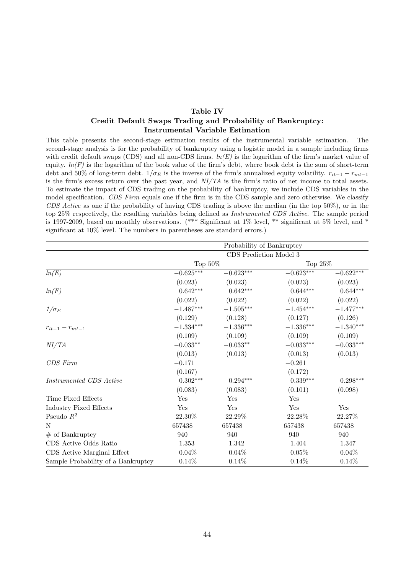### **Table IV Credit Default Swaps Trading and Probability of Bankruptcy: Instrumental Variable Estimation**

This table presents the second-stage estimation results of the instrumental variable estimation. The second-stage analysis is for the probability of bankruptcy using a logistic model in a sample including firms with credit default swaps (CDS) and all non-CDS firms. *ln(E)* is the logarithm of the firm's market value of equity.  $ln(F)$  is the logarithm of the book value of the firm's debt, where book debt is the sum of short-term debt and 50% of long-term debt.  $1/\sigma_E$  is the inverse of the firm's annualized equity volatility.  $r_{it-1} - r_{mt-1}$ is the firm's excess return over the past year, and *NI/TA* is the firm's ratio of net income to total assets. To estimate the impact of CDS trading on the probability of bankruptcy, we include CDS variables in the model specification. *CDS Firm* equals one if the firm is in the CDS sample and zero otherwise. We classify *CDS Active* as one if the probability of having CDS trading is above the median (in the top 50%), or in the top 25% respectively, the resulting variables being defined as *Instrumented CDS Active*. The sample period is 1997-2009, based on monthly observations. (\*\*\* Significant at 1% level, \*\* significant at 5% level, and \* significant at 10% level. The numbers in parentheses are standard errors.)

|                                    | Probability of Bankruptcy |                         |             |             |  |
|------------------------------------|---------------------------|-------------------------|-------------|-------------|--|
|                                    | CDS Prediction Model 3    |                         |             |             |  |
|                                    | Top $50\%$                |                         | Top $25\%$  |             |  |
| ln(E)                              | $-0.625***$               | $-0.623***$             | $-0.623***$ | $-0.622***$ |  |
|                                    | (0.023)                   | (0.023)                 | (0.023)     | (0.023)     |  |
| ln(F)                              | $0.642***$                | $0.642***$              | $0.644***$  | $0.644***$  |  |
|                                    | (0.022)                   | (0.022)                 | (0.022)     | (0.022)     |  |
| $1/\sigma_E$                       | $-1.487***$               | $-1.505^{\ast\ast\ast}$ | $-1.454***$ | $-1.477***$ |  |
|                                    | (0.129)                   | (0.128)                 | (0.127)     | (0.126)     |  |
| $r_{it-1} - r_{mt-1}$              | $-1.334***$               | $-1.336***$             | $-1.336***$ | $-1.340***$ |  |
|                                    | (0.109)                   | (0.109)                 | (0.109)     | (0.109)     |  |
| NI/TA                              | $-0.033**$                | $-0.033**$              | $-0.033***$ | $-0.033***$ |  |
|                                    | (0.013)                   | (0.013)                 | (0.013)     | (0.013)     |  |
| CDS Firm                           | $-0.171$                  |                         | $-0.261$    |             |  |
|                                    | (0.167)                   |                         | (0.172)     |             |  |
| Instrumented CDS Active            | $0.302***$                | $0.294***$              | $0.339***$  | $0.298***$  |  |
|                                    | (0.083)                   | (0.083)                 | (0.101)     | (0.098)     |  |
| Time Fixed Effects                 | Yes                       | Yes                     | Yes         |             |  |
| Industry Fixed Effects             | Yes                       | Yes                     | Yes         | Yes         |  |
| Pseudo $R^2$                       | 22.30%                    | 22.29%                  | 22.28%      | 22.27%      |  |
| Ν                                  | 657438                    | 657438                  | 657438      | 657438      |  |
| $#$ of Bankruptcy                  | 940                       | 940                     | 940         | 940         |  |
| CDS Active Odds Ratio              | 1.353                     | 1.342                   | 1.404       | 1.347       |  |
| CDS Active Marginal Effect         | $0.04\%$                  | $0.04\%$                | 0.05%       | $0.04\%$    |  |
| Sample Probability of a Bankruptcy | 0.14%                     | 0.14%                   | 0.14%       | 0.14%       |  |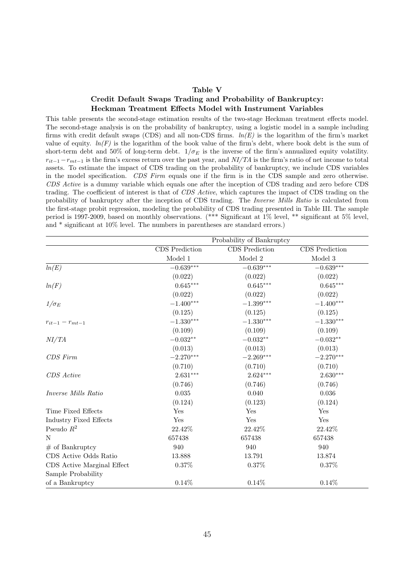#### **Table V Credit Default Swaps Trading and Probability of Bankruptcy: Heckman Treatment Effects Model with Instrument Variables**

This table presents the second-stage estimation results of the two-stage Heckman treatment effects model. The second-stage analysis is on the probability of bankruptcy, using a logistic model in a sample including firms with credit default swaps (CDS) and all non-CDS firms. *ln(E)* is the logarithm of the firm's market value of equity.  $ln(F)$  is the logarithm of the book value of the firm's debt, where book debt is the sum of short-term debt and 50% of long-term debt.  $1/\sigma_E$  is the inverse of the firm's annualized equity volatility.  $r_{it-1} - r_{mt-1}$  is the firm's excess return over the past year, and *NI/TA* is the firm's ratio of net income to total assets. To estimate the impact of CDS trading on the probability of bankruptcy, we include CDS variables in the model specification. *CDS Firm* equals one if the firm is in the CDS sample and zero otherwise. *CDS Active* is a dummy variable which equals one after the inception of CDS trading and zero before CDS trading. The coefficient of interest is that of *CDS Active*, which captures the impact of CDS trading on the probability of bankruptcy after the inception of CDS trading. The *Inverse Mills Ratio* is calculated from the first-stage probit regression, modeling the probability of CDS trading presented in Table III. The sample period is 1997-2009, based on monthly observations. (\*\*\* Significant at 1% level, \*\* significant at 5% level, and \* significant at 10% level. The numbers in parentheses are standard errors.)

|                            |                | Probability of Bankruptcy |                |
|----------------------------|----------------|---------------------------|----------------|
|                            | CDS Prediction | CDS Prediction            | CDS Prediction |
|                            | Model 1        | Model 2                   | Model 3        |
| ln(E)                      | $-0.639***$    | $-0.639***$               | $-0.639***$    |
|                            | (0.022)        | (0.022)                   | (0.022)        |
| ln(F)                      | $0.645***$     | $0.645***$                | $0.645***$     |
|                            | (0.022)        | (0.022)                   | (0.022)        |
| $1/\sigma_E$               | $-1.400***$    | $-1.399***$               | $-1.400***$    |
|                            | (0.125)        | (0.125)                   | (0.125)        |
| $r_{it-1} - r_{mt-1}$      | $-1.330***$    | $-1.330***$               | $-1.330***$    |
|                            | (0.109)        | (0.109)                   | (0.109)        |
| NI/TA                      | $-0.032**$     | $-0.032**$                | $-0.032**$     |
|                            | (0.013)        | (0.013)                   | (0.013)        |
| CDS Firm                   | $-2.270***$    | $-2.269***$               | $-2.270***$    |
|                            | (0.710)        | (0.710)                   | (0.710)        |
| CDS Active                 | $2.631***$     | $2.624***$                | $2.630***$     |
|                            | (0.746)        | (0.746)                   | (0.746)        |
| Inverse Mills Ratio        | 0.035          | 0.040                     | 0.036          |
|                            | (0.124)        | (0.123)                   | (0.124)        |
| Time Fixed Effects         | Yes            | Yes                       | Yes            |
| Industry Fixed Effects     | Yes            | Yes                       | Yes            |
| Pseudo $R^2$               | 22.42%         | 22.42%                    | 22.42%         |
| N                          | 657438         | 657438                    | 657438         |
| $#$ of Bankruptcy          | 940            | 940                       | 940            |
| CDS Active Odds Ratio      | 13.888         | 13.791                    | 13.874         |
| CDS Active Marginal Effect | 0.37%          | $0.37\%$                  | 0.37%          |
| Sample Probability         |                |                           |                |
| of a Bankruptcy            | 0.14%          | 0.14%                     | 0.14%          |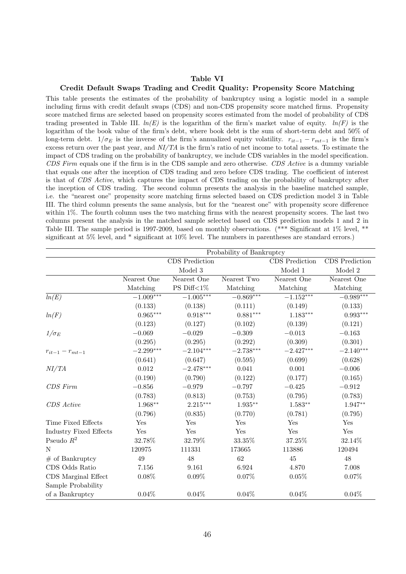#### **Table VI**

#### **Credit Default Swaps Trading and Credit Quality: Propensity Score Matching**

This table presents the estimates of the probability of bankruptcy using a logistic model in a sample including firms with credit default swaps (CDS) and non-CDS propensity score matched firms. Propensity score matched firms are selected based on propensity scores estimated from the model of probability of CDS trading presented in Table III.  $ln(E)$  is the logarithm of the firm's market value of equity.  $ln(F)$  is the logarithm of the book value of the firm's debt, where book debt is the sum of short-term debt and 50% of long-term debt.  $1/\sigma_E$  is the inverse of the firm's annualized equity volatility.  $r_{it-1} - r_{mt-1}$  is the firm's excess return over the past year, and *NI/TA* is the firm's ratio of net income to total assets. To estimate the impact of CDS trading on the probability of bankruptcy, we include CDS variables in the model specification. *CDS Firm* equals one if the firm is in the CDS sample and zero otherwise. *CDS Active* is a dummy variable that equals one after the inception of CDS trading and zero before CDS trading. The coefficient of interest is that of *CDS Active*, which captures the impact of CDS trading on the probability of bankruptcy after the inception of CDS trading. The second column presents the analysis in the baseline matched sample, i.e. the "nearest one" propensity score matching firms selected based on CDS prediction model 3 in Table III. The third column presents the same analysis, but for the "nearest one" with propensity score difference within 1%. The fourth column uses the two matching firms with the nearest propensity scores. The last two columns present the analysis in the matched sample selected based on CDS prediction models 1 and 2 in Table III. The sample period is 1997-2009, based on monthly observations. (\*\*\* Significant at 1% level, \*\* significant at 5% level, and \* significant at 10% level. The numbers in parentheses are standard errors.)

|                               | Probability of Bankruptcy |                |             |                |                |
|-------------------------------|---------------------------|----------------|-------------|----------------|----------------|
|                               |                           | CDS Prediction |             | CDS Prediction | CDS Prediction |
|                               |                           | Model 3        |             | Model 1        | Model 2        |
|                               | Nearest One               | Nearest One    | Nearest Two | Nearest One    | Nearest One    |
|                               | Matching                  | PS Diff $<$ 1% | Matching    | Matching       | Matching       |
| ln(E)                         | $-1.009***$               | $-1.005***$    | $-0.869***$ | $-1.152***$    | $-0.989***$    |
|                               | (0.133)                   | (0.138)        | (0.111)     | (0.149)        | (0.133)        |
| ln(F)                         | $0.965***$                | $0.918***$     | $0.881***$  | $1.183***$     | $0.993***$     |
|                               | (0.123)                   | (0.127)        | (0.102)     | (0.139)        | (0.121)        |
| $1/\sigma_E$                  | $-0.069$                  | $-0.029$       | $-0.309$    | $-0.013$       | $-0.163$       |
|                               | (0.295)                   | (0.295)        | (0.292)     | (0.309)        | (0.301)        |
| $r_{it-1} - r_{mt-1}$         | $-2.299***$               | $-2.104***$    | $-2.738***$ | $-2.427***$    | $-2.140***$    |
|                               | (0.641)                   | (0.647)        | (0.595)     | (0.699)        | (0.628)        |
| NI/TA                         | 0.012                     | $-2.478***$    | 0.041       | 0.001          | $-0.006$       |
|                               | (0.190)                   | (0.790)        | (0.122)     | (0.177)        | (0.165)        |
| CDS Firm                      | $-0.856$                  | $-0.979$       | $-0.797$    | $-0.425$       | $-0.912$       |
|                               | (0.783)                   | (0.813)        | (0.753)     | (0.795)        | (0.783)        |
| CDS Active                    | $1.968**$                 | $2.215***$     | $1.935***$  | $1.583**$      | $1.947**$      |
|                               | (0.796)                   | (0.835)        | (0.770)     | (0.781)        | (0.795)        |
| Time Fixed Effects            | Yes                       | Yes            | Yes         | Yes            | Yes            |
| <b>Industry Fixed Effects</b> | Yes                       | Yes            | Yes         | Yes            | Yes            |
| Pseudo $R^2$                  | 32.78%                    | 32.79%         | 33.35%      | 37.25%         | 32.14%         |
| N                             | 120975                    | 111331         | 173665      | 113886         | 120494         |
| $#$ of Bankruptcy             | 49                        | 48             | 62          | 45             | 48             |
| CDS Odds Ratio                | 7.156                     | 9.161          | 6.924       | 4.870          | 7.008          |
| CDS Marginal Effect           | $0.08\%$                  | $0.09\%$       | 0.07%       | 0.05%          | 0.07%          |
| Sample Probability            |                           |                |             |                |                |
| of a Bankruptcy               | $0.04\%$                  | 0.04%          | 0.04%       | 0.04%          | $0.04\%$       |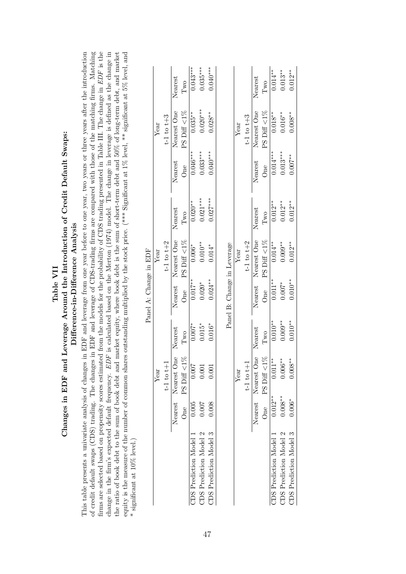| Table VII | Changes in EDF and Leverage Around the Introduction of Credit Default Swaps: | Difference-in-Difference Analysis |
|-----------|------------------------------------------------------------------------------|-----------------------------------|
|-----------|------------------------------------------------------------------------------|-----------------------------------|

of credit default swaps (CDS) trading. The changes in EDF and leverage of CDS-trading firms are compared with those of the matching firms. Matching firms are selected based on propensity scores estimated from the models for the probability of CDS trading presented in Table III. The change in EDF is the change in the firm's expected default frequency. EDF is calculated based on the Merton (1974) model. The change in leverage is defined as the change in the ratio of book debt to the sum of book debt and market equity, where book debt is the sum of short-term debt and 50% of long-term debt, and market This table presents a univariate analysis of changes in EDF and leverage from one year before to one year, two years or three years after the introduction This table presents a univariate analysis of changes in EDF and leverage from one year before to one year, two years or three years after the introduction of credit default swaps (CDS) trading. The changes in EDF and leverage of CDS-trading firms are compared with those of the matching firms. Matching firms are selected based on propensity scores estimated from the models for the probability of CDS trading presented in Table III. The change in *EDF* is the change in the firm's expected default frequency. *EDF* is calculated based on the Merton (1974) model. The change in leverage is defined as the change in the ratio of book debt to the sum of book debt and market equity, where book debt is the sum of short-term debt and 50% of long-term debt, and market equity is the measure of the number of common shares outstanding multiplied by the stock price. (\*\*\* Significant at 1% level, \*\* significant at 5% level, and equity is the measure of the number of common shares outstanding multiplied by the stock price. (\*\*\* Significant at 1% level, \*\* significant at 5% level, and  $*$  significant at 10% level.) \* significant at 10% level.)

|                                   |           |                             |                      | Panel A: Change in EDF      |                           |                      |            |                  |                      |
|-----------------------------------|-----------|-----------------------------|----------------------|-----------------------------|---------------------------|----------------------|------------|------------------|----------------------|
|                                   |           | Year                        |                      |                             | Year                      |                      |            | Year             |                      |
|                                   |           | t-1 to $t+1$                |                      |                             | $t-1$ to $t+2$            |                      |            | $t-1$ to $t+3$   |                      |
|                                   |           | Nearest Nearest One Nearest |                      |                             | Nearest Nearest One       | Nearest              | Nearest    | Nearest One      | Nearest              |
|                                   | One       | PS Diff $<\!1\%$            | $\Gamma_{\rm WO}$    | One                         | $\rm PS$ Diff $<\!1\%$    | $\operatorname{Two}$ | One        | PS Diff $<\!1\%$ | $\operatorname{Two}$ |
| CDS Prediction Model 1            | 0.005     | 0.007                       | $0.007*$             | $0.017***$                  | $0.006*$                  | $0.020**$            | $0.046***$ | $0.035***$       | $0.043***$           |
| CDS Prediction Model 2            | 0.007     | 0.001                       | $0.015*$             | $0.020*$                    | $0.010**$                 | $0.021***$           | $0.033***$ | $0.020***$       | $0.035***$           |
| CDS Prediction Model 3            | 0.008     | 00.0                        | $0.016*$             | $0.024**$                   | $0.014*$                  | $0.027***$           | $0.040***$ | $0.028**$        | $0.040***$           |
|                                   |           |                             |                      |                             |                           |                      |            |                  |                      |
|                                   |           |                             |                      | Panel B: Change in Leverage |                           |                      |            |                  |                      |
|                                   |           | $\rm Year$                  |                      |                             | Year                      |                      |            | Year             |                      |
|                                   |           | $t-1$ to $t+1$              |                      |                             | $t-1$ to $t+2$            |                      |            | $t-1$ to $t+3$   |                      |
|                                   |           | Nearest Nearest One         | Nearest              |                             | Nearest Nearest One       | Nearest              | Nearest    | Nearest One      | Nearest              |
|                                   | One       | PS Diff <1%                 | $\operatorname{Two}$ | One                         | $\text{PS Diff} < \! 1\%$ | $\operatorname{Two}$ | One        | PS Diff $<\!1\%$ | $\operatorname{Two}$ |
| $\mathrm{CDS}$ Prediction Model 1 | $0.012**$ | $0.011**$                   | $0.010**$            | $0.011**$                   | $0.014**$                 | $0.012**$            | $0.014***$ | $0.018**$        | $0.014**$            |

CDS Prediction Model 2 0*.*008*∗∗* 0*.*006*∗∗* 0*.*009*∗∗* 0*.*007*∗* 0*.*009*∗∗* 0*.*012*∗∗* 0*.*013*∗∗∗* 0*.*016*∗∗* 0*.*013*∗∗* CDS Prediction Model 3 0*.*006*∗* 0*.*008*∗∗* 0*.*010*∗∗* 0*.*010*∗∗* 0*.*012*∗∗* 0*.*012*∗∗* 0*.*007*∗∗* 0*.*008*∗∗* 0*.*012*∗∗*

 $0.009**$  $0.010**$ 

 $0.006***$  $0.008**$ 

 $0.008***$  $0.006*$ 

CDS Prediction Model 2 CDS Prediction Model 3

 $0.010**$  $0.007*$ 

 $0.013**$  $0.012**$ 

 $0.016**$  $0.008**$ 

 $0.013***$  $0.007**$ 

 $0.012**$  $0.012**$ 

 $0.009**$  $0.012**$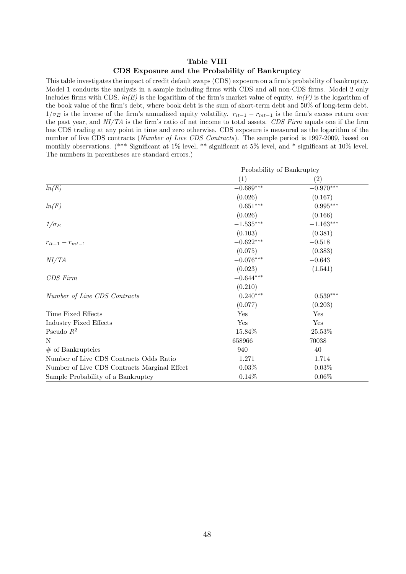### **Table VIII CDS Exposure and the Probability of Bankruptcy**

This table investigates the impact of credit default swaps (CDS) exposure on a firm's probability of bankruptcy. Model 1 conducts the analysis in a sample including firms with CDS and all non-CDS firms. Model 2 only includes firms with CDS.  $ln(E)$  is the logarithm of the firm's market value of equity.  $ln(F)$  is the logarithm of the book value of the firm's debt, where book debt is the sum of short-term debt and 50% of long-term debt.  $1/\sigma_E$  is the inverse of the firm's annualized equity volatility.  $r_{it-1} - r_{mt-1}$  is the firm's excess return over the past year, and *NI/TA* is the firm's ratio of net income to total assets. *CDS Firm* equals one if the firm has CDS trading at any point in time and zero otherwise. CDS exposure is measured as the logarithm of the number of live CDS contracts (*Number of Live CDS Contracts*). The sample period is 1997-2009, based on monthly observations. (\*\*\* Significant at 1% level, \*\* significant at 5% level, and \* significant at 10% level. The numbers in parentheses are standard errors.)

|                                              | Probability of Bankruptcy |                   |
|----------------------------------------------|---------------------------|-------------------|
|                                              | $\left( 1\right)$         | $\left( 2\right)$ |
| ln(E)                                        | $-0.689***$               | $-0.970***$       |
|                                              | (0.026)                   | (0.167)           |
| ln(F)                                        | $0.651***$                | $0.995***$        |
|                                              | (0.026)                   | (0.166)           |
| $1/\sigma_E$                                 | $-1.535***$               | $-1.163***$       |
|                                              | (0.103)                   | (0.381)           |
| $r_{it-1} - r_{mt-1}$                        | $-0.622***$               | $-0.518$          |
|                                              | (0.075)                   | (0.383)           |
| NI/TA                                        | $-0.076***$               | $-0.643$          |
|                                              | (0.023)                   | (1.541)           |
| CDS Firm                                     | $-0.644***$               |                   |
|                                              | (0.210)                   |                   |
| Number of Live CDS Contracts                 | $0.240***$                | $0.539***$        |
|                                              | (0.077)                   | (0.203)           |
| Time Fixed Effects                           | Yes                       | Yes               |
| Industry Fixed Effects                       | Yes                       | Yes               |
| Pseudo $R^2$                                 | 15.84%                    | 25.53%            |
| N                                            | 658966                    | 70038             |
| $#$ of Bankruptcies                          | 940                       | 40                |
| Number of Live CDS Contracts Odds Ratio      | 1.271                     | 1.714             |
| Number of Live CDS Contracts Marginal Effect | $0.03\%$                  | $0.03\%$          |
| Sample Probability of a Bankruptcy           | 0.14%                     | $0.06\%$          |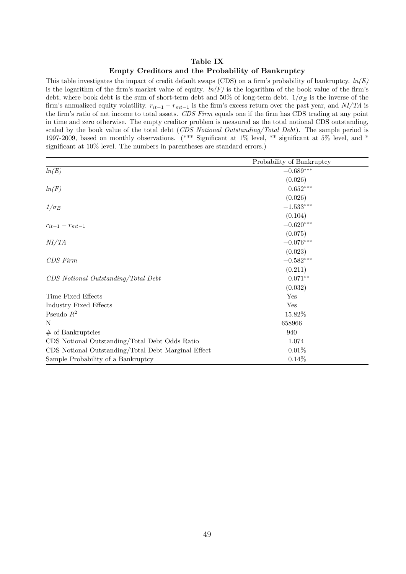### **Table IX Empty Creditors and the Probability of Bankruptcy**

This table investigates the impact of credit default swaps (CDS) on a firm's probability of bankruptcy. *ln(E)* is the logarithm of the firm's market value of equity. *ln(F)* is the logarithm of the book value of the firm's debt, where book debt is the sum of short-term debt and 50% of long-term debt.  $1/\sigma_E$  is the inverse of the firm's annualized equity volatility.  $r_{it-1} - r_{mt-1}$  is the firm's excess return over the past year, and *NI/TA* is the firm's ratio of net income to total assets. *CDS Firm* equals one if the firm has CDS trading at any point in time and zero otherwise. The empty creditor problem is measured as the total notional CDS outstanding, scaled by the book value of the total debt (*CDS Notional Outstanding/Total Debt*). The sample period is 1997-2009, based on monthly observations. (\*\*\* Significant at 1% level, \*\* significant at 5% level, and \* significant at 10% level. The numbers in parentheses are standard errors.)

|                                                     | Probability of Bankruptcy |  |
|-----------------------------------------------------|---------------------------|--|
| ln(E)                                               | $-0.689***$               |  |
|                                                     | (0.026)                   |  |
| ln(F)                                               | $0.652***$                |  |
|                                                     | (0.026)                   |  |
| $1/\sigma_E$                                        | $-1.533***$               |  |
|                                                     | (0.104)                   |  |
| $r_{it-1} - r_{mt-1}$                               | $-0.620***$               |  |
|                                                     | (0.075)                   |  |
| NI/TA                                               | $-0.076***$               |  |
|                                                     | (0.023)                   |  |
| CDS Firm                                            | $-0.582***$               |  |
|                                                     | (0.211)                   |  |
| CDS Notional Outstanding/Total Debt                 | $0.071**$                 |  |
|                                                     | (0.032)                   |  |
| Time Fixed Effects                                  | Yes                       |  |
| Industry Fixed Effects                              | Yes                       |  |
| Pseudo $R^2$                                        | 15.82\%                   |  |
| N                                                   | 658966                    |  |
| $#$ of Bankruptcies                                 | 940                       |  |
| CDS Notional Outstanding/Total Debt Odds Ratio      | 1.074                     |  |
| CDS Notional Outstanding/Total Debt Marginal Effect | 0.01%                     |  |
| Sample Probability of a Bankruptcy                  | 0.14%                     |  |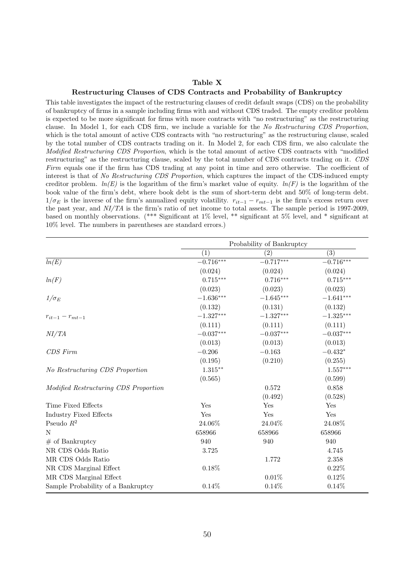#### **Table X**

#### **Restructuring Clauses of CDS Contracts and Probability of Bankruptcy**

This table investigates the impact of the restructuring clauses of credit default swaps (CDS) on the probability of bankruptcy of firms in a sample including firms with and without CDS traded. The empty creditor problem is expected to be more significant for firms with more contracts with "no restructuring" as the restructuring clause. In Model 1, for each CDS firm, we include a variable for the *No Restructuring CDS Proportion*, which is the total amount of active CDS contracts with "no restructuring" as the restructuring clause, scaled by the total number of CDS contracts trading on it. In Model 2, for each CDS firm, we also calculate the *Modified Restructuring CDS Proportion*, which is the total amount of active CDS contracts with "modified restructuring" as the restructuring clause, scaled by the total number of CDS contracts trading on it. *CDS Firm* equals one if the firm has CDS trading at any point in time and zero otherwise. The coefficient of interest is that of *No Restructuring CDS Proportion*, which captures the impact of the CDS-induced empty creditor problem.  $ln(E)$  is the logarithm of the firm's market value of equity.  $ln(F)$  is the logarithm of the book value of the firm's debt, where book debt is the sum of short-term debt and 50% of long-term debt.  $1/\sigma_E$  is the inverse of the firm's annualized equity volatility.  $r_{it-1} - r_{mt-1}$  is the firm's excess return over the past year, and *NI/TA* is the firm's ratio of net income to total assets. The sample period is 1997-2009, based on monthly observations. (\*\*\* Significant at 1% level, \*\* significant at 5% level, and \* significant at 10% level. The numbers in parentheses are standard errors.)

|                                       |             | Probability of Bankruptcy |             |
|---------------------------------------|-------------|---------------------------|-------------|
|                                       | (1)         | $\left( 2\right)$         | (3)         |
| ln(E)                                 | $-0.716***$ | $-0.717***$               | $-0.716***$ |
|                                       | (0.024)     | (0.024)                   | (0.024)     |
| ln(F)                                 | $0.715***$  | $0.716***$                | $0.715***$  |
|                                       | (0.023)     | (0.023)                   | (0.023)     |
| $1/\sigma_E$                          | $-1.636***$ | $-1.645***$               | $-1.641***$ |
|                                       | (0.132)     | (0.131)                   | (0.132)     |
| $r_{it-1} - r_{mt-1}$                 | $-1.327***$ | $-1.327***$               | $-1.325***$ |
|                                       | (0.111)     | (0.111)                   | (0.111)     |
| NI/TA                                 | $-0.037***$ | $-0.037***$               | $-0.037***$ |
|                                       | (0.013)     | (0.013)                   | (0.013)     |
| CDS Firm                              | $-0.206$    | $-0.163$                  | $-0.432*$   |
|                                       | (0.195)     | (0.210)                   | (0.255)     |
| No Restructuring CDS Proportion       | $1.315***$  |                           | $1.557***$  |
|                                       | (0.565)     |                           | (0.599)     |
| Modified Restructuring CDS Proportion |             | 0.572                     | 0.858       |
|                                       |             | (0.492)                   | (0.528)     |
| Time Fixed Effects                    | Yes         | Yes                       | Yes         |
| Industry Fixed Effects                | Yes         | Yes                       | Yes         |
| Pseudo $R^2$                          | 24.06%      | 24.04%                    | 24.08%      |
| N                                     | 658966      | 658966                    | 658966      |
| $#$ of Bankruptcy                     | 940         | 940                       | 940         |
| NR CDS Odds Ratio                     | 3.725       |                           | 4.745       |
| MR CDS Odds Ratio                     |             | 1.772                     | 2.358       |
| NR CDS Marginal Effect                | 0.18%       |                           | 0.22%       |
| MR CDS Marginal Effect                |             | 0.01%                     | 0.12%       |
| Sample Probability of a Bankruptcy    | 0.14%       | 0.14%                     | 0.14%       |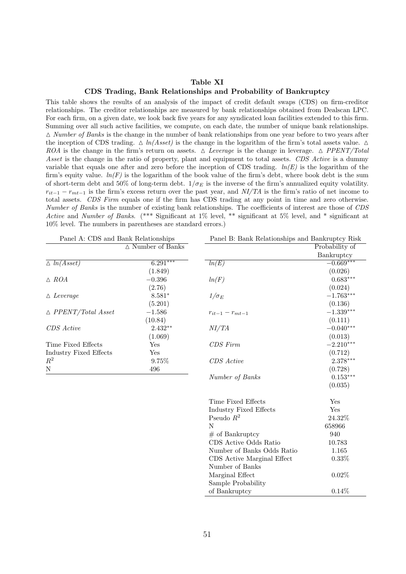#### **Table XI CDS Trading, Bank Relationships and Probability of Bankruptcy**

This table shows the results of an analysis of the impact of credit default swaps (CDS) on firm-creditor relationships. The creditor relationships are measured by bank relationships obtained from Dealscan LPC. For each firm, on a given date, we look back five years for any syndicated loan facilities extended to this firm. Summing over all such active facilities, we compute, on each date, the number of unique bank relationships.  $\Delta$  *Number of Banks* is the change in the number of bank relationships from one year before to two years after the inception of CDS trading.  $\Delta ln(Asset)$  is the change in the logarithm of the firm's total assets value.  $\Delta$ *ROA* is the change in the firm's return on assets.  $\Delta$  *Leverage* is the change in leverage.  $\Delta$  *PPENT/Total Asset* is the change in the ratio of property, plant and equipment to total assets. *CDS Active* is a dummy variable that equals one after and zero before the inception of CDS trading. *ln(E)* is the logarithm of the firm's equity value. *ln(F)* is the logarithm of the book value of the firm's debt, where book debt is the sum of short-term debt and 50% of long-term debt.  $1/\sigma_E$  is the inverse of the firm's annualized equity volatility.  $r_{it-1} - r_{mt-1}$  is the firm's excess return over the past year, and *NI/TA* is the firm's ratio of net income to total assets. *CDS Firm* equals one if the firm has CDS trading at any point in time and zero otherwise. *Number of Banks* is the number of existing bank relationships. The coefficients of interest are those of *CDS Active* and *Number of Banks*. (\*\*\* Significant at 1% level, \*\* significant at 5% level, and \* significant at 10% level. The numbers in parentheses are standard errors.)

|                               | Panel A: CDS and Bank Relationships | Panel B: Bank Relationships and Bankruptcy Risk |                |
|-------------------------------|-------------------------------------|-------------------------------------------------|----------------|
|                               | $\triangle$ Number of Banks         |                                                 | Probability of |
|                               |                                     |                                                 | Bankruptcy     |
| $\triangle$ $ln(Asset)$       | $6.291***$                          | ln(E)                                           | $-0.669***$    |
|                               | (1.849)                             |                                                 | (0.026)        |
| $\triangle$ ROA               | $-0.396$                            | ln(F)                                           | $0.683***$     |
|                               | (2.76)                              |                                                 | (0.024)        |
| $\triangle$ Leverage          | $8.581*$                            | $1/\sigma_E$                                    | $-1.763***$    |
|                               | (5.201)                             |                                                 | (0.136)        |
| $\triangle$ PPENT/Total Asset | $-1.586$                            | $r_{it-1} - r_{mt-1}$                           | $-1.339***$    |
|                               | (10.84)                             |                                                 | (0.111)        |
| CDS Active                    | $2.432**$                           | NI/TA                                           | $-0.040***$    |
|                               | (1.069)                             |                                                 | (0.013)        |
| Time Fixed Effects            | Yes                                 | CDS Firm                                        | $-2.210***$    |
| Industry Fixed Effects        | $\operatorname{Yes}$                |                                                 | (0.712)        |
| $R^2$                         | 9.75%                               | CDS Active                                      | $2.378***$     |
| N                             | 496                                 |                                                 | (0.728)        |
|                               |                                     | Number of Banks                                 | $0.153***$     |
|                               |                                     |                                                 | $\ell = -1$    |

|                            | (0.035)  |
|----------------------------|----------|
| Time Fixed Effects         | Yes      |
| Industry Fixed Effects     | Yes      |
| Pseudo $R^2$               | 24.32\%  |
| N                          | 658966   |
| $\#$ of Bankruptcy         | 940      |
| CDS Active Odds Ratio      | 10.783   |
| Number of Banks Odds Ratio | 1.165    |
| CDS Active Marginal Effect | $0.33\%$ |
| Number of Banks            |          |
| Marginal Effect            | $0.02\%$ |
| Sample Probability         |          |
| of Bankruptcy              | $0.14\%$ |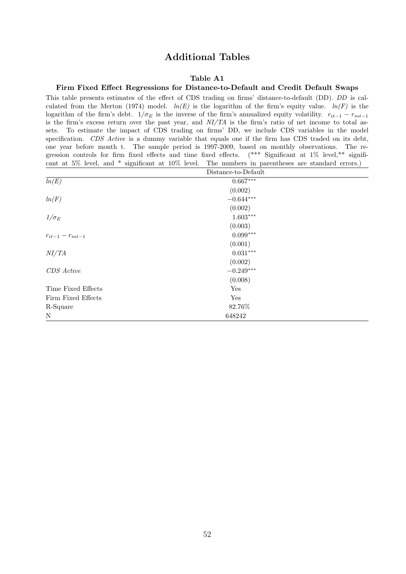## **Additional Tables**

#### **Table A1**

#### **Firm Fixed Effect Regressions for Distance-to-Default and Credit Default Swaps**

This table presents estimates of the effect of CDS trading on firms' distance-to-default (DD). *DD* is calculated from the Merton (1974) model.  $ln(E)$  is the logarithm of the firm's equity value.  $ln(F)$  is the logarithm of the firm's debt.  $1/\sigma_E$  is the inverse of the firm's annualized equity volatility.  $r_{it-1} - r_{mt-1}$ is the firm's excess return over the past year, and *NI/TA* is the firm's ratio of net income to total assets. To estimate the impact of CDS trading on firms' DD, we include CDS variables in the model specification. *CDS Active* is a dummy variable that equals one if the firm has CDS traded on its debt, one year before month t. The sample period is 1997-2009, based on monthly observations. The regression controls for firm fixed effects and time fixed effects. (\*\*\* Significant at 1% level,\*\* significant at 5% level, and \* significant at 10% level. The numbers in parentheses are standard errors.)

|                       | Distance-to-Default |  |
|-----------------------|---------------------|--|
| ln(E)                 | $0.667***$          |  |
|                       | (0.002)             |  |
| ln(F)                 | $-0.644***$         |  |
|                       | (0.002)             |  |
| $1/\sigma_E$          | $1.603***$          |  |
|                       | (0.003)             |  |
| $r_{it-1} - r_{mt-1}$ | $0.099***$          |  |
|                       | (0.001)             |  |
| NI/TA                 | $0.031***$          |  |
|                       | (0.002)             |  |
| CDS Active            | $-0.249***$         |  |
|                       | (0.008)             |  |
| Time Fixed Effects    | Yes                 |  |
| Firm Fixed Effects    | Yes                 |  |
| R-Square              | 82.76%              |  |
| Ν                     | 648242              |  |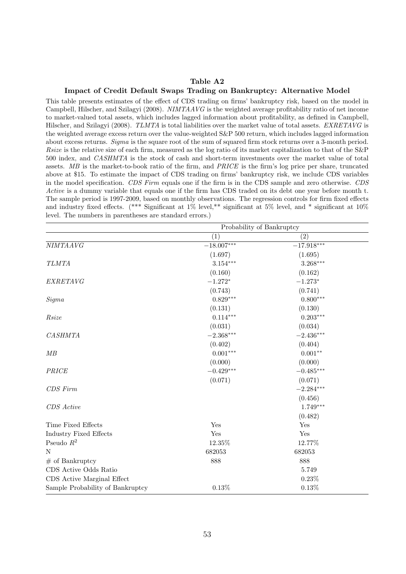#### **Impact of Credit Default Swaps Trading on Bankruptcy: Alternative Model**

This table presents estimates of the effect of CDS trading on firms' bankruptcy risk, based on the model in Campbell, Hilscher, and Szilagyi (2008). *NIMTAAVG* is the weighted average profitability ratio of net income to market-valued total assets, which includes lagged information about profitability, as defined in Campbell, Hilscher, and Szilagyi (2008). *TLMTA* is total liabilities over the market value of total assets. *EXRETAVG* is the weighted average excess return over the value-weighted S&P 500 return, which includes lagged information about excess returns. *Sigma* is the square root of the sum of squared firm stock returns over a 3-month period. *Rsize* is the relative size of each firm, measured as the log ratio of its market capitalization to that of the S&P 500 index, and *CASHMTA* is the stock of cash and short-term investments over the market value of total assets. *MB* is the market-to-book ratio of the firm, and *PRICE* is the firm's log price per share, truncated above at \$15. To estimate the impact of CDS trading on firms' bankruptcy risk, we include CDS variables in the model specification. *CDS Firm* equals one if the firm is in the CDS sample and zero otherwise. *CDS Active* is a dummy variable that equals one if the firm has CDS traded on its debt one year before month t. The sample period is 1997-2009, based on monthly observations. The regression controls for firm fixed effects and industry fixed effects. (\*\*\* Significant at  $1\%$  level,\*\* significant at  $5\%$  level, and \* significant at  $10\%$ level. The numbers in parentheses are standard errors.)

|                                  | Probability of Bankruptcy |              |  |
|----------------------------------|---------------------------|--------------|--|
|                                  | (1)                       | (2)          |  |
| NIMTAAVG                         | $-18.007***$              | $-17.918***$ |  |
|                                  | (1.697)                   | (1.695)      |  |
| <b>TLMTA</b>                     | $3.154***$                | $3.268***$   |  |
|                                  | (0.160)                   | (0.162)      |  |
| <b>EXRETAVG</b>                  | $-1.272*$                 | $-1.273*$    |  |
|                                  | (0.743)                   | (0.741)      |  |
| $\mathit{Sigma}$                 | $0.829***$                | $0.800***$   |  |
|                                  | (0.131)                   | (0.130)      |  |
| Rsize                            | $0.114***$                | $0.203***$   |  |
|                                  | (0.031)                   | (0.034)      |  |
| CASHMTA                          | $-2.368***$               | $-2.436***$  |  |
|                                  | (0.402)                   | (0.404)      |  |
| MB                               | $0.001***$                | $0.001**$    |  |
|                                  | (0.000)                   | (0.000)      |  |
| PRICE                            | $-0.429***$               | $-0.485***$  |  |
|                                  | (0.071)                   | (0.071)      |  |
| CDS Firm                         |                           | $-2.284***$  |  |
|                                  |                           | (0.456)      |  |
| CDS Active                       |                           | $1.749***$   |  |
|                                  |                           | (0.482)      |  |
| Time Fixed Effects               | Yes                       | Yes          |  |
| Industry Fixed Effects           | Yes                       | Yes          |  |
| Pseudo $R^2$                     | 12.35%                    | 12.77%       |  |
| N                                | 682053                    | 682053       |  |
| $#$ of Bankruptcy                | 888                       | 888          |  |
| CDS Active Odds Ratio            |                           | 5.749        |  |
| CDS Active Marginal Effect       |                           | 0.23%        |  |
| Sample Probability of Bankruptcy | 0.13%                     | $0.13\%$     |  |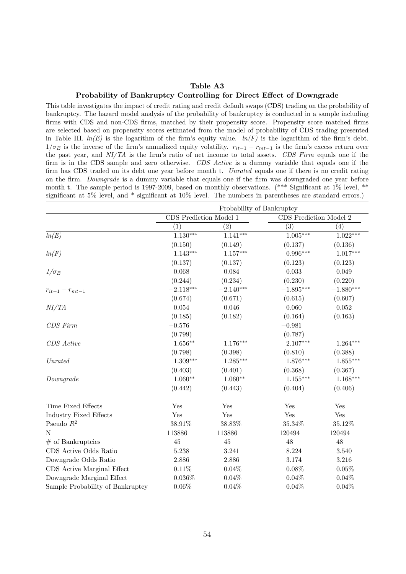#### **Probability of Bankruptcy Controlling for Direct Effect of Downgrade**

This table investigates the impact of credit rating and credit default swaps (CDS) trading on the probability of bankruptcy. The hazard model analysis of the probability of bankruptcy is conducted in a sample including firms with CDS and non-CDS firms, matched by their propensity score. Propensity score matched firms are selected based on propensity scores estimated from the model of probability of CDS trading presented in Table III.  $ln(E)$  is the logarithm of the firm's equity value.  $ln(F)$  is the logarithm of the firm's debt.  $1/\sigma_F$  is the inverse of the firm's annualized equity volatility.  $r_{it-1} - r_{mt-1}$  is the firm's excess return over the past year, and *NI/TA* is the firm's ratio of net income to total assets. *CDS Firm* equals one if the firm is in the CDS sample and zero otherwise. *CDS Active* is a dummy variable that equals one if the firm has CDS traded on its debt one year before month t. *Unrated* equals one if there is no credit rating on the firm. *Downgrade* is a dummy variable that equals one if the firm was downgraded one year before month t. The sample period is 1997-2009, based on monthly observations. (\*\*\* Significant at 1% level, \*\* significant at 5% level, and \* significant at 10% level. The numbers in parentheses are standard errors.)

|                                  |                        | Probability of Bankruptcy |                        |             |
|----------------------------------|------------------------|---------------------------|------------------------|-------------|
|                                  | CDS Prediction Model 1 |                           | CDS Prediction Model 2 |             |
|                                  | (1)                    | (2)                       | (3)                    | (4)         |
| ln(E)                            | $-1.1\overline{30***}$ | $-1.141***$               | $-1.005***$            | $-1.022***$ |
|                                  | (0.150)                | (0.149)                   | (0.137)                | (0.136)     |
| ln(F)                            | $1.143***$             | $1.157***$                | $0.996***$             | $1.017***$  |
|                                  | (0.137)                | (0.137)                   | (0.123)                | (0.123)     |
| $1/\sigma_E$                     | 0.068                  | 0.084                     | 0.033                  | 0.049       |
|                                  | (0.244)                | (0.234)                   | (0.230)                | (0.220)     |
| $r_{it-1} - r_{mt-1}$            | $-2.118***$            | $-2.140***$               | $-1.895***$            | $-1.880***$ |
|                                  | (0.674)                | (0.671)                   | (0.615)                | (0.607)     |
| NI/TA                            | 0.054                  | 0.046                     | 0.060                  | 0.052       |
|                                  | (0.185)                | (0.182)                   | (0.164)                | (0.163)     |
| CDS Firm                         | $-0.576$               |                           | $-0.981$               |             |
|                                  | (0.799)                |                           | (0.787)                |             |
| CDS Active                       | $1.656**$              | $1.176***$                | $2.107***$             | $1.264***$  |
|                                  | (0.798)                | (0.398)                   | (0.810)                | (0.388)     |
| Unrated                          | $1.309***$             | $1.285***$                | $1.876***$             | $1.855***$  |
|                                  | (0.403)                | (0.401)                   | (0.368)                | (0.367)     |
| Down grade                       | $1.060**$              | $1.060**$                 | $1.155***$             | $1.168***$  |
|                                  | (0.442)                | (0.443)                   | (0.404)                | (0.406)     |
| Time Fixed Effects               | Yes                    | Yes                       | Yes                    | Yes         |
| Industry Fixed Effects           | Yes                    | Yes                       | Yes                    | Yes         |
| Pseudo $R^2$                     | 38.91%                 | 38.83%                    | 35.34%                 | 35.12%      |
| N                                | 113886                 | 113886                    | 120494                 | 120494      |
| $#$ of Bankruptcies              | 45                     | $45\,$                    | 48                     | 48          |
| CDS Active Odds Ratio            | 5.238                  | 3.241                     | 8.224                  | 3.540       |
| Downgrade Odds Ratio             | 2.886                  | 2.886                     | 3.174                  | 3.216       |
| CDS Active Marginal Effect       | 0.11%                  | 0.04%                     | 0.08%                  | 0.05%       |
| Downgrade Marginal Effect        | $0.036\%$              | 0.04%                     | 0.04%                  | 0.04%       |
| Sample Probability of Bankruptcy | $0.06\%$               | 0.04%                     | 0.04%                  | 0.04%       |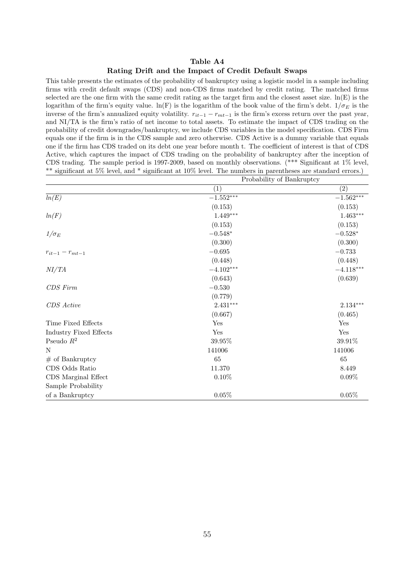### **Table A4 Rating Drift and the Impact of Credit Default Swaps**

This table presents the estimates of the probability of bankruptcy using a logistic model in a sample including firms with credit default swaps (CDS) and non-CDS firms matched by credit rating. The matched firms selected are the one firm with the same credit rating as the target firm and the closest asset size.  $ln(E)$  is the logarithm of the firm's equity value.  $ln(F)$  is the logarithm of the book value of the firm's debt.  $1/\sigma_E$  is the inverse of the firm's annualized equity volatility.  $r_{it-1} - r_{mt-1}$  is the firm's excess return over the past year, and NI/TA is the firm's ratio of net income to total assets. To estimate the impact of CDS trading on the probability of credit downgrades/bankruptcy, we include CDS variables in the model specification. CDS Firm equals one if the firm is in the CDS sample and zero otherwise. CDS Active is a dummy variable that equals one if the firm has CDS traded on its debt one year before month t. The coefficient of interest is that of CDS Active, which captures the impact of CDS trading on the probability of bankruptcy after the inception of CDS trading. The sample period is 1997-2009, based on monthly observations. (\*\*\* Significant at 1% level, \*\* significant at 5% level, and \* significant at 10% level. The numbers in parentheses are standard errors.)  $\overline{P}$  Probability of Bankruptcy

|                        | Probability of Bankruptcy |                        |  |
|------------------------|---------------------------|------------------------|--|
|                        | (1)                       | (2)                    |  |
| ln(E)                  | $-1.552^{\ast\ast\ast}$   | $-1.562***$            |  |
|                        | (0.153)                   | (0.153)                |  |
| ln(F)                  | $1.449***$                | $1.463***$             |  |
|                        | (0.153)                   | (0.153)                |  |
| $1/\sigma_E$           | $-0.548*$                 | $-0.528^{\ast}$        |  |
|                        | (0.300)                   | (0.300)                |  |
| $r_{it-1} - r_{mt-1}$  | $-0.695$                  | $-0.733$               |  |
|                        | (0.448)                   | (0.448)                |  |
| NI/TA                  | $-4.102***$               | $-4.118***$            |  |
|                        | (0.643)                   | (0.639)                |  |
| CDS Firm               | $-0.530$                  |                        |  |
|                        | (0.779)                   |                        |  |
| CDS Active             | $2.431***$                | $2.134^{\ast\ast\ast}$ |  |
|                        | (0.667)                   | (0.465)                |  |
| Time Fixed Effects     | Yes                       | Yes                    |  |
| Industry Fixed Effects | Yes                       | Yes                    |  |
| Pseudo $R^2$           | 39.95%                    | 39.91%                 |  |
| N                      | 141006                    | 141006                 |  |
| $#$ of Bankruptcy      | $65\,$                    | 65                     |  |
| CDS Odds Ratio         | 11.370                    | 8.449                  |  |
| CDS Marginal Effect    | $0.10\%$                  | 0.09%                  |  |
| Sample Probability     |                           |                        |  |
| of a Bankruptcy        | 0.05%                     | 0.05%                  |  |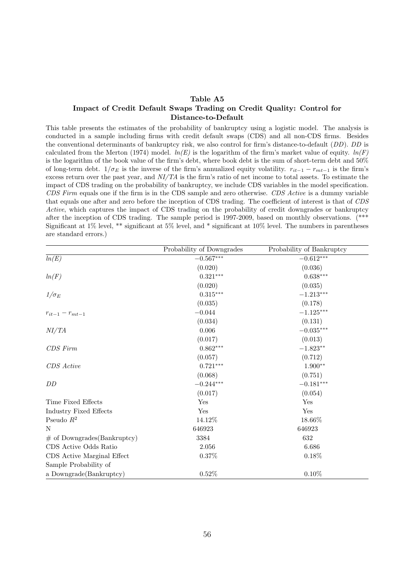#### **Impact of Credit Default Swaps Trading on Credit Quality: Control for Distance-to-Default**

This table presents the estimates of the probability of bankruptcy using a logistic model. The analysis is conducted in a sample including firms with credit default swaps (CDS) and all non-CDS firms. Besides the conventional determinants of bankruptcy risk, we also control for firm's distance-to-default (*DD*). *DD* is calculated from the Merton (1974) model.  $ln(E)$  is the logarithm of the firm's market value of equity.  $ln(F)$ is the logarithm of the book value of the firm's debt, where book debt is the sum of short-term debt and 50% of long-term debt.  $1/\sigma_E$  is the inverse of the firm's annualized equity volatility.  $r_{it-1} - r_{mt-1}$  is the firm's excess return over the past year, and *NI/TA* is the firm's ratio of net income to total assets. To estimate the impact of CDS trading on the probability of bankruptcy, we include CDS variables in the model specification. *CDS Firm* equals one if the firm is in the CDS sample and zero otherwise. *CDS Active* is a dummy variable that equals one after and zero before the inception of CDS trading. The coefficient of interest is that of *CDS Active*, which captures the impact of CDS trading on the probability of credit downgrades or bankruptcy after the inception of CDS trading. The sample period is 1997-2009, based on monthly observations. (\*\*\* Significant at 1% level, \*\* significant at 5% level, and \* significant at 10% level. The numbers in parentheses are standard errors.)

|                                 | Probability of Downgrades | Probability of Bankruptcy |
|---------------------------------|---------------------------|---------------------------|
| ln(E)                           | $-0.567***$               | $-0.612***$               |
|                                 | (0.020)                   | (0.036)                   |
| ln(F)                           | $0.321***$                | $0.638***$                |
|                                 | (0.020)                   | (0.035)                   |
| $1/\sigma_E$                    | $0.315***$                | $-1.213***$               |
|                                 | (0.035)                   | (0.178)                   |
| $r_{it-1} - r_{mt-1}$           | $-0.044$                  | $-1.125***$               |
|                                 | (0.034)                   | (0.131)                   |
| NI/TA                           | 0.006                     | $-0.035***$               |
|                                 | (0.017)                   | (0.013)                   |
| CDS Firm                        | $0.862***$                | $-1.823**$                |
|                                 | (0.057)                   | (0.712)                   |
| CDS Active                      | $0.721***$                | $1.900**$                 |
|                                 | (0.068)                   | (0.751)                   |
| DD                              | $-0.244***$               | $-0.181***$               |
|                                 | (0.017)                   | (0.054)                   |
| Time Fixed Effects              | Yes                       | Yes                       |
| Industry Fixed Effects          | Yes                       | Yes                       |
| Pseudo $R^2$                    | 14.12%                    | 18.66%                    |
| N                               | 646923                    | 646923                    |
| $\#$ of Downgrades (Bankruptcy) | 3384                      | 632                       |
| CDS Active Odds Ratio           | 2.056                     | 6.686                     |
| CDS Active Marginal Effect      | 0.37%                     | 0.18%                     |
| Sample Probability of           |                           |                           |
| a Downgrade (Bankruptcy)        | 0.52%                     | 0.10%                     |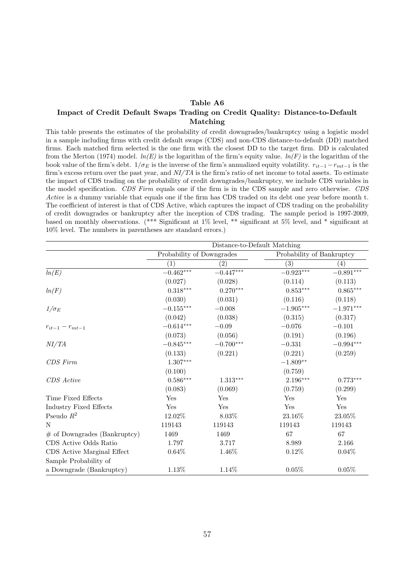### **Impact of Credit Default Swaps Trading on Credit Quality: Distance-to-Default Matching**

This table presents the estimates of the probability of credit downgrades/bankruptcy using a logistic model in a sample including firms with credit default swaps (CDS) and non-CDS distance-to-default (DD) matched firms. Each matched firm selected is the one firm with the closest DD to the target firm. DD is calculated from the Merton (1974) model. *ln(E)* is the logarithm of the firm's equity value. *ln(F)* is the logarithm of the book value of the firm's debt.  $1/\sigma_E$  is the inverse of the firm's annualized equity volatility.  $r_{it-1} - r_{mt-1}$  is the firm's excess return over the past year, and *NI/TA* is the firm's ratio of net income to total assets. To estimate the impact of CDS trading on the probability of credit downgrades/bankruptcy, we include CDS variables in the model specification. *CDS Firm* equals one if the firm is in the CDS sample and zero otherwise. *CDS Active* is a dummy variable that equals one if the firm has CDS traded on its debt one year before month t. The coefficient of interest is that of CDS Active, which captures the impact of CDS trading on the probability of credit downgrades or bankruptcy after the inception of CDS trading. The sample period is 1997-2009, based on monthly observations. (\*\*\* Significant at 1% level, \*\* significant at 5% level, and \* significant at 10% level. The numbers in parentheses are standard errors.)

|                                | Distance-to-Default Matching |                        |                           |                        |
|--------------------------------|------------------------------|------------------------|---------------------------|------------------------|
|                                | Probability of Downgrades    |                        | Probability of Bankruptcy |                        |
|                                | (1)                          | (2)                    | (3)                       | $\left( 4\right)$      |
| ln(E)                          | $-0.462***$                  | $-0.447***$            | $-0.923***$               | $-0.891***$            |
|                                | (0.027)                      | (0.028)                | (0.114)                   | (0.113)                |
| ln(F)                          | $0.318^{\ast\ast\ast}$       | $0.270***$             | $0.853***$                | $0.865^{\ast\ast\ast}$ |
|                                | (0.030)                      | (0.031)                | (0.116)                   | (0.118)                |
| $1/\sigma_E$                   | $-0.155***$                  | $-0.008$               | $-1.905***$               | $-1.971***$            |
|                                | (0.042)                      | (0.038)                | (0.315)                   | (0.317)                |
| $r_{it-1} - r_{mt-1}$          | $-0.614***$                  | $-0.09$                | $-0.076$                  | $-0.101$               |
|                                | (0.073)                      | (0.056)                | (0.191)                   | (0.196)                |
| NI/TA                          | $-0.845***$                  | $-0.700***$            | $-0.331$                  | $-0.994***$            |
|                                | (0.133)                      | (0.221)                | (0.221)                   | (0.259)                |
| CDS Firm                       | $1.307^{***}\;$              |                        | $-1.809**$                |                        |
|                                | (0.100)                      |                        | (0.759)                   |                        |
| CDS Active                     | $0.586***$                   | $1.313^{\ast\ast\ast}$ | $2.196^{\ast\ast\ast}$    | $0.773***$             |
|                                | (0.083)                      | (0.069)                | (0.759)                   | (0.299)                |
| Time Fixed Effects             | Yes                          | Yes                    | Yes                       | Yes                    |
| Industry Fixed Effects         | Yes                          | Yes                    | Yes                       | Yes                    |
| Pseudo $R^2$                   | 12.02%                       | 8.03%                  | 23.16%                    | 23.05%                 |
| N                              | 119143                       | 119143                 | 119143                    | 119143                 |
| $#$ of Downgrades (Bankruptcy) | 1469                         | 1469                   | 67                        | 67                     |
| CDS Active Odds Ratio          | 1.797                        | 3.717                  | 8.989                     | 2.166                  |
| CDS Active Marginal Effect     | $0.64\%$                     | 1.46%                  | 0.12%                     | 0.04%                  |
| Sample Probability of          |                              |                        |                           |                        |
| a Downgrade (Bankruptcy)       | 1.13%                        | 1.14%                  | 0.05%                     | 0.05%                  |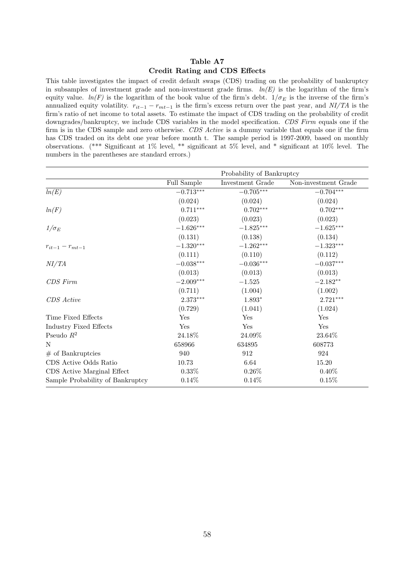### **Table A7 Credit Rating and CDS Effects**

This table investigates the impact of credit default swaps (CDS) trading on the probability of bankruptcy in subsamples of investment grade and non-investment grade firms. *ln(E)* is the logarithm of the firm's equity value.  $ln(F)$  is the logarithm of the book value of the firm's debt.  $1/\sigma_E$  is the inverse of the firm's annualized equity volatility.  $r_{it-1} - r_{mt-1}$  is the firm's excess return over the past year, and *NI/TA* is the firm's ratio of net income to total assets. To estimate the impact of CDS trading on the probability of credit downgrades/bankruptcy, we include CDS variables in the model specification. *CDS Firm* equals one if the firm is in the CDS sample and zero otherwise. *CDS Active* is a dummy variable that equals one if the firm has CDS traded on its debt one year before month t. The sample period is 1997-2009, based on monthly observations. (\*\*\* Significant at 1% level, \*\* significant at 5% level, and \* significant at 10% level. The numbers in the parentheses are standard errors.)

|                                  |             | Probability of Bankruptcy |                      |
|----------------------------------|-------------|---------------------------|----------------------|
|                                  | Full Sample | Investment Grade          | Non-investment Grade |
| ln(E)                            | $-0.713***$ | $-0.705***$               | $-0.704***$          |
|                                  | (0.024)     | (0.024)                   | (0.024)              |
| ln(F)                            | $0.711***$  | $0.702***$                | $0.702***$           |
|                                  | (0.023)     | (0.023)                   | (0.023)              |
| $1/\sigma_E$                     | $-1.626***$ | $-1.825***$               | $-1.625***$          |
|                                  | (0.131)     | (0.138)                   | (0.134)              |
| $r_{it-1} - r_{mt-1}$            | $-1.320***$ | $-1.262***$               | $-1.323***$          |
|                                  | (0.111)     | (0.110)                   | (0.112)              |
| NI/TA                            | $-0.038***$ | $-0.036***$               | $-0.037***$          |
|                                  | (0.013)     | (0.013)                   | (0.013)              |
| CDS Firm                         | $-2.009***$ | $-1.525$                  | $-2.182**$           |
|                                  | (0.711)     | (1.004)                   | (1.002)              |
| CDS Active                       | $2.373***$  | 1.893*                    | $2.721***$           |
|                                  | (0.729)     | (1.041)                   | (1.024)              |
| Time Fixed Effects               | Yes         | Yes                       | Yes                  |
| Industry Fixed Effects           | Yes         | Yes                       | Yes                  |
| Pseudo $R^2$                     | 24.18%      | 24.09%                    | 23.64%               |
| N                                | 658966      | 634895                    | 608773               |
| $#$ of Bankruptcies              | 940         | 912                       | 924                  |
| CDS Active Odds Ratio            | 10.73       | 6.64                      | 15.20                |
| CDS Active Marginal Effect       | $0.33\%$    | $0.26\%$                  | $0.40\%$             |
| Sample Probability of Bankruptcy | 0.14%       | 0.14%                     | 0.15%                |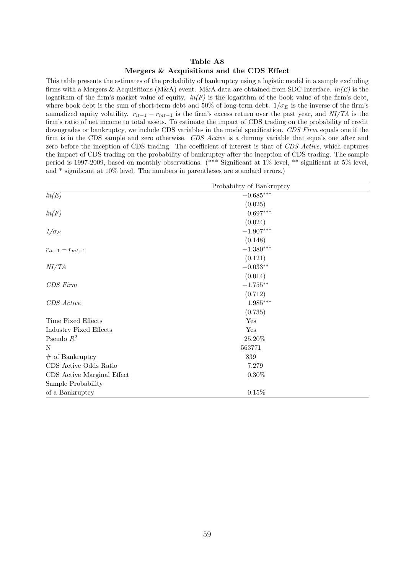### **Table A8 Mergers & Acquisitions and the CDS Effect**

This table presents the estimates of the probability of bankruptcy using a logistic model in a sample excluding firms with a Mergers & Acquisitions (M&A) event. M&A data are obtained from SDC Interface. *ln(E)* is the logarithm of the firm's market value of equity.  $ln(F)$  is the logarithm of the book value of the firm's debt, where book debt is the sum of short-term debt and  $50\%$  of long-term debt.  $1/\sigma_E$  is the inverse of the firm's annualized equity volatility.  $r_{it-1} - r_{mt-1}$  is the firm's excess return over the past year, and *NI/TA* is the firm's ratio of net income to total assets. To estimate the impact of CDS trading on the probability of credit downgrades or bankruptcy, we include CDS variables in the model specification. *CDS Firm* equals one if the firm is in the CDS sample and zero otherwise. *CDS Active* is a dummy variable that equals one after and zero before the inception of CDS trading. The coefficient of interest is that of *CDS Active*, which captures the impact of CDS trading on the probability of bankruptcy after the inception of CDS trading. The sample period is 1997-2009, based on monthly observations. (\*\*\* Significant at 1% level, \*\* significant at 5% level, and \* significant at 10% level. The numbers in parentheses are standard errors.)

|                            | Probability of Bankruptcy |  |
|----------------------------|---------------------------|--|
| ln(E)                      | $-0.685***$               |  |
|                            | (0.025)                   |  |
| ln(F)                      | $0.697***$                |  |
|                            | (0.024)                   |  |
| $1/\sigma_E$               | $-1.907***$               |  |
|                            | (0.148)                   |  |
| $r_{it-1} - r_{mt-1}$      | $-1.380***$               |  |
|                            | (0.121)                   |  |
| NI/TA                      | $-0.033**$                |  |
|                            | (0.014)                   |  |
| CDS Firm                   | $-1.755^{**}$             |  |
|                            | (0.712)                   |  |
| CDS Active                 | $1.985***$                |  |
|                            | (0.735)                   |  |
| Time Fixed Effects         | Yes                       |  |
| Industry Fixed Effects     | Yes                       |  |
| Pseudo $R^2$               | 25.20%                    |  |
| N                          | 563771                    |  |
| $#$ of Bankruptcy          | 839                       |  |
| CDS Active Odds Ratio      | 7.279                     |  |
| CDS Active Marginal Effect | $0.30\%$                  |  |
| Sample Probability         |                           |  |
| of a Bankruptcy            | 0.15%                     |  |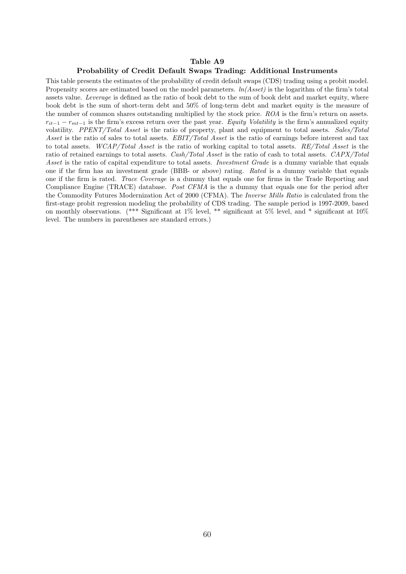#### **Probability of Credit Default Swaps Trading: Additional Instruments**

This table presents the estimates of the probability of credit default swaps (CDS) trading using a probit model. Propensity scores are estimated based on the model parameters. *ln(Asset)* is the logarithm of the firm's total assets value. *Leverage* is defined as the ratio of book debt to the sum of book debt and market equity, where book debt is the sum of short-term debt and 50% of long-term debt and market equity is the measure of the number of common shares outstanding multiplied by the stock price. *ROA* is the firm's return on assets.  $r_{it-1} - r_{mt-1}$  is the firm's excess return over the past year. *Equity Volatility* is the firm's annualized equity volatility. *PPENT/Total Asset* is the ratio of property, plant and equipment to total assets. *Sales/Total Asset* is the ratio of sales to total assets. *EBIT/Total Asset* is the ratio of earnings before interest and tax to total assets. *WCAP/Total Asset* is the ratio of working capital to total assets. *RE/Total Asset* is the ratio of retained earnings to total assets. *Cash/Total Asset* is the ratio of cash to total assets. *CAPX/Total Asset* is the ratio of capital expenditure to total assets. *Investment Grade* is a dummy variable that equals one if the firm has an investment grade (BBB- or above) rating. *Rated* is a dummy variable that equals one if the firm is rated. *Trace Coverage* is a dummy that equals one for firms in the Trade Reporting and Compliance Engine (TRACE) database. *Post CFMA* is the a dummy that equals one for the period after the Commodity Futures Modernization Act of 2000 (CFMA). The *Inverse Mills Ratio* is calculated from the first-stage probit regression modeling the probability of CDS trading. The sample period is 1997-2009, based on monthly observations. (\*\*\* Significant at 1% level, \*\* significant at 5% level, and \* significant at 10% level. The numbers in parentheses are standard errors.)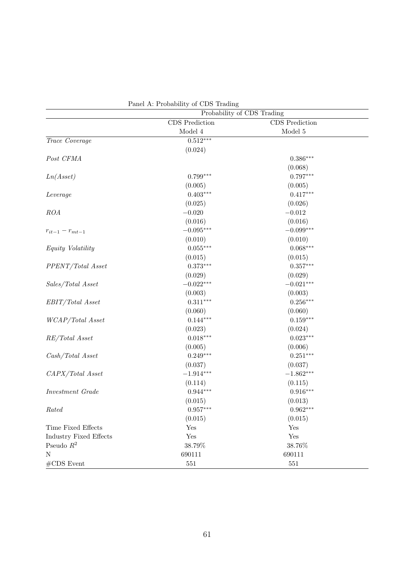|                               | Panel A: Probability of CDS Trading | Probability of CDS Trading |  |
|-------------------------------|-------------------------------------|----------------------------|--|
|                               | CDS Prediction                      | CDS Prediction             |  |
|                               | Model 4                             | Model 5                    |  |
| Trace Coverage                | $0.512***$                          |                            |  |
|                               | (0.024)                             |                            |  |
| Post CFMA                     |                                     | $0.386***$                 |  |
|                               |                                     | (0.068)                    |  |
| Ln(Asset)                     | $0.799***$                          | $0.797***$                 |  |
|                               | (0.005)                             | (0.005)                    |  |
| Leverage                      | $0.403***$                          | $0.417***$                 |  |
|                               | (0.025)                             | (0.026)                    |  |
| ROA                           | $-0.020$                            | $-0.012\,$                 |  |
|                               | (0.016)                             | (0.016)                    |  |
| $r_{it-1} - r_{mt-1}$         | $-0.095***$                         | $-0.099***$                |  |
|                               | (0.010)                             | (0.010)                    |  |
| Equity Volatility             | $0.055***$                          | $0.068***$                 |  |
|                               | (0.015)                             | (0.015)                    |  |
| PPENT/Total Asset             | $0.373***$                          | $0.357***$                 |  |
|                               | (0.029)                             | (0.029)                    |  |
| Sales/Total Asset             | $-0.022***$                         | $-0.021***$                |  |
|                               | (0.003)                             | (0.003)                    |  |
| EBIT/Total Asset              | $0.311***$                          | $0.256***$                 |  |
|                               | (0.060)                             | (0.060)                    |  |
| WCAP/Total Asset              | $0.144***$                          | $0.159***$                 |  |
|                               | (0.023)                             | (0.024)                    |  |
| RE/Total Asset                | $0.018***$                          | $0.023***$                 |  |
|                               | (0.005)                             | (0.006)                    |  |
| Cash/Total Asset              | $0.249***$                          | $0.251***$                 |  |
|                               | (0.037)                             | (0.037)                    |  |
| CAPX/Total Asset              | $-1.914***$                         | $-1.862***$                |  |
|                               | (0.114)                             | (0.115)                    |  |
| Investment Grade              | $0.944***$                          | $0.916***$                 |  |
|                               | (0.015)                             | (0.013)                    |  |
| Rated                         | $0.957***$                          | $0.962***$                 |  |
|                               | (0.015)                             | (0.015)                    |  |
| Time Fixed Effects            | Yes                                 | Yes                        |  |
| <b>Industry Fixed Effects</b> | Yes                                 | Yes                        |  |
| Pseudo $R^2$                  | 38.79%                              | 38.76%                     |  |
| $\mathbf N$                   | 690111                              | 690111                     |  |
| $\#\text{CDS}$ Event          | $551\,$                             | $551\,$                    |  |
|                               |                                     |                            |  |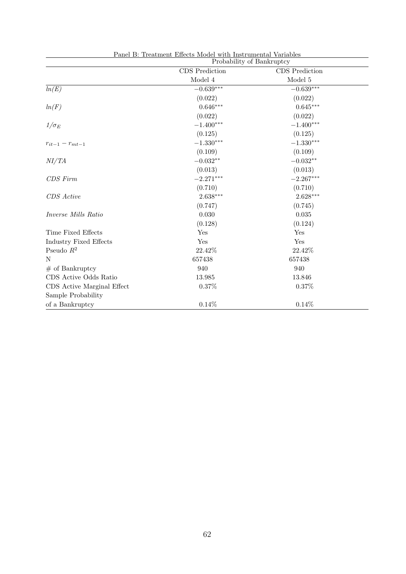|                            | Probability of Bankruptcy |                |  |
|----------------------------|---------------------------|----------------|--|
|                            | CDS Prediction            | CDS Prediction |  |
|                            | Model 4                   | Model 5        |  |
| ln(E)                      | $-0.639***$               | $-0.639***$    |  |
|                            | (0.022)                   | (0.022)        |  |
| ln(F)                      | $0.646***$                | $0.645***$     |  |
|                            | (0.022)                   | (0.022)        |  |
| $1/\sigma_E$               | $-1.400***$               | $-1.400***$    |  |
|                            | (0.125)                   | (0.125)        |  |
| $r_{it-1} - r_{mt-1}$      | $-1.330***$               | $-1.330***$    |  |
|                            | (0.109)                   | (0.109)        |  |
| NI/TA                      | $-0.032**$                | $-0.032**$     |  |
|                            | (0.013)                   | (0.013)        |  |
| CDS Firm                   | $-2.271***$               | $-2.267***$    |  |
|                            | (0.710)                   | (0.710)        |  |
| CDS Active                 | $2.638***$                | $2.628***$     |  |
|                            | (0.747)                   | (0.745)        |  |
| <i>Inverse Mills Ratio</i> | 0.030                     | 0.035          |  |
|                            | (0.128)                   | (0.124)        |  |
| Time Fixed Effects         | Yes                       | Yes            |  |
| Industry Fixed Effects     | Yes                       | Yes            |  |
| Pseudo $R^2$               | 22.42%                    | 22.42%         |  |
| N                          | 657438                    | 657438         |  |
| $#$ of Bankruptcy          | 940                       | 940            |  |
| CDS Active Odds Ratio      | 13.985                    | 13.846         |  |
| CDS Active Marginal Effect | 0.37%                     | 0.37%          |  |
| Sample Probability         |                           |                |  |
| of a Bankruptcy            | 0.14%                     | 0.14%          |  |

Panel B: Treatment Effects Model with Instrumental Variables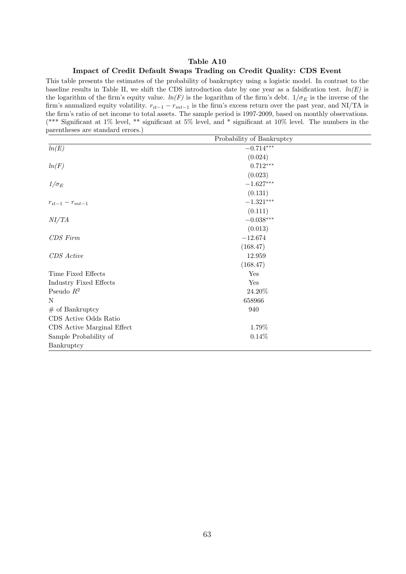#### **Impact of Credit Default Swaps Trading on Credit Quality: CDS Event**

This table presents the estimates of the probability of bankruptcy using a logistic model. In contrast to the baseline results in Table II, we shift the CDS introduction date by one year as a falsification test. *ln(E)* is the logarithm of the firm's equity value.  $ln(F)$  is the logarithm of the firm's debt.  $1/\sigma_E$  is the inverse of the firm's annualized equity volatility.  $r_{it-1} - r_{mt-1}$  is the firm's excess return over the past year, and NI/TA is the firm's ratio of net income to total assets. The sample period is 1997-2009, based on monthly observations. (\*\*\* Significant at 1% level, \*\* significant at 5% level, and \* significant at 10% level. The numbers in the parentheses are standard errors.)

|                            | Probability of Bankruptcy |  |
|----------------------------|---------------------------|--|
| ln(E)                      | $-0.714***$               |  |
|                            | (0.024)                   |  |
| ln(F)                      | $0.712***$                |  |
|                            | (0.023)                   |  |
| $1/\sigma_E$               | $-1.627***$               |  |
|                            | (0.131)                   |  |
| $r_{it-1} - r_{mt-1}$      | $-1.321***$               |  |
|                            | (0.111)                   |  |
| NI/TA                      | $-0.038***$               |  |
|                            | (0.013)                   |  |
| CDS Firm                   | $-12.674$                 |  |
|                            | (168.47)                  |  |
| CDS Active                 | 12.959                    |  |
|                            | (168.47)                  |  |
| Time Fixed Effects         | Yes                       |  |
| Industry Fixed Effects     | Yes                       |  |
| Pseudo $R^2$               | 24.20%                    |  |
| N                          | 658966                    |  |
| $#$ of Bankruptcy          | 940                       |  |
| CDS Active Odds Ratio      |                           |  |
| CDS Active Marginal Effect | 1.79%                     |  |
| Sample Probability of      | 0.14%                     |  |
| Bankruptcy                 |                           |  |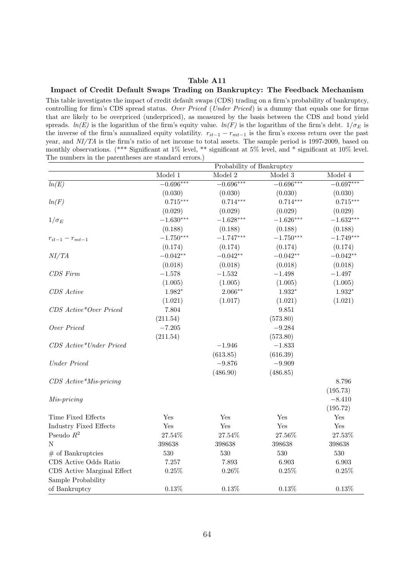#### **Impact of Credit Default Swaps Trading on Bankruptcy: The Feedback Mechanism**

This table investigates the impact of credit default swaps (CDS) trading on a firm's probability of bankruptcy, controlling for firm's CDS spread status. *Over Priced* (*Under Priced*) is a dummy that equals one for firms that are likely to be overpriced (underpriced), as measured by the basis between the CDS and bond yield spreads.  $ln(E)$  is the logarithm of the firm's equity value.  $ln(F)$  is the logarithm of the firm's debt.  $1/\sigma_E$  is the inverse of the firm's annualized equity volatility.  $r_{it-1} - r_{mt-1}$  is the firm's excess return over the past year, and *NI/TA* is the firm's ratio of net income to total assets. The sample period is 1997-2009, based on monthly observations. (\*\*\* Significant at 1% level, \*\* significant at 5% level, and \* significant at 10% level. The numbers in the parentheses are standard errors.)

| Model 1<br>Model 2<br>Model 3<br>Model 4<br>$-0.696***$<br>$-0.697***$<br>ln(E)<br>$-0.696***$<br>$-0.696***$<br>(0.030)<br>(0.030)<br>(0.030)<br>(0.030)<br>$0.715***$<br>$0.714***$<br>$0.714***$<br>$0.715***$<br>ln(F)<br>(0.029)<br>(0.029)<br>(0.029)<br>(0.029)<br>$-1.630***$<br>$-1.628***$<br>$-1.626***$<br>$-1.632***$<br>(0.188)<br>(0.188)<br>(0.188)<br>(0.188)<br>$-1.750***$<br>$-1.747***$<br>$-1.750***$<br>$-1.749***$<br>$r_{it-1} - r_{mt-1}$<br>(0.174)<br>(0.174)<br>(0.174)<br>(0.174)<br>$-0.042**$<br>$-0.042**$<br>$-0.042**$<br>$-0.042**$<br>NI/TA<br>(0.018)<br>(0.018)<br>(0.018)<br>(0.018)<br>$-1.578$<br>$-1.532$<br>$-1.498$<br>$-1.497$<br>CDS Firm<br>(1.005)<br>(1.005)<br>(1.005)<br>(1.005)<br>$1.982*$<br>$2.066**$<br>$1.932*$<br>$1.932*$<br>CDS Active<br>(1.021)<br>(1.017)<br>(1.021)<br>(1.021)<br>CDS Active*Over Priced<br>7.804<br>9.851<br>(573.80)<br>(211.54)<br>$-7.205$<br>$-9.284$<br>Over Priced<br>(211.54)<br>(573.80)<br>$-1.833$<br>CDS Active*Under Priced<br>$-1.946$<br>(613.85)<br>(616.39)<br>$-9.876$<br>$-9.909$<br>Under Priced<br>(486.90)<br>(486.85)<br>$CDS$ $Active*Mis-pricing$<br>8.796<br>(195.73)<br>$-8.410$<br>$Mis\text{-}pricing$<br>(195.72)<br>Yes<br>Yes<br>Time Fixed Effects<br>Yes<br>Yes<br>Yes<br>Yes<br>Yes<br><b>Industry Fixed Effects</b><br>Yes<br>27.54%<br>27.54%<br>27.56%<br>27.53%<br>398638<br>N<br>398638<br>398638<br>398638<br>530<br>530<br>530<br>530<br>$#$ of Bankruptcies<br>CDS Active Odds Ratio<br>7.257<br>7.893<br>6.903<br>6.903<br>$0.25\%$<br>0.25%<br>CDS Active Marginal Effect<br>0.26%<br>0.25%<br>Sample Probability<br>0.13%<br>0.13%<br>0.13%<br>0.13%<br>of Bankruptcy |              | Probability of Bankruptcy |  |  |  |
|------------------------------------------------------------------------------------------------------------------------------------------------------------------------------------------------------------------------------------------------------------------------------------------------------------------------------------------------------------------------------------------------------------------------------------------------------------------------------------------------------------------------------------------------------------------------------------------------------------------------------------------------------------------------------------------------------------------------------------------------------------------------------------------------------------------------------------------------------------------------------------------------------------------------------------------------------------------------------------------------------------------------------------------------------------------------------------------------------------------------------------------------------------------------------------------------------------------------------------------------------------------------------------------------------------------------------------------------------------------------------------------------------------------------------------------------------------------------------------------------------------------------------------------------------------------------------------------------------------------------------------------------------------------------------------------------------|--------------|---------------------------|--|--|--|
|                                                                                                                                                                                                                                                                                                                                                                                                                                                                                                                                                                                                                                                                                                                                                                                                                                                                                                                                                                                                                                                                                                                                                                                                                                                                                                                                                                                                                                                                                                                                                                                                                                                                                                      |              |                           |  |  |  |
|                                                                                                                                                                                                                                                                                                                                                                                                                                                                                                                                                                                                                                                                                                                                                                                                                                                                                                                                                                                                                                                                                                                                                                                                                                                                                                                                                                                                                                                                                                                                                                                                                                                                                                      |              |                           |  |  |  |
|                                                                                                                                                                                                                                                                                                                                                                                                                                                                                                                                                                                                                                                                                                                                                                                                                                                                                                                                                                                                                                                                                                                                                                                                                                                                                                                                                                                                                                                                                                                                                                                                                                                                                                      |              |                           |  |  |  |
|                                                                                                                                                                                                                                                                                                                                                                                                                                                                                                                                                                                                                                                                                                                                                                                                                                                                                                                                                                                                                                                                                                                                                                                                                                                                                                                                                                                                                                                                                                                                                                                                                                                                                                      |              |                           |  |  |  |
|                                                                                                                                                                                                                                                                                                                                                                                                                                                                                                                                                                                                                                                                                                                                                                                                                                                                                                                                                                                                                                                                                                                                                                                                                                                                                                                                                                                                                                                                                                                                                                                                                                                                                                      |              |                           |  |  |  |
|                                                                                                                                                                                                                                                                                                                                                                                                                                                                                                                                                                                                                                                                                                                                                                                                                                                                                                                                                                                                                                                                                                                                                                                                                                                                                                                                                                                                                                                                                                                                                                                                                                                                                                      | $1/\sigma_E$ |                           |  |  |  |
|                                                                                                                                                                                                                                                                                                                                                                                                                                                                                                                                                                                                                                                                                                                                                                                                                                                                                                                                                                                                                                                                                                                                                                                                                                                                                                                                                                                                                                                                                                                                                                                                                                                                                                      |              |                           |  |  |  |
|                                                                                                                                                                                                                                                                                                                                                                                                                                                                                                                                                                                                                                                                                                                                                                                                                                                                                                                                                                                                                                                                                                                                                                                                                                                                                                                                                                                                                                                                                                                                                                                                                                                                                                      |              |                           |  |  |  |
|                                                                                                                                                                                                                                                                                                                                                                                                                                                                                                                                                                                                                                                                                                                                                                                                                                                                                                                                                                                                                                                                                                                                                                                                                                                                                                                                                                                                                                                                                                                                                                                                                                                                                                      |              |                           |  |  |  |
|                                                                                                                                                                                                                                                                                                                                                                                                                                                                                                                                                                                                                                                                                                                                                                                                                                                                                                                                                                                                                                                                                                                                                                                                                                                                                                                                                                                                                                                                                                                                                                                                                                                                                                      |              |                           |  |  |  |
|                                                                                                                                                                                                                                                                                                                                                                                                                                                                                                                                                                                                                                                                                                                                                                                                                                                                                                                                                                                                                                                                                                                                                                                                                                                                                                                                                                                                                                                                                                                                                                                                                                                                                                      |              |                           |  |  |  |
|                                                                                                                                                                                                                                                                                                                                                                                                                                                                                                                                                                                                                                                                                                                                                                                                                                                                                                                                                                                                                                                                                                                                                                                                                                                                                                                                                                                                                                                                                                                                                                                                                                                                                                      |              |                           |  |  |  |
|                                                                                                                                                                                                                                                                                                                                                                                                                                                                                                                                                                                                                                                                                                                                                                                                                                                                                                                                                                                                                                                                                                                                                                                                                                                                                                                                                                                                                                                                                                                                                                                                                                                                                                      |              |                           |  |  |  |
|                                                                                                                                                                                                                                                                                                                                                                                                                                                                                                                                                                                                                                                                                                                                                                                                                                                                                                                                                                                                                                                                                                                                                                                                                                                                                                                                                                                                                                                                                                                                                                                                                                                                                                      |              |                           |  |  |  |
|                                                                                                                                                                                                                                                                                                                                                                                                                                                                                                                                                                                                                                                                                                                                                                                                                                                                                                                                                                                                                                                                                                                                                                                                                                                                                                                                                                                                                                                                                                                                                                                                                                                                                                      |              |                           |  |  |  |
|                                                                                                                                                                                                                                                                                                                                                                                                                                                                                                                                                                                                                                                                                                                                                                                                                                                                                                                                                                                                                                                                                                                                                                                                                                                                                                                                                                                                                                                                                                                                                                                                                                                                                                      |              |                           |  |  |  |
|                                                                                                                                                                                                                                                                                                                                                                                                                                                                                                                                                                                                                                                                                                                                                                                                                                                                                                                                                                                                                                                                                                                                                                                                                                                                                                                                                                                                                                                                                                                                                                                                                                                                                                      |              |                           |  |  |  |
|                                                                                                                                                                                                                                                                                                                                                                                                                                                                                                                                                                                                                                                                                                                                                                                                                                                                                                                                                                                                                                                                                                                                                                                                                                                                                                                                                                                                                                                                                                                                                                                                                                                                                                      |              |                           |  |  |  |
|                                                                                                                                                                                                                                                                                                                                                                                                                                                                                                                                                                                                                                                                                                                                                                                                                                                                                                                                                                                                                                                                                                                                                                                                                                                                                                                                                                                                                                                                                                                                                                                                                                                                                                      |              |                           |  |  |  |
|                                                                                                                                                                                                                                                                                                                                                                                                                                                                                                                                                                                                                                                                                                                                                                                                                                                                                                                                                                                                                                                                                                                                                                                                                                                                                                                                                                                                                                                                                                                                                                                                                                                                                                      |              |                           |  |  |  |
|                                                                                                                                                                                                                                                                                                                                                                                                                                                                                                                                                                                                                                                                                                                                                                                                                                                                                                                                                                                                                                                                                                                                                                                                                                                                                                                                                                                                                                                                                                                                                                                                                                                                                                      |              |                           |  |  |  |
|                                                                                                                                                                                                                                                                                                                                                                                                                                                                                                                                                                                                                                                                                                                                                                                                                                                                                                                                                                                                                                                                                                                                                                                                                                                                                                                                                                                                                                                                                                                                                                                                                                                                                                      |              |                           |  |  |  |
|                                                                                                                                                                                                                                                                                                                                                                                                                                                                                                                                                                                                                                                                                                                                                                                                                                                                                                                                                                                                                                                                                                                                                                                                                                                                                                                                                                                                                                                                                                                                                                                                                                                                                                      |              |                           |  |  |  |
|                                                                                                                                                                                                                                                                                                                                                                                                                                                                                                                                                                                                                                                                                                                                                                                                                                                                                                                                                                                                                                                                                                                                                                                                                                                                                                                                                                                                                                                                                                                                                                                                                                                                                                      |              |                           |  |  |  |
|                                                                                                                                                                                                                                                                                                                                                                                                                                                                                                                                                                                                                                                                                                                                                                                                                                                                                                                                                                                                                                                                                                                                                                                                                                                                                                                                                                                                                                                                                                                                                                                                                                                                                                      |              |                           |  |  |  |
|                                                                                                                                                                                                                                                                                                                                                                                                                                                                                                                                                                                                                                                                                                                                                                                                                                                                                                                                                                                                                                                                                                                                                                                                                                                                                                                                                                                                                                                                                                                                                                                                                                                                                                      |              |                           |  |  |  |
|                                                                                                                                                                                                                                                                                                                                                                                                                                                                                                                                                                                                                                                                                                                                                                                                                                                                                                                                                                                                                                                                                                                                                                                                                                                                                                                                                                                                                                                                                                                                                                                                                                                                                                      |              |                           |  |  |  |
|                                                                                                                                                                                                                                                                                                                                                                                                                                                                                                                                                                                                                                                                                                                                                                                                                                                                                                                                                                                                                                                                                                                                                                                                                                                                                                                                                                                                                                                                                                                                                                                                                                                                                                      |              |                           |  |  |  |
|                                                                                                                                                                                                                                                                                                                                                                                                                                                                                                                                                                                                                                                                                                                                                                                                                                                                                                                                                                                                                                                                                                                                                                                                                                                                                                                                                                                                                                                                                                                                                                                                                                                                                                      |              |                           |  |  |  |
|                                                                                                                                                                                                                                                                                                                                                                                                                                                                                                                                                                                                                                                                                                                                                                                                                                                                                                                                                                                                                                                                                                                                                                                                                                                                                                                                                                                                                                                                                                                                                                                                                                                                                                      | Pseudo $R^2$ |                           |  |  |  |
|                                                                                                                                                                                                                                                                                                                                                                                                                                                                                                                                                                                                                                                                                                                                                                                                                                                                                                                                                                                                                                                                                                                                                                                                                                                                                                                                                                                                                                                                                                                                                                                                                                                                                                      |              |                           |  |  |  |
|                                                                                                                                                                                                                                                                                                                                                                                                                                                                                                                                                                                                                                                                                                                                                                                                                                                                                                                                                                                                                                                                                                                                                                                                                                                                                                                                                                                                                                                                                                                                                                                                                                                                                                      |              |                           |  |  |  |
|                                                                                                                                                                                                                                                                                                                                                                                                                                                                                                                                                                                                                                                                                                                                                                                                                                                                                                                                                                                                                                                                                                                                                                                                                                                                                                                                                                                                                                                                                                                                                                                                                                                                                                      |              |                           |  |  |  |
|                                                                                                                                                                                                                                                                                                                                                                                                                                                                                                                                                                                                                                                                                                                                                                                                                                                                                                                                                                                                                                                                                                                                                                                                                                                                                                                                                                                                                                                                                                                                                                                                                                                                                                      |              |                           |  |  |  |
|                                                                                                                                                                                                                                                                                                                                                                                                                                                                                                                                                                                                                                                                                                                                                                                                                                                                                                                                                                                                                                                                                                                                                                                                                                                                                                                                                                                                                                                                                                                                                                                                                                                                                                      |              |                           |  |  |  |
|                                                                                                                                                                                                                                                                                                                                                                                                                                                                                                                                                                                                                                                                                                                                                                                                                                                                                                                                                                                                                                                                                                                                                                                                                                                                                                                                                                                                                                                                                                                                                                                                                                                                                                      |              |                           |  |  |  |